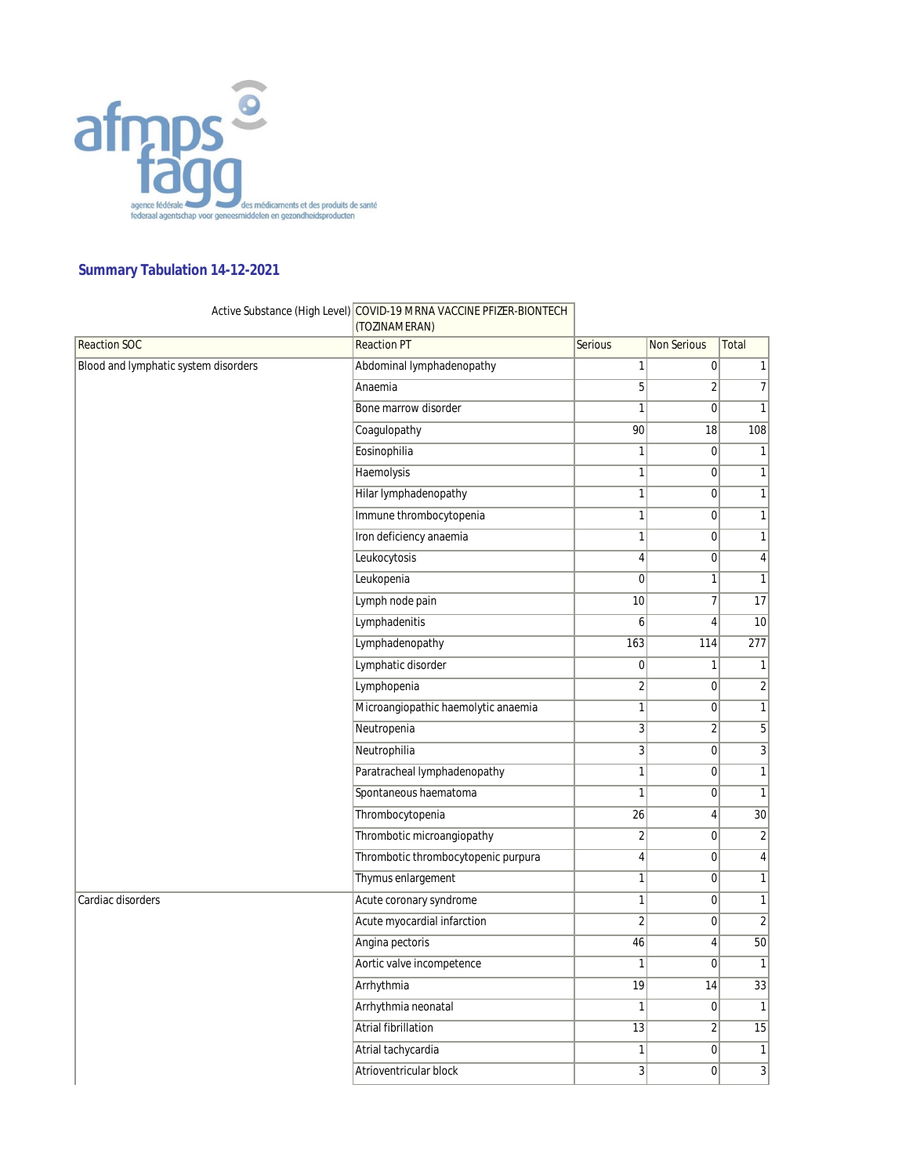

## **Summary Tabulation 14-12-2021**

## Active Substance (High Level) COVID-19 MRNA VACCINE PFIZER-BIONTECH

|                                      | (TOZINAMERAN)                       |                  |                    |                 |
|--------------------------------------|-------------------------------------|------------------|--------------------|-----------------|
| <b>Reaction SOC</b>                  | <b>Reaction PT</b>                  | <b>Serious</b>   | <b>Non Serious</b> | Total           |
| Blood and lymphatic system disorders | Abdominal lymphadenopathy           | 1                | 0                  | $\mathbf{1}$    |
|                                      | Anaemia                             | $\overline{5}$   | $\overline{2}$     | $\overline{7}$  |
|                                      | Bone marrow disorder                | 1                | $\mathbf 0$        | $\mathbf{1}$    |
|                                      | Coagulopathy                        | 90               | 18                 | 108             |
|                                      | Eosinophilia                        | $\mathbf{1}$     | $\overline{0}$     | $\mathbf{1}$    |
|                                      | Haemolysis                          | $\mathbf{1}$     | $\overline{0}$     | $\mathbf{1}$    |
|                                      | Hilar lymphadenopathy               | 1                | 0                  | $\mathbf{1}$    |
|                                      | Immune thrombocytopenia             | 1                | $\overline{0}$     | 1               |
|                                      | Iron deficiency anaemia             | 1                | $\mathbf 0$        | $\mathbf{1}$    |
|                                      | Leukocytosis                        | 4                | $\boldsymbol{0}$   | $\vert 4 \vert$ |
|                                      | Leukopenia                          | $\mathbf 0$      | $\mathbf{1}$       | $\mathbf{1}$    |
|                                      | Lymph node pain                     | 10               | $\overline{7}$     | 17              |
|                                      | Lymphadenitis                       | 6                | $\overline{4}$     | 10              |
|                                      | Lymphadenopathy                     | 163              | 114                | 277             |
|                                      | Lymphatic disorder                  | $\boldsymbol{0}$ | $\mathbf{1}$       | $\mathbf{1}$    |
|                                      | Lymphopenia                         | $\overline{c}$   | $\boldsymbol{0}$   | $\overline{2}$  |
|                                      | Microangiopathic haemolytic anaemia | $\mathbf{1}$     | $\overline{0}$     | 1               |
|                                      | Neutropenia                         | $\overline{3}$   | $\overline{2}$     | $\overline{5}$  |
|                                      | Neutrophilia                        | $\overline{3}$   | 0                  | $\overline{3}$  |
|                                      | Paratracheal lymphadenopathy        | 1                | $\mathbf 0$        | $\mathbf{1}$    |
|                                      | Spontaneous haematoma               | $\mathbf{1}$     | $\mathbf 0$        | $\mathbf{1}$    |
|                                      | Thrombocytopenia                    | 26               | $\sqrt{4}$         | $\overline{30}$ |
|                                      | Thrombotic microangiopathy          | $\overline{2}$   | $\mathbf 0$        | $\overline{2}$  |
|                                      | Thrombotic thrombocytopenic purpura | $\overline{4}$   | $\overline{0}$     | $\overline{4}$  |
|                                      | Thymus enlargement                  | 1                | $\overline{0}$     | $\overline{1}$  |
| Cardiac disorders                    | Acute coronary syndrome             | 1                | $\overline{0}$     | 1               |
|                                      | Acute myocardial infarction         | $\overline{2}$   | $\mathbf 0$        | $\overline{2}$  |
|                                      | Angina pectoris                     | 46               | $\overline{4}$     | $\overline{50}$ |
|                                      | Aortic valve incompetence           | 1                | $\mathbf 0$        | $\vert$         |
|                                      | Arrhythmia                          | 19               | 14                 | 33              |
|                                      | Arrhythmia neonatal                 | 1                | $\overline{0}$     | $\vert$         |
|                                      | Atrial fibrillation                 | 13               | $\overline{2}$     | $\overline{15}$ |
|                                      | Atrial tachycardia                  | 1                | $\mathbf 0$        | $\overline{1}$  |
|                                      | Atrioventricular block              | 3                | $\mathbf 0$        | $\overline{3}$  |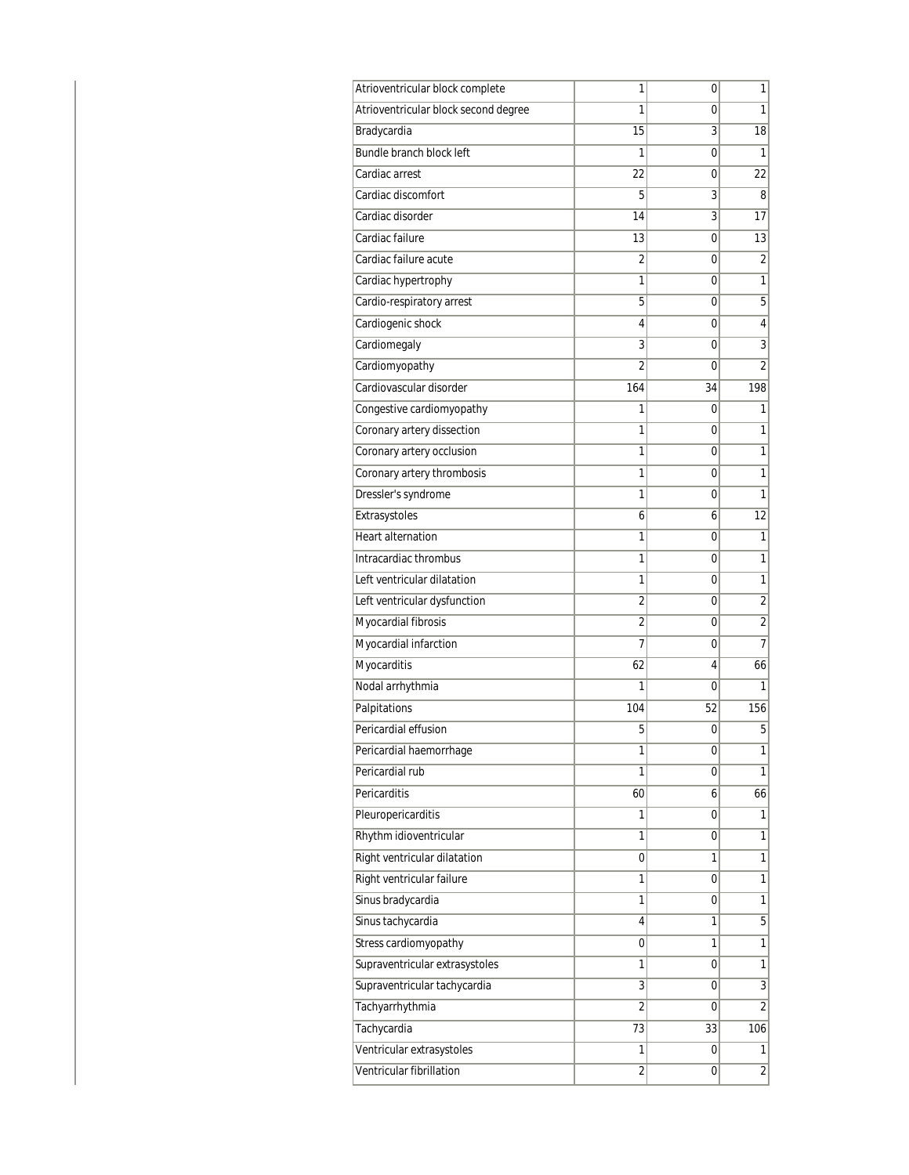| Atrioventricular block complete      | 1               | 0  | 1              |
|--------------------------------------|-----------------|----|----------------|
| Atrioventricular block second degree | 1               | 0  | 1              |
| Bradycardia                          | $\overline{15}$ | 3  | 18             |
| Bundle branch block left             | 1               | 0  | 1              |
| Cardiac arrest                       | 22              | 0  | 22             |
| Cardiac discomfort                   | 5               | 3  | 8              |
| Cardiac disorder                     | 14              | 3  | 17             |
| Cardiac failure                      | 13              | 0  | 13             |
| Cardiac failure acute                | 2               | 0  | $\overline{2}$ |
| Cardiac hypertrophy                  | 1               | 0  | 1              |
| Cardio-respiratory arrest            | 5               | 0  | 5              |
| Cardiogenic shock                    | 4               | 0  | 4              |
| Cardiomegaly                         | 3               | 0  | 3              |
| Cardiomyopathy                       | 2               | 0  | $\overline{2}$ |
| Cardiovascular disorder              | 164             | 34 | 198            |
| Congestive cardiomyopathy            | 1               | 0  | 1              |
| Coronary artery dissection           | 1               | 0  | 1              |
| Coronary artery occlusion            | 1               | 0  | 1              |
| Coronary artery thrombosis           | 1               | 0  | 1              |
| Dressler's syndrome                  | 1               | 0  | 1              |
| Extrasystoles                        | 6               | 6  | 12             |
| <b>Heart alternation</b>             | 1               | 0  | 1              |
| Intracardiac thrombus                | 1               | 0  | 1              |
| Left ventricular dilatation          | 1               | 0  | 1              |
| Left ventricular dysfunction         | 2               | 0  | $\overline{2}$ |
| Myocardial fibrosis                  | $\overline{2}$  | 0  | $\overline{2}$ |
| Myocardial infarction                | 7               | 0  | 7              |
| Myocarditis                          | 62              | 4  | 66             |
| Nodal arrhythmia                     | 1               | 0  | 1              |
| Palpitations                         | 104             | 52 | 156            |
| Pericardial effusion                 | 5               | 0  | 5              |
| Pericardial haemorrhage              | 1               | 0  | 1              |
| Pericardial rub                      | 1               | 0  | 1              |
| Pericarditis                         | 60              | 6  | 66             |
| Pleuropericarditis                   | 1               | 0  | 1              |
| Rhythm idioventricular               | 1               | 0  | 1              |
| Right ventricular dilatation         | 0               | 1  | 1              |
| Right ventricular failure            | 1               | 0  | 1              |
| Sinus bradycardia                    | 1               | 0  | 1              |
| Sinus tachycardia                    | 4               | 1  | 5              |
| Stress cardiomyopathy                | 0               | 1  | $\overline{1}$ |
| Supraventricular extrasystoles       | 1               | 0  | 1              |
| Supraventricular tachycardia         | 3               | 0  | $\overline{3}$ |
| Tachyarrhythmia                      | $\overline{2}$  | 0  | $\overline{2}$ |
| Tachycardia                          | 73              | 33 | 106            |
| Ventricular extrasystoles            | 1               | 0  | 1              |
| Ventricular fibrillation             | $\overline{2}$  | 0  | $\overline{2}$ |
|                                      |                 |    |                |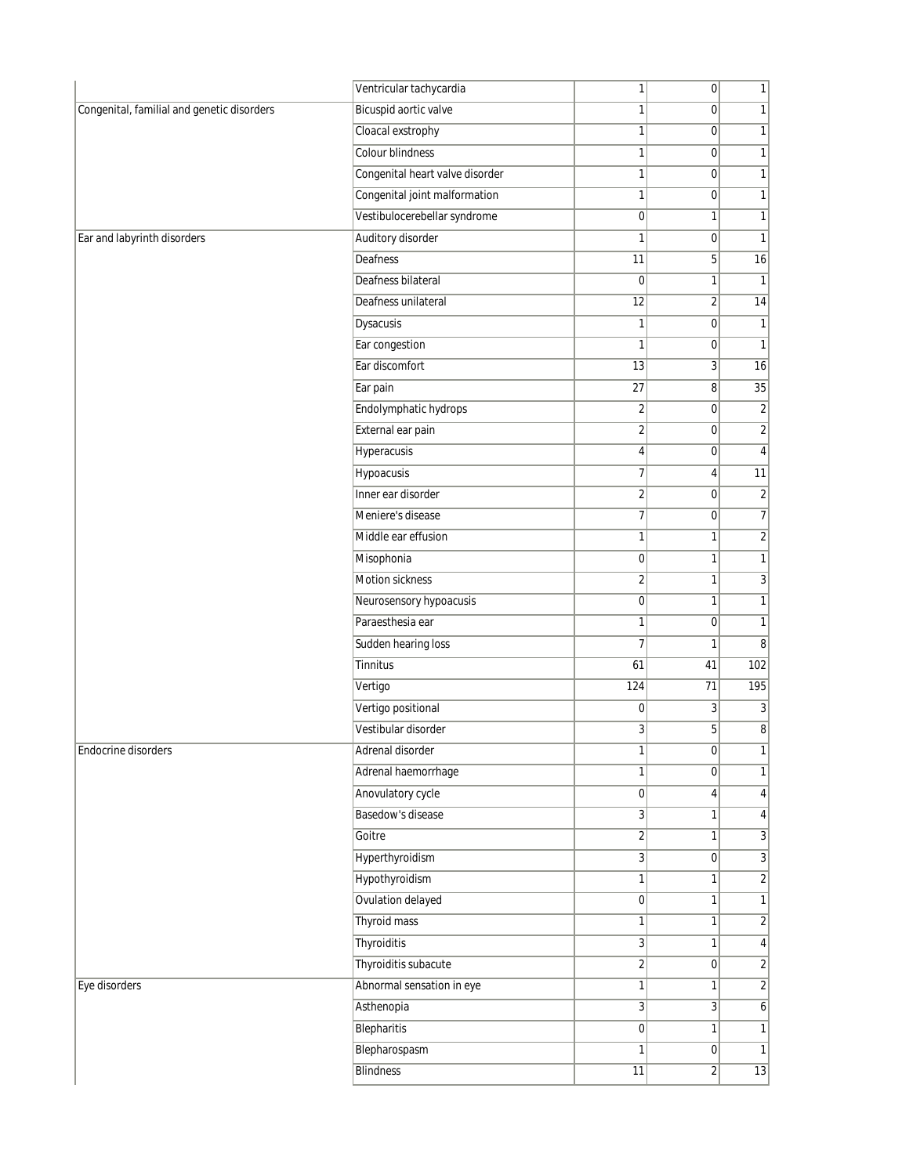|                                            | Ventricular tachycardia         | 1                | 0              | 1                |
|--------------------------------------------|---------------------------------|------------------|----------------|------------------|
| Congenital, familial and genetic disorders | Bicuspid aortic valve           | $\mathbf{1}$     | 0              | $\overline{1}$   |
|                                            | Cloacal exstrophy               | 1                | $\overline{0}$ | 1                |
|                                            | Colour blindness                | $\mathbf{1}$     | $\overline{0}$ | 1                |
|                                            | Congenital heart valve disorder | $\mathbf{1}$     | $\overline{0}$ | 1                |
|                                            | Congenital joint malformation   | $\mathbf{1}$     | 0              | 1                |
|                                            | Vestibulocerebellar syndrome    | $\boldsymbol{0}$ | $\mathbf{1}$   | 1                |
| Ear and labyrinth disorders                | Auditory disorder               | 1                | $\overline{0}$ | 1                |
|                                            | Deafness                        | 11               | 5 <sup>1</sup> | 16               |
|                                            | Deafness bilateral              | 0                | 1              | 1                |
|                                            | Deafness unilateral             | $\overline{12}$  | $\overline{2}$ | 14               |
|                                            | Dysacusis                       | $\mathbf{1}$     | $\overline{0}$ | 1                |
|                                            | Ear congestion                  | 1                | $\overline{0}$ | 1                |
|                                            | Ear discomfort                  | 13               | $\overline{3}$ | 16               |
|                                            | Ear pain                        | $\overline{27}$  | 8              | 35               |
|                                            | Endolymphatic hydrops           | $\overline{2}$   | $\overline{0}$ | $\overline{2}$   |
|                                            | External ear pain               | $\overline{2}$   | $\overline{0}$ | $\overline{2}$   |
|                                            | Hyperacusis                     | $\vert 4 \vert$  | $\overline{0}$ | 4                |
|                                            | Hypoacusis                      | $\overline{7}$   | 4              | 11               |
|                                            | Inner ear disorder              | $\overline{2}$   | $\overline{0}$ | $\overline{2}$   |
|                                            | Meniere's disease               | $\overline{7}$   | 0              | 7                |
|                                            | Middle ear effusion             | $\mathbf{1}$     | $\mathbf{1}$   | $\overline{2}$   |
|                                            | Misophonia                      | $\pmb{0}$        | 1              | 1                |
|                                            | Motion sickness                 | $\overline{2}$   | 1              | $\overline{3}$   |
|                                            | Neurosensory hypoacusis         | $\overline{0}$   | 1              | 1                |
|                                            | Paraesthesia ear                | $\mathbf{1}$     | $\overline{0}$ | 1                |
|                                            | Sudden hearing loss             | $\overline{7}$   | 1              | $\overline{8}$   |
|                                            | Tinnitus                        | 61               | 41             | 102              |
|                                            | Vertigo                         | 124              | 71             | 195              |
|                                            | Vertigo positional              | 0                | 3              | 3                |
|                                            | Vestibular disorder             | $\overline{3}$   | 5 <sup>1</sup> | $\boldsymbol{8}$ |
| Endocrine disorders                        | Adrenal disorder                | 1                | 0              | 1                |
|                                            | Adrenal haemorrhage             | 1                | $\overline{0}$ | 1                |
|                                            | Anovulatory cycle               | $\overline{0}$   | 4              | 4                |
|                                            | Basedow's disease               | 3                | 1              | $4\vert$         |
|                                            | Goitre                          | $\overline{2}$   | $\mathbf{1}$   | $\overline{3}$   |
|                                            | Hyperthyroidism                 | $\overline{3}$   | 0              | $\overline{3}$   |
|                                            | Hypothyroidism                  | $\mathbf{1}$     | 1              | $\overline{2}$   |
|                                            | Ovulation delayed               | $\overline{0}$   | $\mathbf{1}$   | 1                |
|                                            | Thyroid mass                    | 1                | 1              | $\overline{2}$   |
|                                            | Thyroiditis                     | 3                | $\mathbf{1}$   | $4\vert$         |
|                                            | Thyroiditis subacute            | $\overline{2}$   | 0              | $\overline{2}$   |
| Eye disorders                              | Abnormal sensation in eye       | 1                | 1              | $\overline{2}$   |
|                                            | Asthenopia                      | 3                | $\overline{3}$ | $6\vert$         |
|                                            | Blepharitis                     | 0                | 1              | 1                |
|                                            | Blepharospasm                   | $\mathbf{1}$     | 0              | 1                |
|                                            | <b>Blindness</b>                | 11               | $\overline{2}$ | 13               |
|                                            |                                 |                  |                |                  |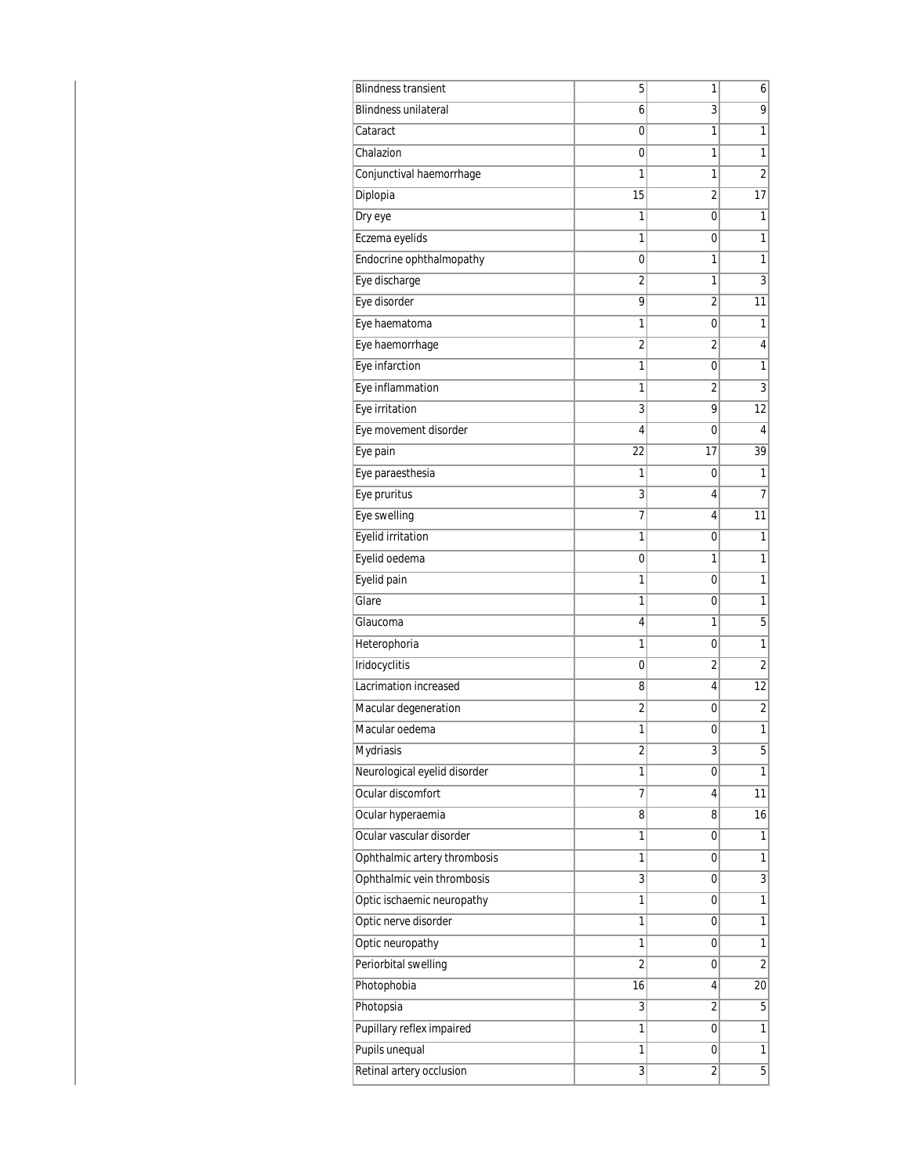| <b>Blindness transient</b>   | 5              | 1                       | 6                       |
|------------------------------|----------------|-------------------------|-------------------------|
| <b>Blindness unilateral</b>  | 6              | 3                       | 9                       |
| Cataract                     | 0              | 1                       | 1                       |
| Chalazion                    | 0              | 1                       | 1                       |
| Conjunctival haemorrhage     | 1              | 1                       | $\overline{2}$          |
| Diplopia                     | 15             | 2                       | 17                      |
| Dry eye                      | 1              | 0                       | 1                       |
| Eczema eyelids               | 1              | 0                       | 1                       |
| Endocrine ophthalmopathy     | 0              | 1                       | 1                       |
| Eye discharge                | $\overline{2}$ | 1                       | 3                       |
| Eye disorder                 | 9              | 2                       | 11                      |
| Eye haematoma                | 1              | 0                       | 1                       |
| Eye haemorrhage              | $\overline{2}$ | 2                       | 4                       |
| Eye infarction               | 1              | 0                       | 1                       |
| Eye inflammation             | 1              | $\overline{2}$          | 3                       |
| Eye irritation               | 3              | 9                       | 12                      |
| Eye movement disorder        | 4              | 0                       | 4                       |
| Eye pain                     | 22             | 17                      | 39                      |
| Eye paraesthesia             | 1              | 0                       | 1                       |
| Eye pruritus                 | 3              | 4                       | 7                       |
| Eye swelling                 | 7              | 4                       | 11                      |
| Eyelid irritation            | 1              | 0                       | 1                       |
| Eyelid oedema                | 0              | 1                       | 1                       |
| Eyelid pain                  | 1              | 0                       | 1                       |
| Glare                        | 1              | 0                       | 1                       |
| Glaucoma                     | 4              | 1                       | 5                       |
| Heterophoria                 | 1              | 0                       | 1                       |
| Iridocyclitis                | 0              | $\overline{2}$          | $\overline{2}$          |
| Lacrimation increased        | 8              | 4                       | 12                      |
| Macular degeneration         | $\overline{2}$ | 0                       | $\overline{2}$          |
| Macular oedema               | 1              | 0                       | 1                       |
| Mydriasis                    | 2              | 3                       | 5                       |
| Neurological eyelid disorder | 1              | 0                       | $\overline{1}$          |
| Ocular discomfort            | 7              | 4                       | 11                      |
| Ocular hyperaemia            | 8              | 8                       | 16                      |
| Ocular vascular disorder     | 1              | 0                       | 1                       |
| Ophthalmic artery thrombosis | 1              | 0                       | 1                       |
| Ophthalmic vein thrombosis   | 3              | 0                       | $\overline{3}$          |
| Optic ischaemic neuropathy   | 1              | 0                       | 1                       |
| Optic nerve disorder         | 1              | 0                       | 1                       |
| Optic neuropathy             | 1              | 0                       | 1                       |
| Periorbital swelling         | $\overline{2}$ | 0                       | $\overline{\mathbf{c}}$ |
| Photophobia                  | 16             | 4                       | 20                      |
| Photopsia                    | 3              | $\overline{2}$          | 5                       |
| Pupillary reflex impaired    | 1              | 0                       | 1                       |
| Pupils unequal               | 1              | 0                       | 1                       |
| Retinal artery occlusion     | 3              | $\overline{\mathbf{c}}$ | $\overline{5}$          |
|                              |                |                         |                         |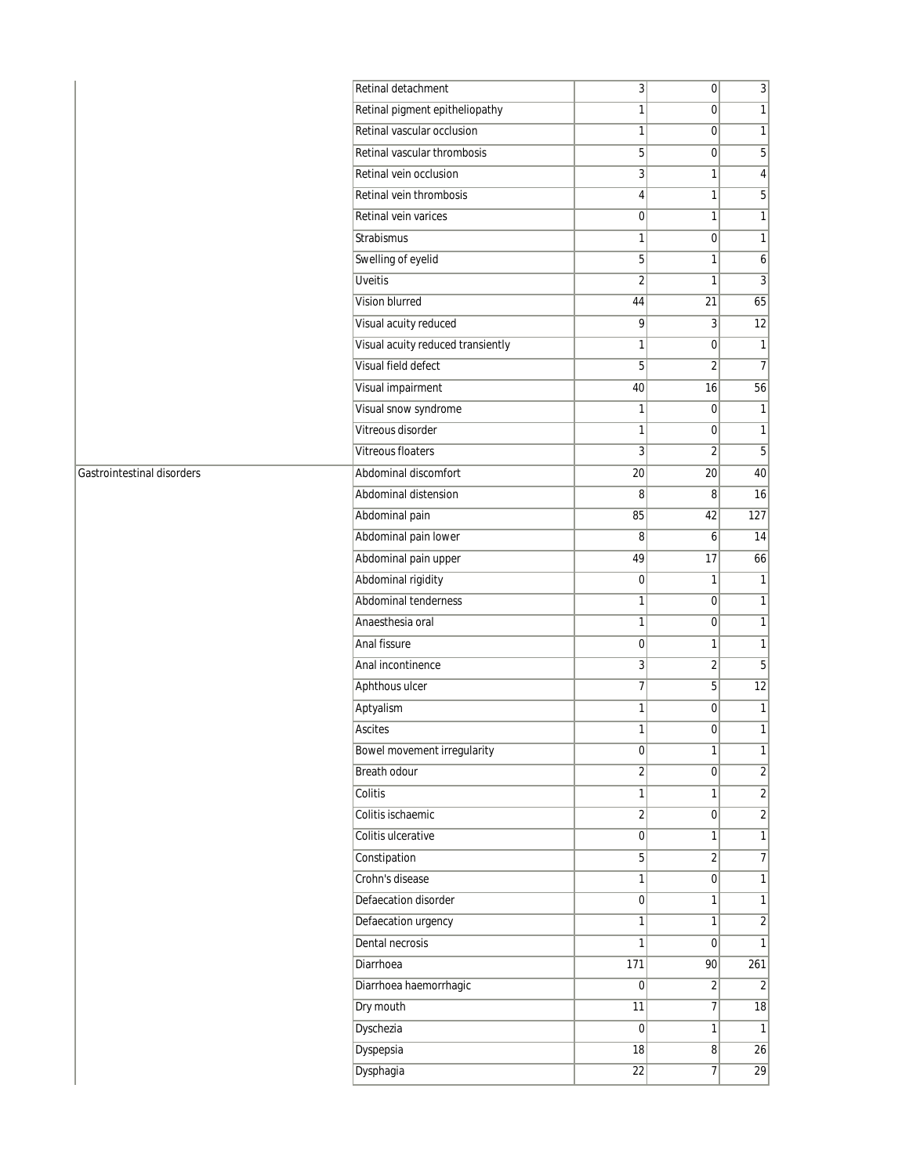|                            | Retinal detachment                | $\overline{3}$   | $\overline{0}$          | $\overline{3}$ |
|----------------------------|-----------------------------------|------------------|-------------------------|----------------|
|                            | Retinal pigment epitheliopathy    | 1                | $\overline{0}$          | 1              |
|                            | Retinal vascular occlusion        | 1                | $\overline{0}$          | 1              |
|                            | Retinal vascular thrombosis       | 5                | $\boldsymbol{0}$        | $\overline{5}$ |
|                            | Retinal vein occlusion            | 3                | 1                       | 4              |
|                            | Retinal vein thrombosis           | 4                | 1                       | 5 <sup>1</sup> |
|                            | Retinal vein varices              | $\boldsymbol{0}$ | $\mathbf{1}$            | 1              |
| Strabismus                 |                                   | $\mathbf{1}$     | $\overline{0}$          | $\mathbf{1}$   |
|                            | Swelling of eyelid                | 5                | $\mathbf{1}$            | $\overline{6}$ |
| <b>Uveitis</b>             |                                   | $\overline{c}$   | 1                       | $\overline{3}$ |
| Vision blurred             |                                   | 44               | 21                      | 65             |
|                            | Visual acuity reduced             | 9                | $\overline{3}$          | 12             |
|                            | Visual acuity reduced transiently | 1                | $\overline{0}$          | 1              |
|                            | Visual field defect               | 5                | $\overline{2}$          | $\overline{7}$ |
|                            | Visual impairment                 | 40               | 16                      | 56             |
|                            | Visual snow syndrome              | $\mathbf{1}$     | $\overline{0}$          | $\overline{1}$ |
|                            | Vitreous disorder                 | $\mathbf{1}$     | $\overline{0}$          | 1              |
|                            | <b>Vitreous floaters</b>          | $\sqrt{3}$       | $\overline{2}$          | $\overline{5}$ |
| Gastrointestinal disorders | Abdominal discomfort              | $\overline{20}$  | 20                      | 40             |
|                            | Abdominal distension              | 8                | 8                       | 16             |
| Abdominal pain             |                                   | 85               | 42                      | 127            |
|                            | Abdominal pain lower              | 8                | 6                       | 14             |
|                            | Abdominal pain upper              | 49               | $\overline{17}$         | 66             |
|                            | Abdominal rigidity                | $\boldsymbol{0}$ | $\mathbf{1}$            | $\overline{1}$ |
|                            | Abdominal tenderness              | $\mathbf{1}$     | $\overline{0}$          | $\mathbf{1}$   |
|                            | Anaesthesia oral                  | 1                | $\overline{0}$          | $\overline{1}$ |
| Anal fissure               |                                   | $\pmb{0}$        | $\mathbf{1}$            | 1              |
|                            | Anal incontinence                 | $\overline{3}$   | $\overline{\mathbf{c}}$ | $\overline{5}$ |
| Aphthous ulcer             |                                   | $\overline{7}$   | $\overline{5}$          | 12             |
| Aptyalism                  |                                   | 1                | $\overline{0}$          | 1              |
| <b>Ascites</b>             |                                   | 1                | $\overline{0}$          | $\overline{1}$ |
|                            | Bowel movement irregularity       | $\vert 0 \vert$  | 1                       | 11             |
| Breath odour               |                                   | $\overline{2}$   | $\overline{0}$          | $\overline{2}$ |
| Colitis                    |                                   | $\mathbf 1$      | $\mathbf{1}$            | $\overline{2}$ |
|                            | Colitis ischaemic                 | $\overline{2}$   | $\overline{0}$          | $\overline{2}$ |
|                            | Colitis ulcerative                | $\pmb{0}$        | 1                       | $\overline{1}$ |
| Constipation               |                                   | 5                | $\overline{2}$          | $\overline{7}$ |
| Crohn's disease            |                                   | $\mathbf{1}$     | $\overline{0}$          | 1              |
|                            | Defaecation disorder              | $\boldsymbol{0}$ | $\mathbf{1}$            | $\overline{1}$ |
|                            | Defaecation urgency               | $\mathbf{1}$     | 1                       | $\overline{2}$ |
| Dental necrosis            |                                   | $\mathbf{1}$     | $\overline{0}$          | $\overline{1}$ |
| Diarrhoea                  |                                   | 171              | 90                      | 261            |
|                            | Diarrhoea haemorrhagic            | $\boldsymbol{0}$ | $\overline{2}$          | $\overline{2}$ |
| Dry mouth                  |                                   | $\overline{11}$  | $\overline{7}$          | 18             |
| Dyschezia                  |                                   | $\pmb{0}$        | 1                       | 1              |
| Dyspepsia                  |                                   | 18               | 8                       | 26             |
| Dysphagia                  |                                   | 22               | 7                       | 29             |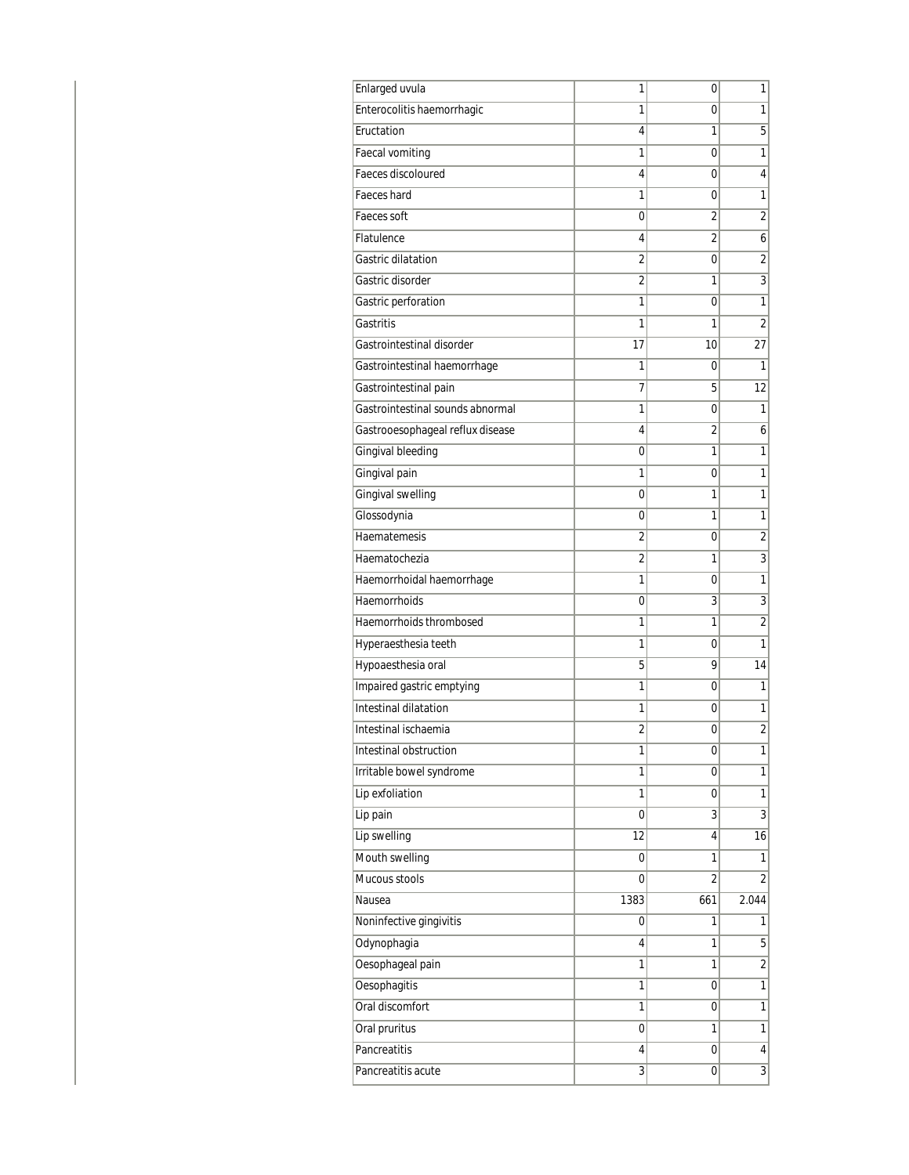| <b>Enlarged uvula</b>            | 1              | 0              | 1                       |
|----------------------------------|----------------|----------------|-------------------------|
| Enterocolitis haemorrhagic       | 1              | 0              | 1                       |
| Eructation                       | 4              | 1              | 5                       |
| Faecal vomiting                  | 1              | 0              | 1                       |
| Faeces discoloured               | 4              | 0              | 4                       |
| Faeces hard                      | 1              | 0              | 1                       |
| Faeces soft                      | 0              | 2              | $\overline{2}$          |
| Flatulence                       | 4              | 2              | 6                       |
| Gastric dilatation               | $\overline{2}$ | 0              | $\overline{2}$          |
| Gastric disorder                 | 2              | 1              | $\overline{3}$          |
| Gastric perforation              | 1              | 0              | 1                       |
| Gastritis                        | 1              | 1              | 2                       |
| Gastrointestinal disorder        | 17             | 10             | 27                      |
| Gastrointestinal haemorrhage     | 1              | 0              | 1                       |
| Gastrointestinal pain            | 7              | 5              | 12                      |
| Gastrointestinal sounds abnormal | 1              | 0              | 1                       |
| Gastrooesophageal reflux disease | 4              | 2              | 6                       |
| Gingival bleeding                | 0              | 1              | 1                       |
| Gingival pain                    | 1              | 0              | 1                       |
| Gingival swelling                | 0              | 1              | $\mathbf 1$             |
| Glossodynia                      | 0              | 1              | 1                       |
| Haematemesis                     | 2              | 0              | $\overline{2}$          |
| Haematochezia                    | 2              | 1              | 3                       |
| Haemorrhoidal haemorrhage        | 1              | 0              | 1                       |
| Haemorrhoids                     | 0              | 3              | 3                       |
| Haemorrhoids thrombosed          | 1              | 1              | $\overline{2}$          |
| Hyperaesthesia teeth             | 1              | 0              | 1                       |
| Hypoaesthesia oral               | 5              | 9              | 14                      |
| Impaired gastric emptying        | 1              | 0              | 1                       |
| Intestinal dilatation            | 1              | 0              | 1                       |
| Intestinal ischaemia             | 2              | 0              | $\overline{2}$          |
| Intestinal obstruction           | 1              | 0              | 1                       |
| Irritable bowel syndrome         | 1              | 0              | $\mathbf{1}$            |
| Lip exfoliation                  | 1              | 0              | 1                       |
| Lip pain                         | 0              | 3              | 3                       |
| Lip swelling                     | 12             | 4              | 16                      |
| Mouth swelling                   | 0              | 1              | 1                       |
| Mucous stools                    | 0              | $\overline{2}$ | $\overline{2}$          |
| Nausea                           | 1383           | 661            | 2.044                   |
| Noninfective gingivitis          | 0              | 1              | 1                       |
| Odynophagia                      | 4              | 1              | $\overline{5}$          |
| Oesophageal pain                 | 1              | 1              | $\overline{\mathbf{c}}$ |
| <b>Oesophagitis</b>              | 1              | 0              | $\overline{1}$          |
| Oral discomfort                  | 1              | 0              | 1                       |
| Oral pruritus                    | 0              | 1              | $\mathbf{1}$            |
| Pancreatitis                     | 4              | 0              | $\vert 4 \vert$         |
| Pancreatitis acute               | 3              | 0              | $\overline{3}$          |
|                                  |                |                |                         |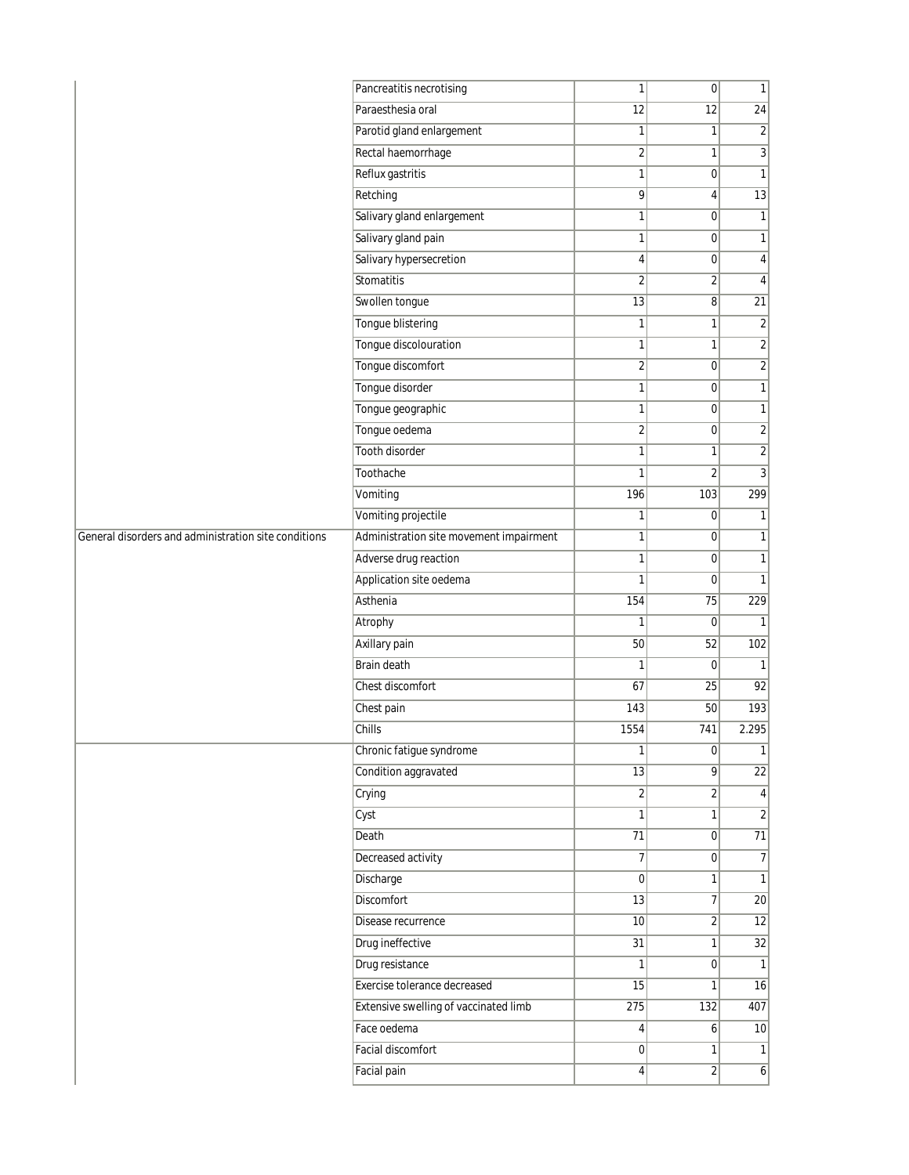|                                                      | Pancreatitis necrotising                | $\mathbf{1}$    | $\overline{0}$          | $\mathbf{1}$    |
|------------------------------------------------------|-----------------------------------------|-----------------|-------------------------|-----------------|
|                                                      | Paraesthesia oral                       | 12              | 12                      | $\overline{24}$ |
|                                                      | Parotid gland enlargement               | 1               | 1                       | $\overline{2}$  |
|                                                      | Rectal haemorrhage                      | $\sqrt{2}$      | $\mathbf{1}$            | $\overline{3}$  |
|                                                      | Reflux gastritis                        | $\mathbf{1}$    | $\mathbf 0$             | $\mathbf{1}$    |
|                                                      | Retching                                | 9               | 4                       | $\overline{13}$ |
|                                                      | Salivary gland enlargement              | $\mathbf{1}$    | $\mathbf 0$             | $\mathbf{1}$    |
|                                                      | Salivary gland pain                     | 1               | $\overline{0}$          | $\mathbf{1}$    |
|                                                      | Salivary hypersecretion                 | $\overline{4}$  | $\overline{0}$          | $\overline{4}$  |
|                                                      | Stomatitis                              | $\overline{2}$  | 2                       | 4               |
|                                                      | Swollen tongue                          | $\overline{13}$ | $\bf{8}$                | $\overline{21}$ |
|                                                      | Tongue blistering                       | $\mathbf{1}$    | 1                       | $\overline{2}$  |
|                                                      | Tongue discolouration                   | 1               | 1                       | $\overline{2}$  |
|                                                      | Tongue discomfort                       | $\sqrt{2}$      | $\overline{0}$          | $\overline{2}$  |
|                                                      | Tongue disorder                         | $\mathbf{1}$    | $\mathbf 0$             | $\mathbf{1}$    |
|                                                      | Tongue geographic                       | $\mathbf{1}$    | $\overline{0}$          | $\mathbf{1}$    |
|                                                      | Tongue oedema                           | $\overline{2}$  | $\mathbf 0$             | $\sqrt{2}$      |
|                                                      | Tooth disorder                          | $\mathbf{1}$    | 1                       | $\overline{2}$  |
|                                                      | Toothache                               | $\mathbf{1}$    | $\overline{\mathbf{c}}$ | $\overline{3}$  |
|                                                      | Vomiting                                | 196             | 103                     | 299             |
|                                                      | Vomiting projectile                     | $\mathbf{1}$    | $\overline{0}$          | 1               |
| General disorders and administration site conditions | Administration site movement impairment | $\mathbf{1}$    | $\overline{0}$          | $\mathbf{1}$    |
|                                                      | Adverse drug reaction                   | 1               | $\overline{0}$          | $\mathbf{1}$    |
|                                                      | Application site oedema                 | $\mathbf{1}$    | $\overline{0}$          | $\mathbf{1}$    |
|                                                      | Asthenia                                | 154             | 75                      | 229             |
|                                                      | Atrophy                                 | 1               | $\overline{0}$          | $\mathbf{1}$    |
|                                                      | Axillary pain                           | 50              | 52                      | 102             |
|                                                      | <b>Brain death</b>                      | 1               | $\mathbf 0$             | $\mathbf{1}$    |
|                                                      | Chest discomfort                        | 67              | 25                      | 92              |
|                                                      | Chest pain                              | 143             | 50                      | 193             |
|                                                      | Chills                                  | 1554            | 741                     | 2.295           |
|                                                      | Chronic fatigue syndrome                | $\mathbf{1}$    | 0                       | 1               |
|                                                      | Condition aggravated                    | 13              | $\overline{9}$          | $\overline{22}$ |
|                                                      | Crying                                  | $\overline{2}$  | $\overline{2}$          | $\vert$         |
|                                                      | Cyst                                    | 1               | 1                       | $\overline{2}$  |
|                                                      | Death                                   | $\overline{71}$ | 0                       | $\overline{71}$ |
|                                                      | Decreased activity                      | $\overline{7}$  | $\overline{0}$          | $\overline{7}$  |
|                                                      | Discharge                               | $\overline{0}$  | $\mathbf{1}$            | $\overline{1}$  |
|                                                      | <b>Discomfort</b>                       | 13              | $\overline{7}$          | 20              |
|                                                      | Disease recurrence                      | 10              | 2                       | 12              |
|                                                      | Drug ineffective                        | 31              | $\mathbf{1}$            | $\overline{32}$ |
|                                                      | Drug resistance                         | $\mathbf{1}$    | $\overline{0}$          | $\mathbf{1}$    |
|                                                      | Exercise tolerance decreased            | 15              | 1                       | 16              |
|                                                      | Extensive swelling of vaccinated limb   | 275             | $\overline{132}$        | 407             |
|                                                      | Face oedema                             | 4               | 6                       | 10              |
|                                                      | <b>Facial discomfort</b>                | $\overline{0}$  | $\mathbf{1}$            | $\mathbf{1}$    |
|                                                      | Facial pain                             | $\vert 4 \vert$ | $\overline{2}$          | $\overline{6}$  |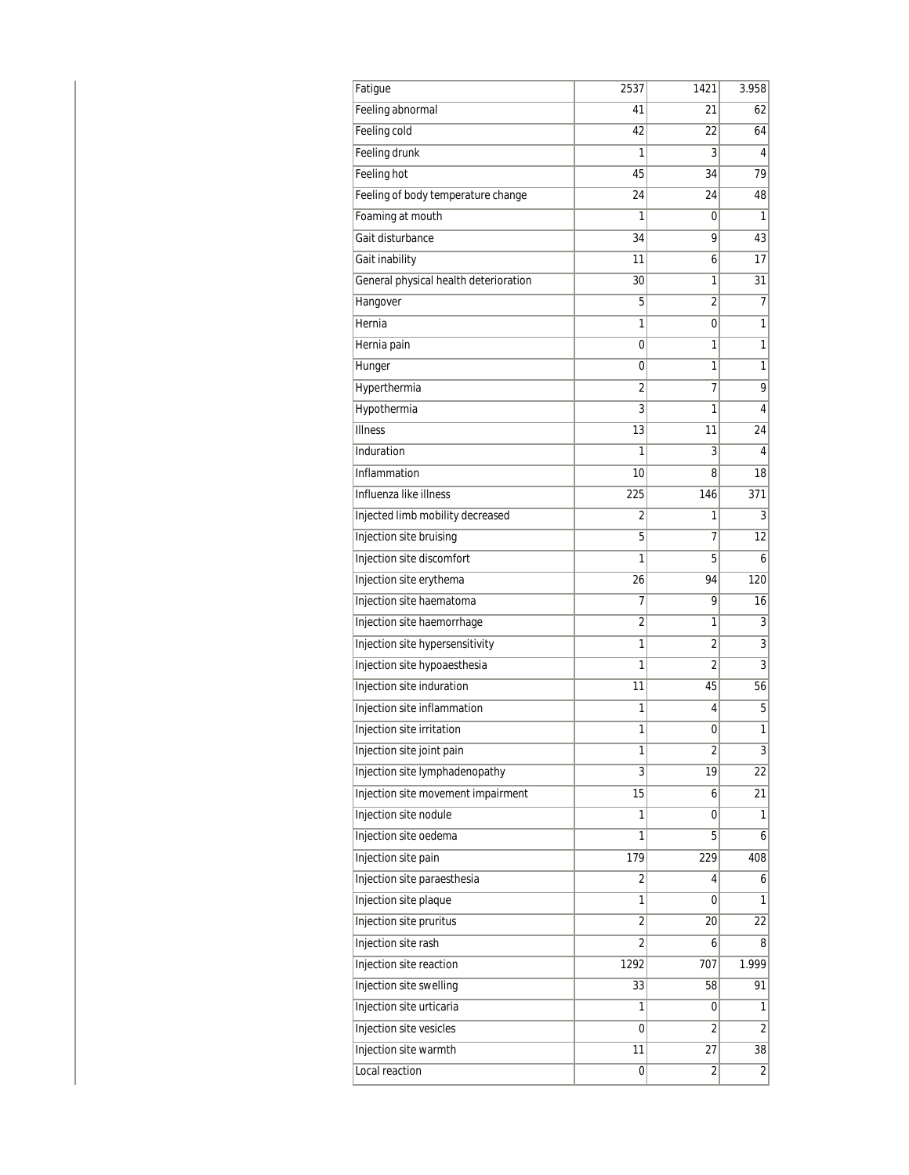| Fatique                               | 2537           | 1421           | 3.958          |
|---------------------------------------|----------------|----------------|----------------|
| Feeling abnormal                      | 41             | 21             | 62             |
| Feeling cold                          | 42             | 22             | 64             |
| Feeling drunk                         | 1              | 3              | 4              |
| Feeling hot                           | 45             | 34             | 79             |
| Feeling of body temperature change    | 24             | 24             | 48             |
| Foaming at mouth                      | 1              | 0              | 1              |
| Gait disturbance                      | 34             | 9              | 43             |
| Gait inability                        | 11             | 6              | 17             |
| General physical health deterioration | 30             | 1              | 31             |
| Hangover                              | 5              | 2              | 7              |
| Hernia                                | 1              | 0              | 1              |
| Hernia pain                           | 0              | 1              | 1              |
| Hunger                                | 0              | 1              | 1              |
| Hyperthermia                          | 2              | 7              | 9              |
| Hypothermia                           | 3              | 1              | 4              |
| <b>Illness</b>                        | 13             | 11             | 24             |
| Induration                            | 1              | 3              | 4              |
| Inflammation                          | 10             | 8              | 18             |
| Influenza like illness                | 225            | 146            | 371            |
| Injected limb mobility decreased      | 2              | 1              | 3              |
| Injection site bruising               | 5              | 7              | 12             |
| Injection site discomfort             | 1              | 5              | 6              |
| Injection site erythema               | 26             | 94             | 120            |
| Injection site haematoma              | 7              | 9              | 16             |
| Injection site haemorrhage            | 2              | 1              | 3              |
| Injection site hypersensitivity       | 1              | $\overline{2}$ | 3              |
| Injection site hypoaesthesia          | 1              | 2              | 3              |
| Injection site induration             | 11             | 45             | 56             |
| Injection site inflammation           | 1              | 4              | 5              |
| Injection site irritation             | 1              | 0              | 1              |
| Injection site joint pain             | 1              | 2              | 3 <sup>1</sup> |
| Injection site lymphadenopathy        | 3              | 19             | 22             |
| Injection site movement impairment    | 15             | 6              | 21             |
| Injection site nodule                 | 1              | 0              | 1              |
| Injection site oedema                 | 1              | 5              | $\overline{6}$ |
| Injection site pain                   | 179            | 229            | 408            |
| Injection site paraesthesia           | $\overline{2}$ | 4              | $\overline{6}$ |
| Injection site plaque                 | 1              | 0              | 1              |
| Injection site pruritus               | 2              | 20             | 22             |
| Injection site rash                   | $\overline{2}$ | 6              | 8              |
| Injection site reaction               | 1292           | 707            | 1.999          |
| Injection site swelling               | 33             | 58             | 91             |
| Injection site urticaria              | 1              | 0              | 1              |
| Injection site vesicles               | 0              | 2              | 2              |
| Injection site warmth                 | 11             | 27             | 38             |
| Local reaction                        | 0              | 2              | $\overline{2}$ |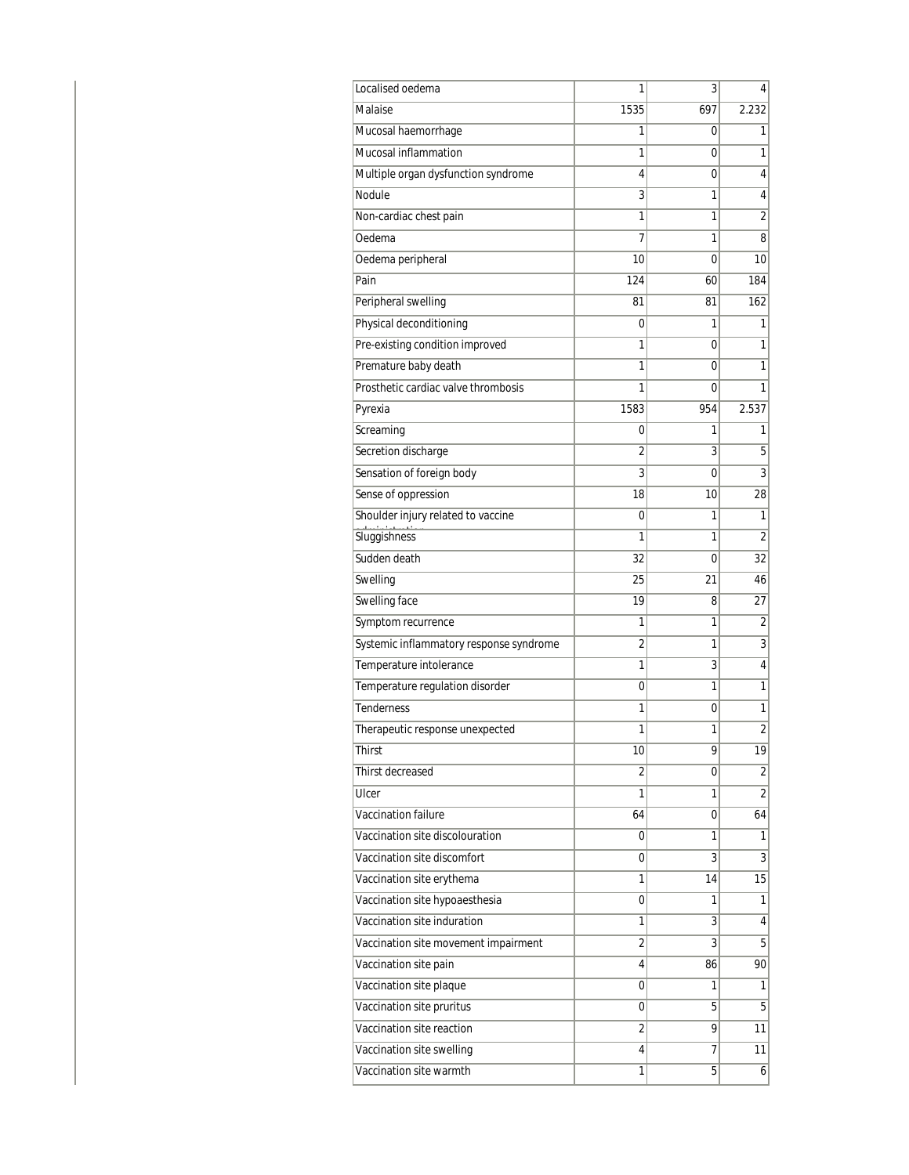| Localised oedema                        | 1              | 3   | 4              |
|-----------------------------------------|----------------|-----|----------------|
| Malaise                                 | 1535           | 697 | 2.232          |
| Mucosal haemorrhage                     | 1              | 0   | 1              |
| Mucosal inflammation                    | 1              | 0   | 1              |
| Multiple organ dysfunction syndrome     | 4              | 0   | 4              |
| Nodule                                  | 3              | 1   | 4              |
| Non-cardiac chest pain                  | 1              | 1   | 2              |
| Oedema                                  | 7              | 1   | 8              |
| Oedema peripheral                       | 10             | 0   | 10             |
| Pain                                    | 124            | 60  | 184            |
| Peripheral swelling                     | 81             | 81  | 162            |
| Physical deconditioning                 | 0              | 1   | 1              |
| Pre-existing condition improved         | 1              | 0   | 1              |
| Premature baby death                    | 1              | 0   | 1              |
| Prosthetic cardiac valve thrombosis     | 1              | 0   | 1              |
| Pyrexia                                 | 1583           | 954 | 2.537          |
| Screaming                               | 0              | 1   | 1              |
| Secretion discharge                     | 2              | 3   | 5              |
| Sensation of foreign body               | 3              | 0   | 3              |
| Sense of oppression                     | 18             | 10  | 28             |
| Shoulder injury related to vaccine      | 0              | 1   | 1              |
| Sluggishness                            | 1              | 1   | 2              |
| Sudden death                            | 32             | 0   | 32             |
| Swelling                                | 25             | 21  | 46             |
| Swelling face                           | 19             | 8   | 27             |
| Symptom recurrence                      | 1              | 1   | 2              |
| Systemic inflammatory response syndrome | 2              | 1   | 3              |
| Temperature intolerance                 | 1              | 3   | 4              |
| Temperature regulation disorder         | 0              | 1   | 1              |
| <b>Tenderness</b>                       | 1              | 0   | 1              |
| Therapeutic response unexpected         | 1              | 1   | $\overline{2}$ |
| Thirst                                  | 10             | 9   | 19             |
| Thirst decreased                        | $\overline{2}$ | 0   | $\overline{2}$ |
| Ulcer                                   | 1              | 1   | $\overline{2}$ |
| Vaccination failure                     | 64             | 0   | 64             |
| Vaccination site discolouration         | 0              | 1   | 1              |
| Vaccination site discomfort             | 0              | 3   | 3              |
| Vaccination site erythema               | 1              | 14  | 15             |
| Vaccination site hypoaesthesia          | 0              | 1   | $\mathbf{1}$   |
| Vaccination site induration             | 1              | 3   | 4              |
| Vaccination site movement impairment    | 2              | 3   | 5              |
| Vaccination site pain                   | 4              | 86  | 90             |
| Vaccination site plaque                 | 0              | 1   | 1              |
| Vaccination site pruritus               | 0              | 5   | 5              |
| Vaccination site reaction               | 2              | 9   | 11             |
| Vaccination site swelling               | 4              | 7   | 11             |
| Vaccination site warmth                 | 1              | 5   | $\overline{6}$ |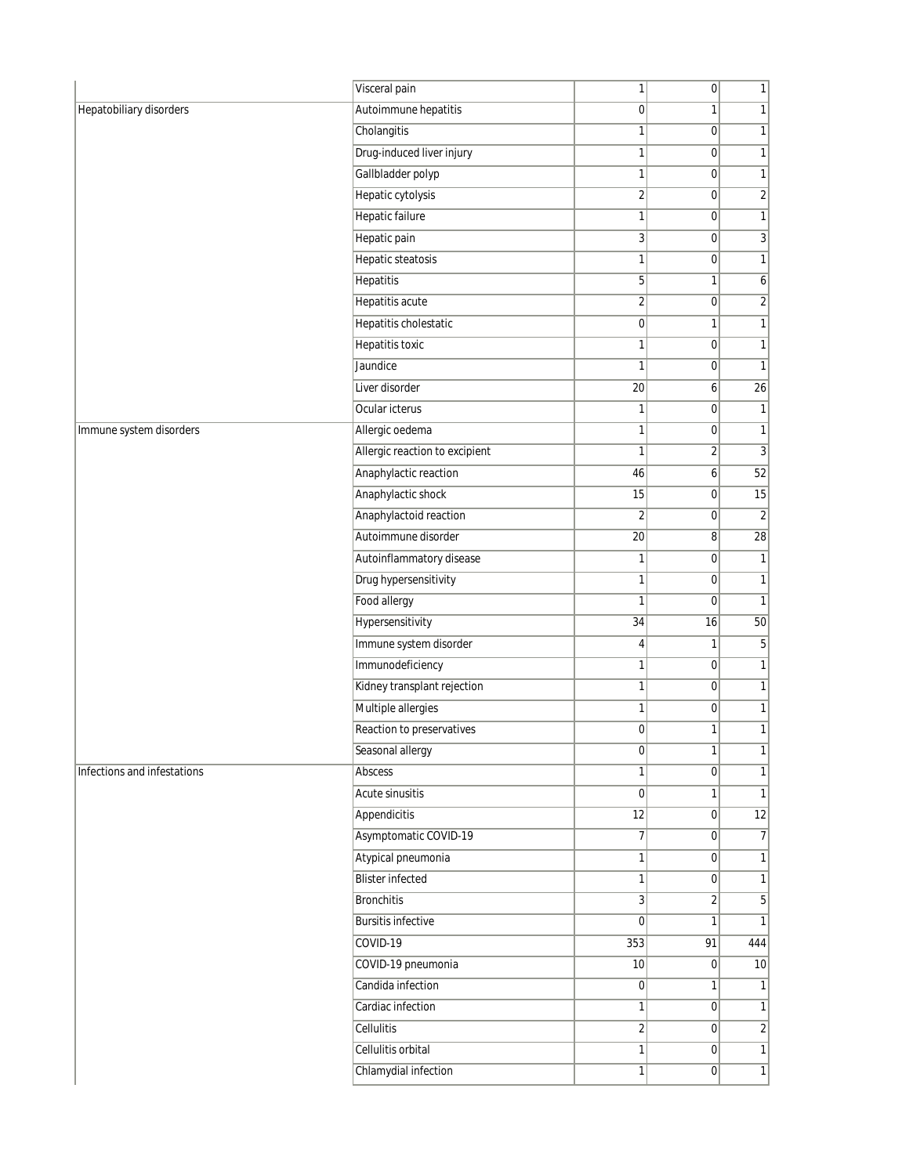|                             | Visceral pain                  | 1                | 0              | 1               |
|-----------------------------|--------------------------------|------------------|----------------|-----------------|
| Hepatobiliary disorders     | Autoimmune hepatitis           | $\overline{0}$   | 1              | $\mathbf{1}$    |
|                             | Cholangitis                    | 1                | 0              | 1               |
|                             | Drug-induced liver injury      | 1                | 0              | $\mathbf{1}$    |
|                             | Gallbladder polyp              | 1                | 0              | $\mathbf{1}$    |
|                             | Hepatic cytolysis              | $\overline{2}$   | 0              | $\sqrt{2}$      |
|                             | <b>Hepatic failure</b>         | 1                | 0              | $\mathbf{1}$    |
|                             | Hepatic pain                   | 3                | 0              | 3               |
|                             | Hepatic steatosis              | 1                | 0              | $\mathbf{1}$    |
|                             | Hepatitis                      | 5                | 1              | 6               |
|                             | <b>Hepatitis acute</b>         | $\overline{2}$   | 0              | $\sqrt{2}$      |
|                             | Hepatitis cholestatic          | $\overline{0}$   | 1              | $\mathbf{1}$    |
|                             | <b>Hepatitis toxic</b>         | 1                | 0              | $\mathbf{1}$    |
|                             | Jaundice                       | 1                | 0              | $\mathbf{1}$    |
|                             | Liver disorder                 | 20               | 6              | 26              |
|                             | Ocular icterus                 | 1                | $\overline{0}$ | $\mathbf{1}$    |
| Immune system disorders     | Allergic oedema                | 1                | 0              | $\mathbf{1}$    |
|                             | Allergic reaction to excipient | 1                | $\overline{2}$ |                 |
|                             | Anaphylactic reaction          | 46               | $6\vert$       | 52              |
|                             | Anaphylactic shock             | 15               | 0              | 15              |
|                             | Anaphylactoid reaction         | $\overline{2}$   | 0              |                 |
|                             | Autoimmune disorder            | 20               | 8 <sup>1</sup> | $\overline{28}$ |
|                             | Autoinflammatory disease       | 1                | 0              |                 |
|                             | Drug hypersensitivity          | 1                | 0              |                 |
|                             | Food allergy                   | 1                | 0              | $\mathbf{1}$    |
|                             | Hypersensitivity               | 34               | 16             | 50              |
|                             | Immune system disorder         | $\vert 4 \vert$  | 1              |                 |
|                             | Immunodeficiency               | 1                | 0              |                 |
|                             | Kidney transplant rejection    | 1                | 0              |                 |
|                             | Multiple allergies             | 1                | 0              | $\mathbf{1}$    |
|                             | Reaction to preservatives      | $\boldsymbol{0}$ | 1              |                 |
|                             | Seasonal allergy               | $\overline{0}$   | $\mathbf{1}$   |                 |
| Infections and infestations | Abscess                        | 1                | $\overline{0}$ |                 |
|                             | <b>Acute sinusitis</b>         | $\boldsymbol{0}$ | $\mathbf{1}$   |                 |
|                             | Appendicitis                   | 12               | 0              | 12              |
|                             | Asymptomatic COVID-19          | $\overline{7}$   | $\overline{0}$ |                 |
|                             | Atypical pneumonia             | 1                | $\overline{0}$ |                 |
|                             | <b>Blister infected</b>        | 1                | 0              |                 |
|                             | Bronchitis                     | 3                | $\overline{2}$ |                 |
|                             | <b>Bursitis infective</b>      | 0                | 1              | $\mathbf{1}$    |
|                             | COVID-19                       | 353              | 91             | 444             |
|                             | COVID-19 pneumonia             | 10               | 0              | 10              |
|                             | Candida infection              | $\overline{0}$   | 1              | 1               |
|                             | Cardiac infection              | 1                | 0              | $\mathbf{1}$    |
|                             | Cellulitis                     | $\overline{2}$   | 0              | $\sqrt{2}$      |
|                             | Cellulitis orbital             | 1                | $\overline{0}$ | 1               |
|                             | Chlamydial infection           | 1                | $\overline{0}$ | $\overline{1}$  |
|                             |                                |                  |                |                 |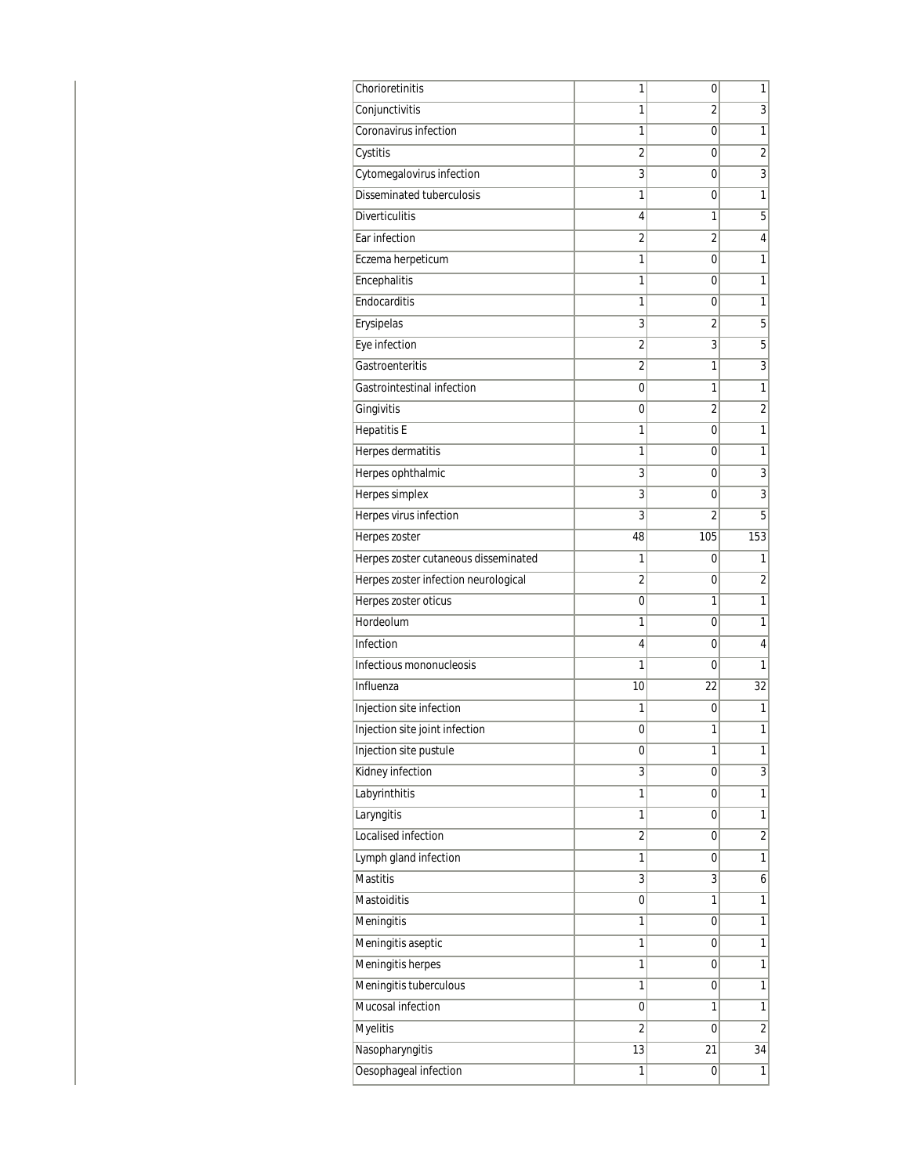| Chorioretinitis                      | 1              | 0              | 1              |
|--------------------------------------|----------------|----------------|----------------|
| Conjunctivitis                       | 1              | 2              | 3              |
| Coronavirus infection                | 1              | 0              | 1              |
| Cystitis                             | $\overline{2}$ | 0              | $\overline{2}$ |
| Cytomegalovirus infection            | 3              | $\mathbf 0$    | $\overline{3}$ |
| Disseminated tuberculosis            | 1              | 0              | 1              |
| <b>Diverticulitis</b>                | 4              | 1              | 5              |
| Ear infection                        | 2              | 2              | 4              |
| Eczema herpeticum                    | 1              | 0              | 1              |
| Encephalitis                         | 1              | 0              | 1              |
| Endocarditis                         | 1              | 0              | 1              |
| Erysipelas                           | 3              | 2              | 5              |
| Eye infection                        | $\overline{2}$ | 3              | 5              |
| Gastroenteritis                      | $\overline{2}$ | 1              | $\overline{3}$ |
| Gastrointestinal infection           | 0              | 1              | 1              |
| Gingivitis                           | 0              | 2              | $\overline{2}$ |
| <b>Hepatitis E</b>                   | 1              | 0              | 1              |
| Herpes dermatitis                    | 1              | 0              | 1              |
| Herpes ophthalmic                    | 3              | 0              | $\overline{3}$ |
| Herpes simplex                       | 3              | 0              | $\overline{3}$ |
| Herpes virus infection               | 3              | $\overline{2}$ | 5              |
| Herpes zoster                        | 48             | 105            | 153            |
| Herpes zoster cutaneous disseminated | 1              | 0              | 1              |
| Herpes zoster infection neurological | $\overline{2}$ | 0              | $\overline{2}$ |
| Herpes zoster oticus                 | 0              | 1              | 1              |
| Hordeolum                            | 1              | 0              | 1              |
| Infection                            | 4              | 0              | 4              |
| Infectious mononucleosis             | 1              | 0              | 1              |
| Influenza                            | 10             | 22             | 32             |
| Injection site infection             | 1              | 0              | 1              |
| Injection site joint infection       | 0              | 1              | 1              |
| Injection site pustule               | 0              | 1              | 1              |
| Kidney infection                     | 3              | 0              | $\overline{3}$ |
| Labyrinthitis                        | 1              | 0              | $\overline{1}$ |
| Laryngitis                           | 1              | 0              | 1              |
| Localised infection                  | $\overline{2}$ | 0              | $\overline{2}$ |
| Lymph gland infection                | 1              | 0              | 1              |
| <b>Mastitis</b>                      | 3              | 3              | 6              |
| Mastoiditis                          | 0              | 1              | 1              |
| Meningitis                           | 1              | 0              | 1              |
| Meningitis aseptic                   | 1              | 0              | 1              |
| Meningitis herpes                    | 1              | 0              | 1              |
| Meningitis tuberculous               | 1              | 0              | 1              |
| Mucosal infection                    | 0              | 1              | 1              |
| Myelitis                             | $\overline{2}$ | 0              | $\overline{2}$ |
| Nasopharyngitis                      | 13             | 21             | 34             |
| Oesophageal infection                | 1              | 0              | 1              |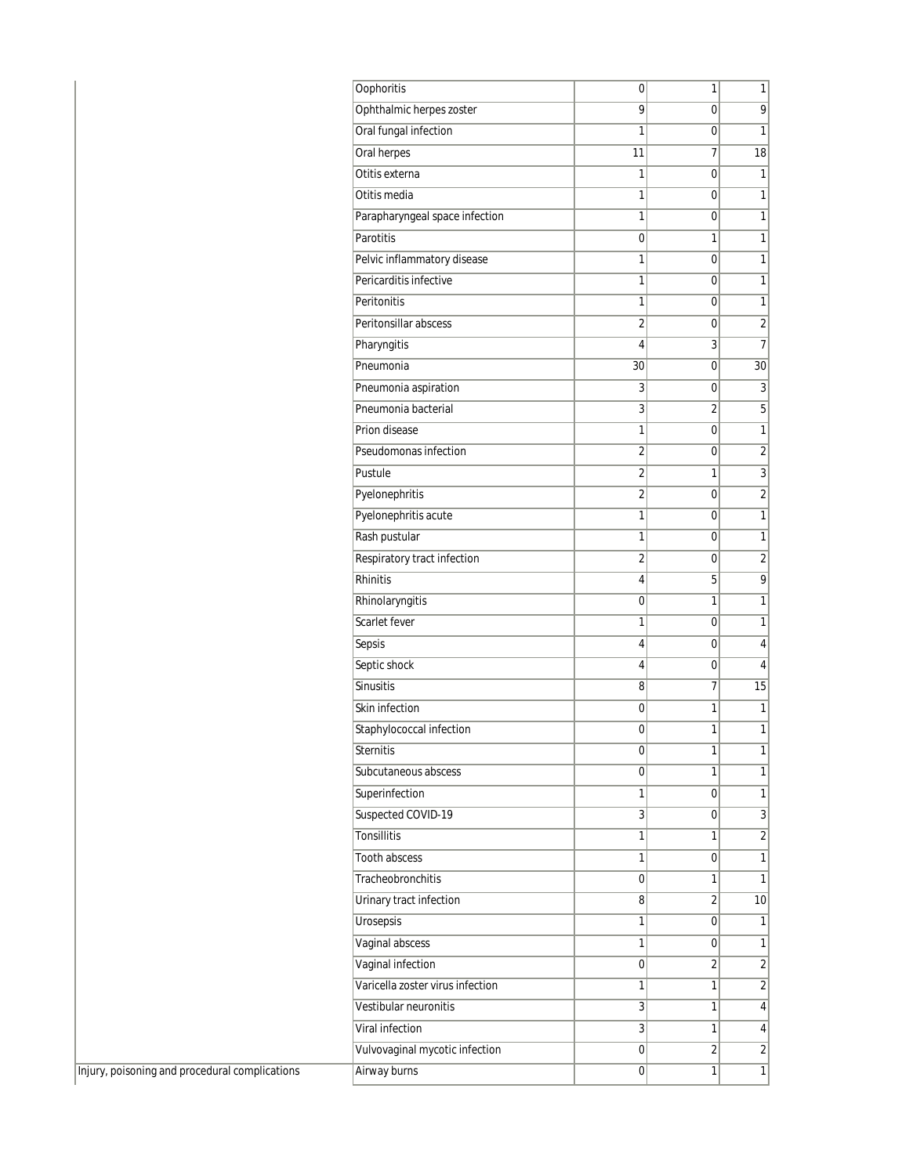| <b>Oophoritis</b>                | 0              | 1              | 1                       |
|----------------------------------|----------------|----------------|-------------------------|
| Ophthalmic herpes zoster         | 9              | 0              | 9                       |
| Oral fungal infection            | 1              | 0              | $\overline{1}$          |
| Oral herpes                      | 11             | 7              | 18                      |
| Otitis externa                   | 1              | 0              | 1                       |
| Otitis media                     | 1              | 0              | 1                       |
| Parapharyngeal space infection   | 1              | 0              | 1                       |
| Parotitis                        | 0              | 1              | 1                       |
| Pelvic inflammatory disease      | 1              | 0              | 1                       |
| Pericarditis infective           | 1              | 0              | 1                       |
| Peritonitis                      | 1              | 0              | 1                       |
| Peritonsillar abscess            | $\overline{2}$ | 0              | $\overline{\mathbf{c}}$ |
| Pharyngitis                      | 4              | $\overline{3}$ | $\overline{7}$          |
| Pneumonia                        | 30             | 0              | 30                      |
| Pneumonia aspiration             | 3              | 0              | 3                       |
| Pneumonia bacterial              | 3              | 2              | $\overline{5}$          |
| Prion disease                    | 1              | 0              | $\mathbf{1}$            |
| Pseudomonas infection            | $\overline{2}$ | 0              | $\overline{2}$          |
| Pustule                          | $\overline{2}$ | 1              | $\overline{3}$          |
| Pyelonephritis                   | $\overline{2}$ | 0              | $\overline{2}$          |
| Pyelonephritis acute             | 1              | 0              | $\overline{1}$          |
| Rash pustular                    | 1              | 0              | $\mathbf{1}$            |
| Respiratory tract infection      | $\overline{2}$ | 0              | $\overline{2}$          |
| Rhinitis                         | 4              | 5              | $\overline{9}$          |
| Rhinolaryngitis                  | $\mathbf 0$    | 1              | 1                       |
| Scarlet fever                    | 1              | 0              | 1                       |
| Sepsis                           | 4              | 0              | 4                       |
| Septic shock                     | 4              | 0              | 4                       |
| Sinusitis                        | 8              | 7              | 15                      |
| Skin infection                   | 0              | 1              | 1                       |
| Staphylococcal infection         | 0              | 1              | 1                       |
| Sternitis                        | 0              | 1              | 1                       |
| Subcutaneous abscess             | 0              | 1              | $\overline{1}$          |
| Superinfection                   | 1              | $\overline{0}$ | $\mathbf{1}$            |
| Suspected COVID-19               | 3              | $\overline{0}$ | $\overline{3}$          |
| <b>Tonsillitis</b>               | 1              | 1              | $\overline{2}$          |
| <b>Tooth abscess</b>             | 1              | 0              | $\mathbf{1}$            |
| Tracheobronchitis                | 0              | 1              | 1                       |
| Urinary tract infection          | 8              | 2              | 10 <sup>1</sup>         |
| Urosepsis                        | 1              | $\overline{0}$ | 1                       |
| Vaginal abscess                  | 1              | $\overline{0}$ | 1                       |
| Vaginal infection                | 0              | $\overline{2}$ | $\overline{\mathbf{c}}$ |
| Varicella zoster virus infection | 1              | 1              | $\overline{2}$          |
| Vestibular neuronitis            | 3              | 1              | $\overline{\mathbf{4}}$ |
| Viral infection                  | 3              | 1              | $\overline{\mathbf{4}}$ |
| Vulvovaginal mycotic infection   | 0              | 2              | $\overline{2}$          |
| Airway burns                     | 0              | 1              | $\mathbf{1}$            |
|                                  |                |                |                         |

 $\boxed{\text{Injury, poisoning and procedural complications}}$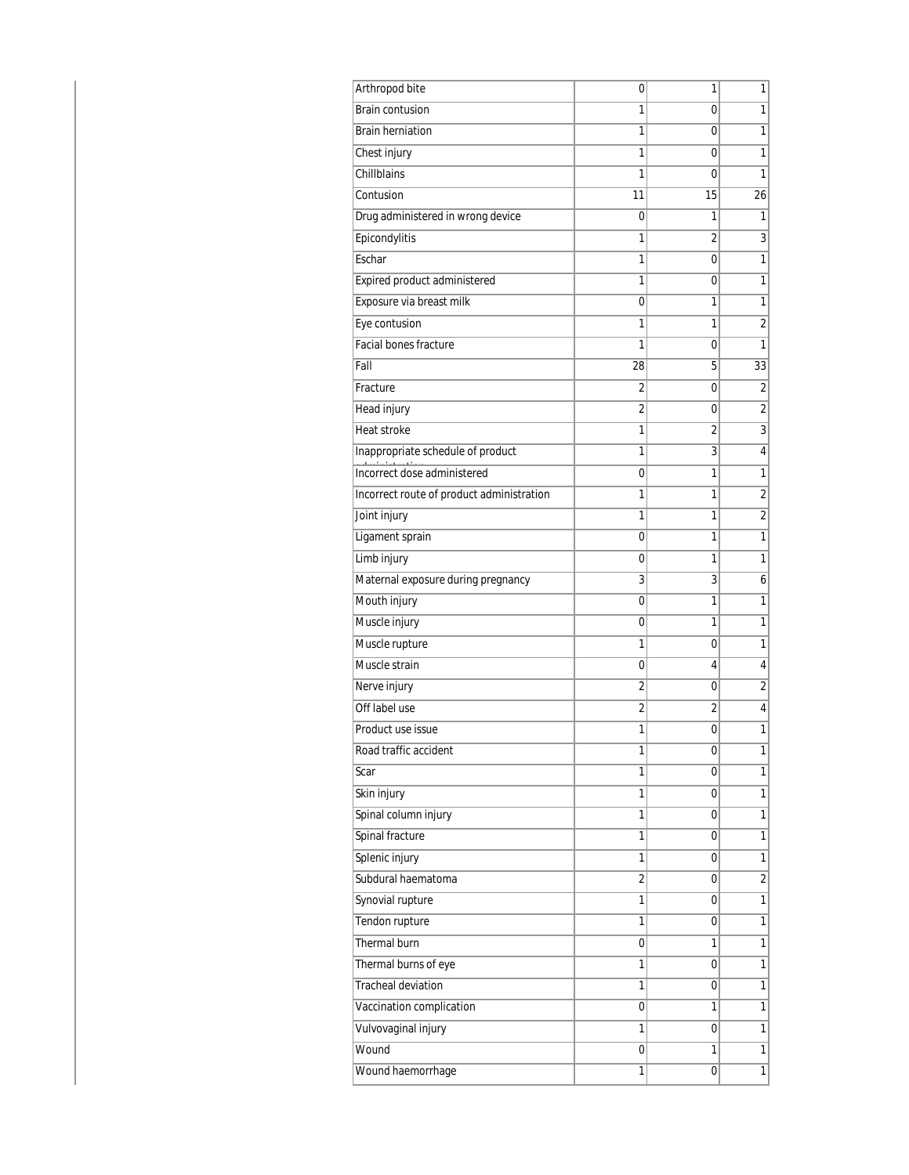| Arthropod bite                            | 0              | 1  | 1                       |
|-------------------------------------------|----------------|----|-------------------------|
| <b>Brain contusion</b>                    | 1              | 0  | 1                       |
| <b>Brain herniation</b>                   | 1              | 0  | 1                       |
| Chest injury                              | 1              | 0  | 1                       |
| Chillblains                               | 1              | 0  | 1                       |
| Contusion                                 | 11             | 15 | 26                      |
| Drug administered in wrong device         | 0              | 1  | 1                       |
| Epicondylitis                             | 1              | 2  | 3                       |
| Eschar                                    | 1              | 0  | 1                       |
| Expired product administered              | 1              | 0  | 1                       |
| Exposure via breast milk                  | 0              | 1  | 1                       |
| Eye contusion                             | 1              | 1  | $\overline{2}$          |
| Facial bones fracture                     | 1              | 0  | 1                       |
| Fall                                      | 28             | 5  | 33                      |
| Fracture                                  | 2              | 0  | 2                       |
| <b>Head injury</b>                        | $\overline{2}$ | 0  | $\overline{2}$          |
| Heat stroke                               | 1              | 2  | 3                       |
| Inappropriate schedule of product         | 1              | 3  | 4                       |
| Incorrect dose administered               | 0              | 1  | $\mathbf{1}$            |
| Incorrect route of product administration | 1              | 1  | $\overline{\mathbf{c}}$ |
| Joint injury                              | 1              | 1  | $\overline{2}$          |
| Ligament sprain                           | 0              | 1  | $\mathbf{1}$            |
| Limb injury                               | 0              | 1  | $\mathbf{1}$            |
| Maternal exposure during pregnancy        | 3              | 3  | 6                       |
| Mouth injury                              | 0              | 1  | $\mathbf{1}$            |
| Muscle injury                             | 0              | 1  | 1                       |
| Muscle rupture                            | 1              | 0  | 1                       |
| Muscle strain                             | 0              | 4  | 4                       |
| Nerve injury                              | $\overline{2}$ | 0  | $\overline{2}$          |
| Off label use                             | 2              | 2  | 4                       |
| Product use issue                         | 1              | 0  | 1                       |
| Road traffic accident                     | 1              | 0  | 1                       |
| Scar                                      | 1              | 0  | $\mathbf{1}$            |
| Skin injury                               | 1              | 0  | $\mathbf{1}$            |
| Spinal column injury                      | 1              | 0  | 1                       |
| Spinal fracture                           | 1              | 0  | $\overline{1}$          |
| Splenic injury                            | 1              | 0  | $\mathbf{1}$            |
| Subdural haematoma                        | $\overline{2}$ | 0  | $\overline{2}$          |
| Synovial rupture                          | 1              | 0  | $\mathbf{1}$            |
| Tendon rupture                            | 1              | 0  | 1                       |
| Thermal burn                              | 0              | 1  | $\overline{1}$          |
| Thermal burns of eye                      | 1              | 0  | $\mathbf{1}$            |
| <b>Tracheal deviation</b>                 | 1              | 0  | $\mathbf{1}$            |
| Vaccination complication                  | 0              | 1  | $\mathbf{1}$            |
| Vulvovaginal injury                       | 1              | 0  | 1                       |
| Wound                                     | 0              | 1  | $\mathbf{1}$            |
| Wound haemorrhage                         | 1              | 0  | $\mathbf{1}$            |
|                                           |                |    |                         |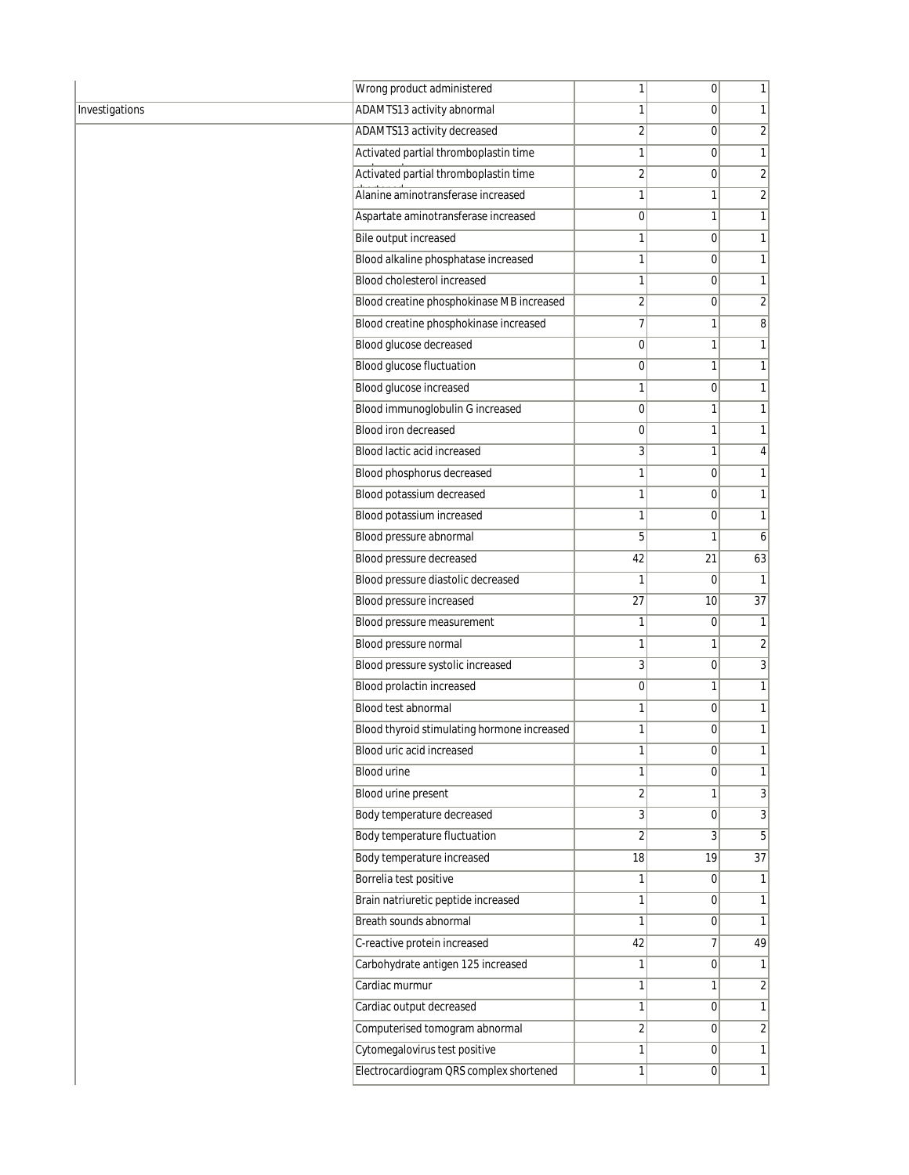|                | Wrong product administered                  | 1                       | 0              | $\mathbf{1}$    |
|----------------|---------------------------------------------|-------------------------|----------------|-----------------|
| Investigations | ADAMTS13 activity abnormal                  | $\mathbf{1}$            | $\overline{0}$ | 1               |
|                | ADAMTS13 activity decreased                 | $\overline{2}$          | $\overline{0}$ | $\overline{2}$  |
|                | Activated partial thromboplastin time       | $\mathbf{1}$            | $\overline{0}$ | $\mathbf{1}$    |
|                | Activated partial thromboplastin time       | $\overline{2}$          | $\mathbf 0$    | $\overline{2}$  |
|                | Alanine aminotransferase increased          | 1                       | 1              | $\overline{2}$  |
|                | Aspartate aminotransferase increased        | $\overline{0}$          | 1              | 1               |
|                | <b>Bile output increased</b>                | $\mathbf{1}$            | $\overline{0}$ | 1               |
|                | Blood alkaline phosphatase increased        | $\mathbf{1}$            | $\overline{0}$ | 1               |
|                | Blood cholesterol increased                 | $\mathbf{1}$            | $\mathbf 0$    | $\mathbf{1}$    |
|                | Blood creatine phosphokinase MB increased   | $\overline{2}$          | $\mathbf 0$    | $\overline{2}$  |
|                | Blood creatine phosphokinase increased      | $\overline{7}$          | 1              | 8 <sup>1</sup>  |
|                | Blood glucose decreased                     | $\overline{0}$          | 1              | 1               |
|                | <b>Blood glucose fluctuation</b>            | $\overline{0}$          | 1              | $\mathbf{1}$    |
|                | Blood glucose increased                     | $\mathbf{1}$            | $\mathbf 0$    | $\mathbf{1}$    |
|                | Blood immunoglobulin G increased            | $\overline{0}$          | 1              | $\mathbf{1}$    |
|                | <b>Blood iron decreased</b>                 | $\overline{0}$          | 1              | $\mathbf{1}$    |
|                | Blood lactic acid increased                 | 3 <sup>1</sup>          | 1              | 4               |
|                | Blood phosphorus decreased                  | $\mathbf{1}$            | $\overline{0}$ | 1               |
|                | Blood potassium decreased                   | $\mathbf{1}$            | $\mathbf 0$    | $\mathbf{1}$    |
|                | Blood potassium increased                   | $\mathbf{1}$            | $\mathbf 0$    | $\mathbf{1}$    |
|                | Blood pressure abnormal                     | 5                       | 1              | 6               |
|                | Blood pressure decreased                    | 42                      | 21             | 63              |
|                | Blood pressure diastolic decreased          | $\mathbf{1}$            | $\mathbf 0$    | $\mathbf{1}$    |
|                | Blood pressure increased                    | 27                      | 10             | $\overline{37}$ |
|                | Blood pressure measurement                  | 1                       | 0              | $\mathbf{1}$    |
|                | Blood pressure normal                       | 1                       | 1              | $\overline{2}$  |
|                | Blood pressure systolic increased           | 3 <sup>1</sup>          | $\overline{0}$ | $\overline{3}$  |
|                | <b>Blood prolactin increased</b>            | $\overline{0}$          | 1              | 1               |
|                | Blood test abnormal                         | 1                       | $\mathbf 0$    | $\mathbf{1}$    |
|                | Blood thyroid stimulating hormone increased | $\mathbf{1}$            | 0              | 1               |
|                | Blood uric acid increased                   | 1                       | 0              | 1               |
|                | <b>Blood urine</b>                          | $\mathbf{1}$            | $\overline{0}$ | $\mathbf{1}$    |
|                | Blood urine present                         | $\sqrt{2}$              | 1              | $\overline{3}$  |
|                | Body temperature decreased                  | $\overline{3}$          | $\mathbf 0$    | $\overline{3}$  |
|                | Body temperature fluctuation                | $\overline{2}$          | 3              | 5               |
|                | Body temperature increased                  | 18                      | 19             | $\overline{37}$ |
|                | Borrelia test positive                      | 1                       | 0              | 1               |
|                | Brain natriuretic peptide increased         | $\mathbf{1}$            | $\mathbf 0$    | $\mathbf{1}$    |
|                | Breath sounds abnormal                      | $\mathbf{1}$            | $\mathbf 0$    | $\mathbf{1}$    |
|                | C-reactive protein increased                | 42                      | 7              | 49              |
|                | Carbohydrate antigen 125 increased          | 1                       | 0              | 1               |
|                | Cardiac murmur                              | $\mathbf{1}$            | 1              | $\overline{2}$  |
|                | Cardiac output decreased                    | $\mathbf{1}$            | $\overline{0}$ | $\mathbf{1}$    |
|                | Computerised tomogram abnormal              | $\overline{\mathbf{c}}$ | $\mathbf 0$    | $\sqrt{2}$      |
|                | Cytomegalovirus test positive               | 1                       | $\overline{0}$ | 1               |
|                | Electrocardiogram QRS complex shortened     | $\mathbf{1}$            | 0              | 1               |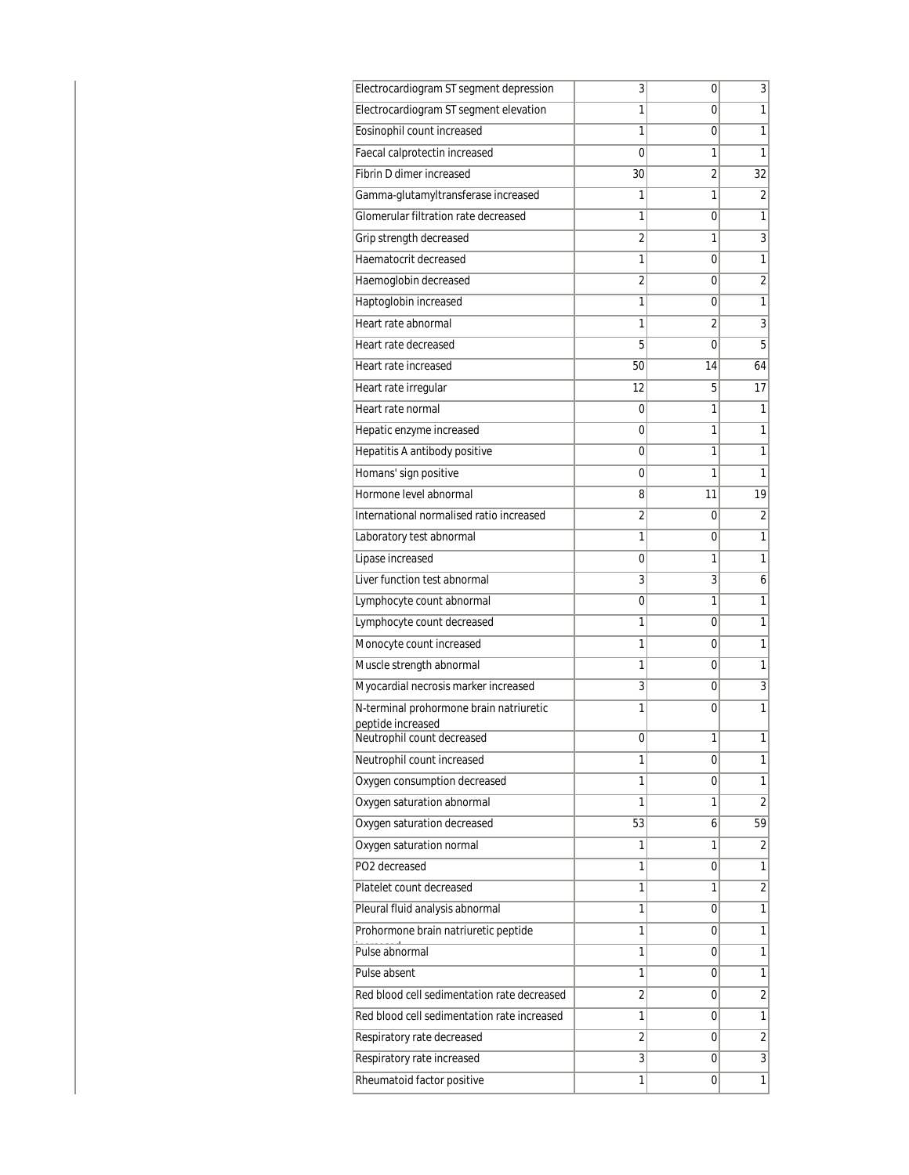| Electrocardiogram ST segment depression         | 3  | 0  | 3                       |
|-------------------------------------------------|----|----|-------------------------|
| Electrocardiogram ST segment elevation          | 1  | 0  | 1                       |
| Eosinophil count increased                      | 1  | 0  | 1                       |
| Faecal calprotectin increased                   | 0  | 1  | 1                       |
| Fibrin D dimer increased                        | 30 | 2  | 32                      |
| Gamma-glutamyltransferase increased             | 1  | 1  | $\overline{2}$          |
| Glomerular filtration rate decreased            | 1  | 0  | 1                       |
| Grip strength decreased                         | 2  | 1  | $\overline{3}$          |
| Haematocrit decreased                           | 1  | 0  | $\mathbf{1}$            |
| Haemoglobin decreased                           | 2  | 0  | $\overline{2}$          |
| Haptoglobin increased                           | 1  | 0  | 1                       |
| Heart rate abnormal                             | 1  | 2  | 3                       |
| Heart rate decreased                            | 5  | 0  | 5                       |
| Heart rate increased                            | 50 | 14 | 64                      |
| Heart rate irregular                            | 12 | 5  | 17                      |
| Heart rate normal                               | 0  | 1  | 1                       |
| Hepatic enzyme increased                        | 0  | 1  | 1                       |
| Hepatitis A antibody positive                   | 0  | 1  | 1                       |
| Homans' sign positive                           | 0  | 1  | 1                       |
| Hormone level abnormal                          | 8  | 11 | 19                      |
| International normalised ratio increased        | 2  | 0  | $\overline{2}$          |
| Laboratory test abnormal                        | 1  | 0  | 1                       |
| Lipase increased                                | 0  | 1  | 1                       |
| Liver function test abnormal                    | 3  | 3  | 6                       |
| Lymphocyte count abnormal                       | 0  | 1  | 1                       |
| Lymphocyte count decreased                      | 1  | 0  | 1                       |
| Monocyte count increased                        | 1  | 0  | 1                       |
| Muscle strength abnormal                        | 1  | 0  | 1                       |
| Myocardial necrosis marker increased            | 3  | 0  | $\overline{3}$          |
| N-terminal prohormone brain natriuretic         | 1  | 0  | 1                       |
| peptide increased<br>Neutrophil count decreased | 0  | 1  | 1                       |
| Neutrophil count increased                      | 1  | 0  | 1                       |
| Oxygen consumption decreased                    | 1  | 0  | 1                       |
| Oxygen saturation abnormal                      | 1  | 1  | $\overline{2}$          |
| Oxygen saturation decreased                     | 53 | 6  | 59                      |
| Oxygen saturation normal                        | 1  | 1  | 2                       |
| PO2 decreased                                   | 1  | 0  | 1                       |
| Platelet count decreased                        | 1  | 1  | $\overline{2}$          |
| Pleural fluid analysis abnormal                 | 1  | 0  | 1                       |
| Prohormone brain natriuretic peptide            | 1  | 0  | 1                       |
| Pulse abnormal                                  | 1  | 0  | 1                       |
| Pulse absent                                    | 1  | 0  | 1                       |
| Red blood cell sedimentation rate decreased     | 2  | 0  | $\overline{\mathbf{c}}$ |
| Red blood cell sedimentation rate increased     | 1  | 0  | 1                       |
| Respiratory rate decreased                      | 2  | 0  | $\overline{2}$          |
| Respiratory rate increased                      | 3  | 0  | $\overline{3}$          |
| Rheumatoid factor positive                      | 1  | 0  | 1                       |
|                                                 |    |    |                         |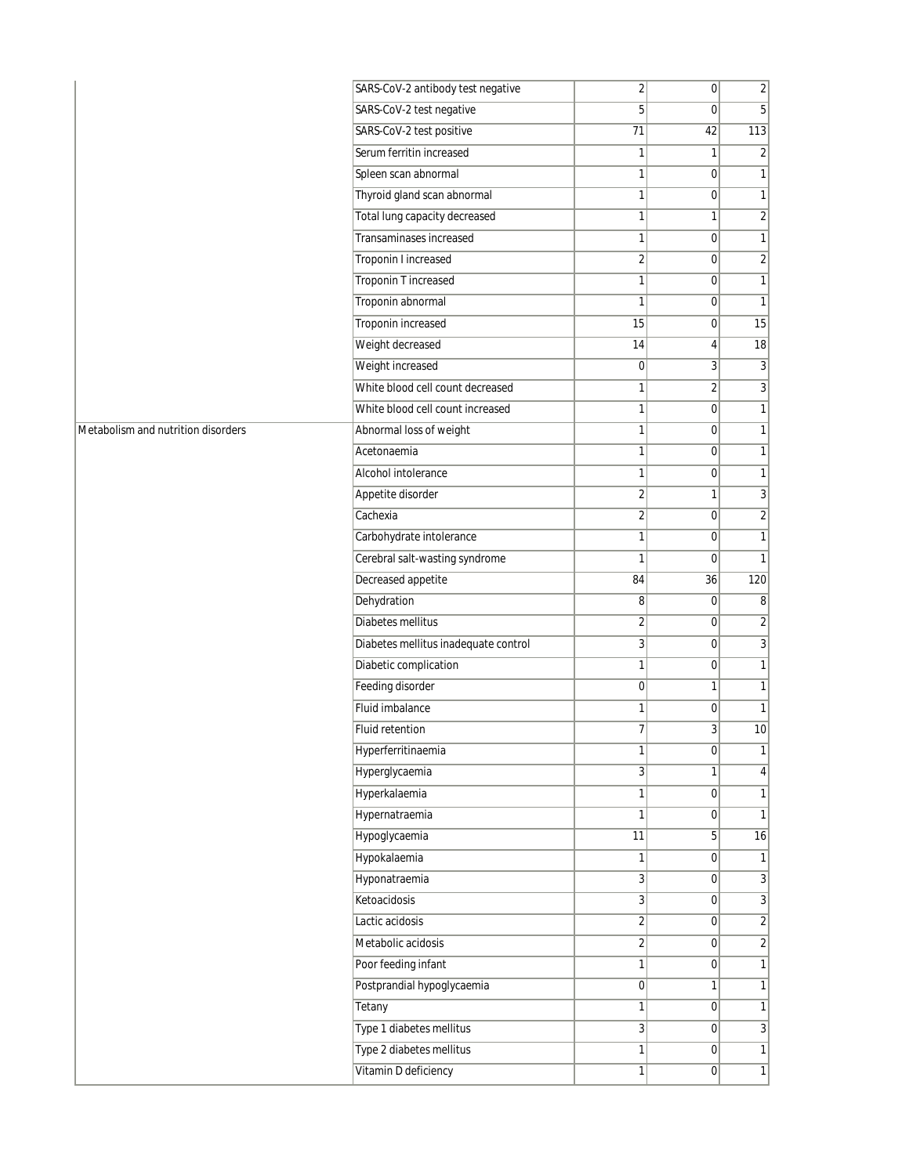|                                    | SARS-CoV-2 antibody test negative    | $\overline{2}$ | $\overline{0}$ | $\overline{2}$   |
|------------------------------------|--------------------------------------|----------------|----------------|------------------|
|                                    | SARS-CoV-2 test negative             | 5              | $\mathbf 0$    | 5 <sup>5</sup>   |
|                                    | SARS-CoV-2 test positive             | 71             | 42             | 113              |
|                                    | Serum ferritin increased             | $\mathbf{1}$   | $\mathbf{1}$   | $\overline{2}$   |
|                                    | Spleen scan abnormal                 | $\mathbf{1}$   | $\overline{0}$ | $\mathbf{1}$     |
|                                    | Thyroid gland scan abnormal          | $\mathbf{1}$   | $\overline{0}$ | $\overline{1}$   |
|                                    | Total lung capacity decreased        | $\mathbf{1}$   | $\mathbf{1}$   | $\overline{2}$   |
|                                    | <b>Transaminases increased</b>       | $\mathbf{1}$   | $\overline{0}$ | 1                |
|                                    | Troponin I increased                 | $\sqrt{2}$     | $\overline{0}$ | $\overline{2}$   |
|                                    | <b>Troponin T increased</b>          | $\mathbf{1}$   | $\mathbf 0$    | $\mathbf{1}$     |
|                                    | Troponin abnormal                    | $\mathbf{1}$   | 0              | $\mathbf{1}$     |
|                                    | Troponin increased                   | 15             | $\overline{0}$ | 15               |
|                                    | Weight decreased                     | 14             | 4              | $\overline{18}$  |
|                                    | Weight increased                     | $\pmb{0}$      | $\mathbf{3}$   | $\overline{3}$   |
|                                    | White blood cell count decreased     | $\mathbf{1}$   | $\overline{c}$ | 3                |
|                                    | White blood cell count increased     | $\mathbf{1}$   | $\overline{0}$ | $\mathbf{1}$     |
| Metabolism and nutrition disorders | Abnormal loss of weight              | $\mathbf{1}$   | $\overline{0}$ | 1                |
|                                    | Acetonaemia                          | $\mathbf{1}$   | $\overline{0}$ | $\mathbf{1}$     |
|                                    | Alcohol intolerance                  | $\mathbf{1}$   | $\mathbf 0$    | 1                |
|                                    | Appetite disorder                    | $\sqrt{2}$     | $\mathbf{1}$   | 3                |
|                                    | Cachexia                             | $\overline{2}$ | $\overline{0}$ | $\overline{2}$   |
|                                    | Carbohydrate intolerance             | $\mathbf{1}$   | $\overline{0}$ | 1                |
|                                    | Cerebral salt-wasting syndrome       | $\mathbf{1}$   | $\mathbf 0$    | $\mathbf{1}$     |
|                                    | Decreased appetite                   | 84             | 36             | 120              |
|                                    | Dehydration                          | 8              | $\overline{0}$ | $\boldsymbol{8}$ |
|                                    | Diabetes mellitus                    | $\overline{2}$ | $\overline{0}$ | $\overline{2}$   |
|                                    | Diabetes mellitus inadequate control | 3              | $\mathbf 0$    | $\overline{3}$   |
|                                    | Diabetic complication                | $\mathbf{1}$   | 0              | $\mathbf{1}$     |
|                                    | Feeding disorder                     | $\mathbf 0$    | $\mathbf{1}$   | $\mathbf{1}$     |
|                                    | Fluid imbalance                      | $\mathbf{1}$   | $\mathbf 0$    | $\mathbf{1}$     |
|                                    | Fluid retention                      | $\overline{7}$ | $\overline{3}$ | 10               |
|                                    | Hyperferritinaemia                   | $\mathbf{1}$   | $\overline{0}$ | $\mathbf{1}$     |
|                                    | Hyperglycaemia                       | 3              | $\mathbf{1}$   | $\vert 4 \vert$  |
|                                    | Hyperkalaemia                        | $\mathbf{1}$   | 0              | 1                |
|                                    | Hypernatraemia                       | $\mathbf{1}$   | $\overline{0}$ | $\mathbf{1}$     |
|                                    | Hypoglycaemia                        | 11             | 5 <sup>1</sup> | 16               |
|                                    | Hypokalaemia                         | 1              | $\overline{0}$ | 1                |
|                                    | Hyponatraemia                        | $\overline{3}$ | 0              | $\overline{3}$   |
|                                    | Ketoacidosis                         | 3              | $\overline{0}$ | $\overline{3}$   |
|                                    | Lactic acidosis                      | $\overline{2}$ | $\overline{0}$ | $\overline{2}$   |
|                                    | Metabolic acidosis                   | $\overline{2}$ | 0              | $\overline{2}$   |
|                                    | Poor feeding infant                  | $\mathbf{1}$   | 0              | 1                |
|                                    | Postprandial hypoglycaemia           | 0              | 1              | 1                |
|                                    | Tetany                               | 1              | $\overline{0}$ | 1                |
|                                    | Type 1 diabetes mellitus             | 3              | $\overline{0}$ | $\mathbf{3}$     |
|                                    | Type 2 diabetes mellitus             | $\mathbf{1}$   | 0              | $\mathbf{1}$     |
|                                    | Vitamin D deficiency                 | $\mathbf{1}$   | $\overline{0}$ | 1                |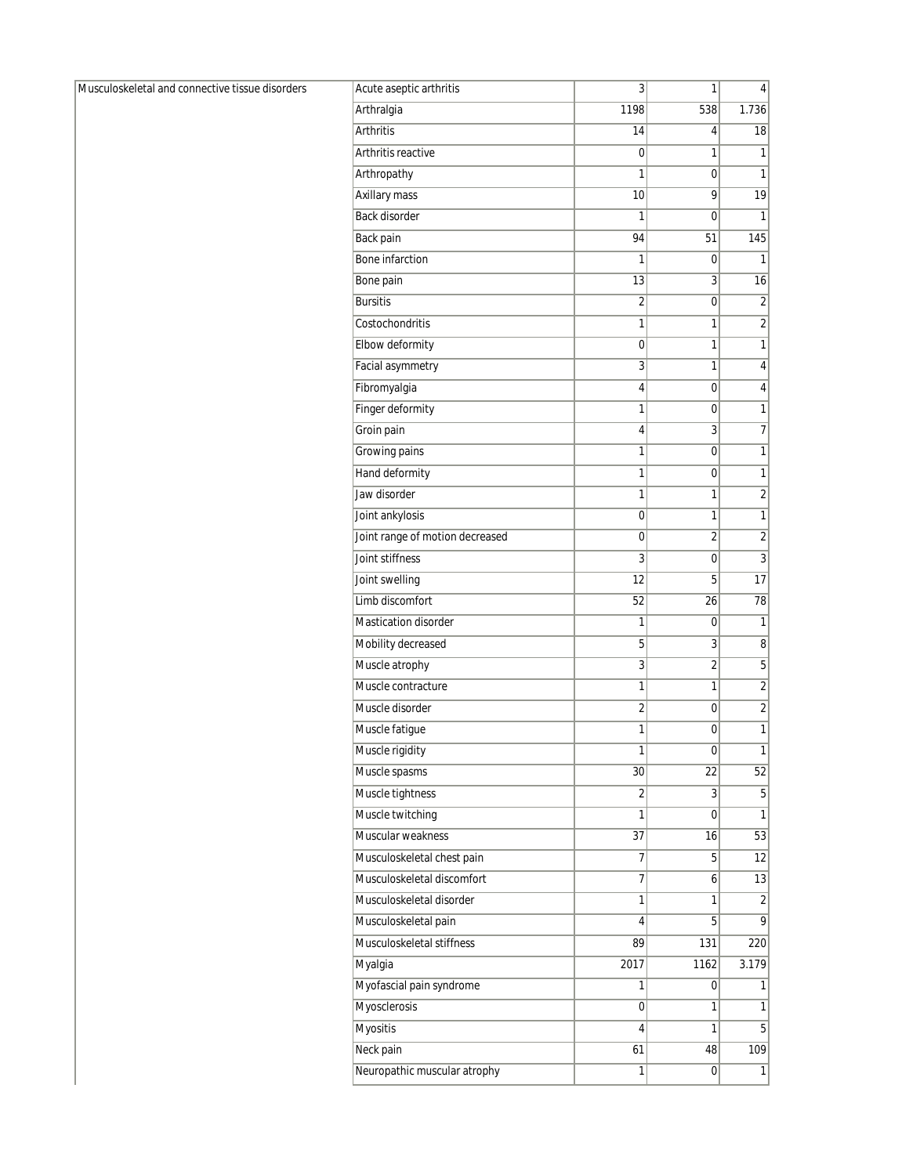Musculoskeletal and connective tissue disorders

| Acute aseptic arthritis         | 3              | 1    | 4              |
|---------------------------------|----------------|------|----------------|
| Arthralgia                      | 1198           | 538  | 1.736          |
| <b>Arthritis</b>                | 14             | 4    | 18             |
| Arthritis reactive              | 0              | 1    | 1              |
| Arthropathy                     | 1              | 0    | 1              |
| Axillary mass                   | 10             | 9    | 19             |
| Back disorder                   | 1              | 0    | 1              |
| Back pain                       | 94             | 51   | 145            |
| Bone infarction                 | 1              | 0    | 1              |
| Bone pain                       | 13             | 3    | 16             |
| <b>Bursitis</b>                 | 2              | 0    | $\overline{2}$ |
| Costochondritis                 | 1              | 1    | 2              |
| Elbow deformity                 | 0              | 1    | 1              |
| Facial asymmetry                | 3              | 1    | 4              |
| Fibromyalgia                    | 4              | 0    | 4              |
| Finger deformity                | 1              | 0    | 1              |
| Groin pain                      | 4              | 3    | $\overline{7}$ |
| Growing pains                   | 1              | 0    | 1              |
| Hand deformity                  | 1              | 0    | 1              |
| Jaw disorder                    | 1              | 1    | $\overline{c}$ |
| Joint ankylosis                 | 0              | 1    | 1              |
| Joint range of motion decreased | 0              | 2    | $\overline{2}$ |
| Joint stiffness                 | 3              | 0    | 3              |
| Joint swelling                  | 12             | 5    | 17             |
| Limb discomfort                 | 52             | 26   | 78             |
| Mastication disorder            | 1              | 0    | 1              |
| Mobility decreased              | 5              | 3    | 8              |
| Muscle atrophy                  | 3              | 2    | 5              |
| Muscle contracture              | 1              | 1    | $\overline{2}$ |
| Muscle disorder                 | $\overline{c}$ | 0    | $\overline{c}$ |
| Muscle fatigue                  | 1              | 0    | 1              |
| Muscle rigidity                 | 1              | 0    | 1              |
| Muscle spasms                   | 30             | 22   | 52             |
| Muscle tightness                | 2              | 3    | 5              |
| Muscle twitching                | 1              | 0    | 1              |
| Muscular weakness               | 37             | 16   | 53             |
| Musculoskeletal chest pain      | 7              | 5    | 12             |
| Musculoskeletal discomfort      | 7              | 6    | 13             |
| Musculoskeletal disorder        | 1              | 1    | 2              |
| Musculoskeletal pain            | 4              | 5    | 9              |
| Musculoskeletal stiffness       | 89             | 131  | 220            |
| Myalgia                         | 2017           | 1162 | 3.179          |
| Myofascial pain syndrome        | 1              | 0    | 1              |
| Myosclerosis                    | 0              | 1    | 1              |
| <b>Myositis</b>                 | 4              | 1    | 5              |
| Neck pain                       | 61             | 48   | 109            |
| Neuropathic muscular atrophy    | 1              | 0    | $\overline{1}$ |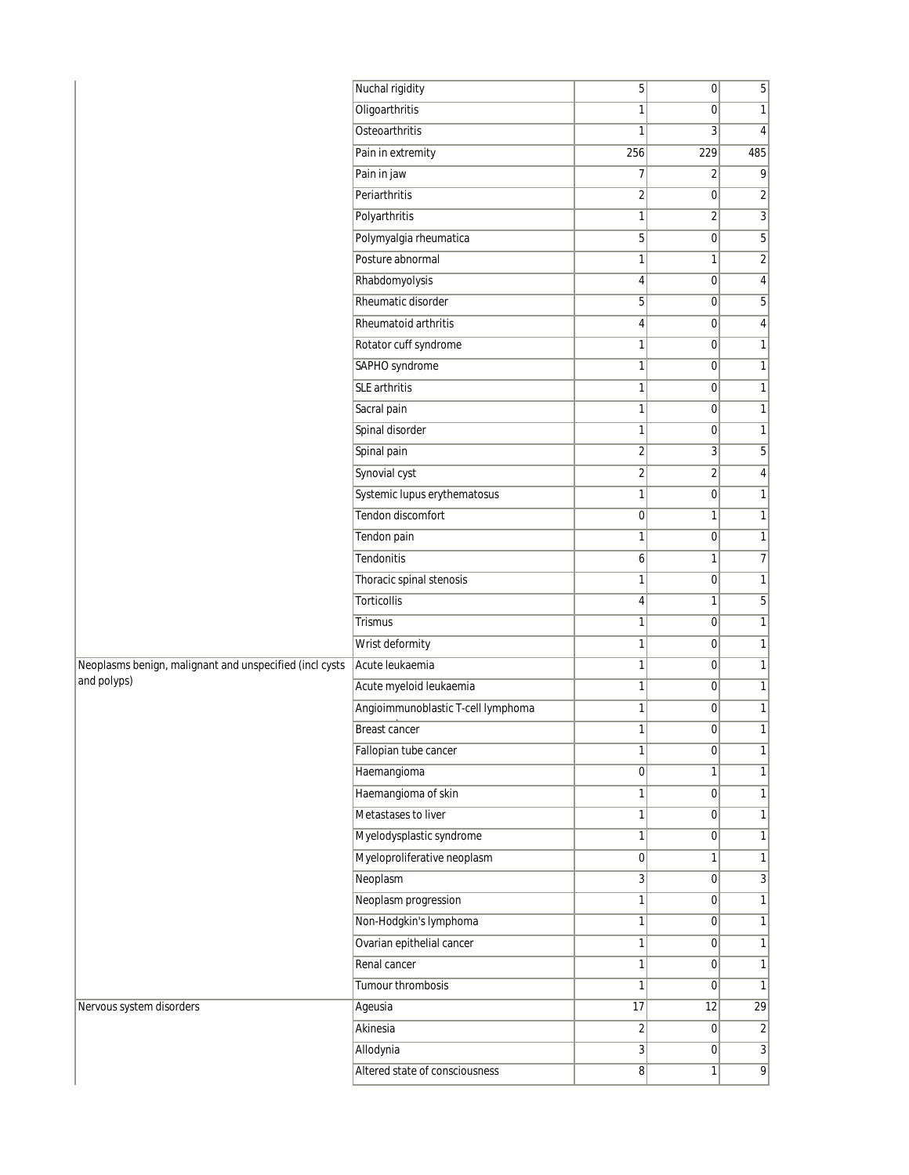|                                                         | Nuchal rigidity                    | 5              | 0              | 5                       |
|---------------------------------------------------------|------------------------------------|----------------|----------------|-------------------------|
|                                                         | Oligoarthritis                     | 1              | 0              | 1                       |
|                                                         | Osteoarthritis                     | 1              | 3              | 4                       |
|                                                         | Pain in extremity                  | 256            | 229            | 485                     |
|                                                         | Pain in jaw                        | 7              | $\overline{2}$ | 9                       |
|                                                         | Periarthritis                      | 2              | $\overline{0}$ | $\overline{\mathbf{c}}$ |
|                                                         | Polyarthritis                      | 1              | 2              | $\overline{3}$          |
|                                                         | Polymyalgia rheumatica             | 5              | $\overline{0}$ | 5                       |
|                                                         | Posture abnormal                   | 1              | $\mathbf{1}$   | $\overline{\mathbf{c}}$ |
|                                                         | Rhabdomyolysis                     | 4              | $\mathbf 0$    | 4                       |
|                                                         | Rheumatic disorder                 | 5              | 0              | 5                       |
|                                                         | Rheumatoid arthritis               | 4              | 0              | 4                       |
|                                                         | Rotator cuff syndrome              | 1              | $\overline{0}$ | $\mathbf{1}$            |
|                                                         | SAPHO syndrome                     | 1              | $\pmb{0}$      | $\mathbf{1}$            |
|                                                         | <b>SLE</b> arthritis               | $\mathbf{1}$   | $\mathbf 0$    | $\mathbf{1}$            |
|                                                         | Sacral pain                        | 1              | $\overline{0}$ | $\mathbf{1}$            |
|                                                         | Spinal disorder                    | 1              | 0              | $\mathbf{1}$            |
|                                                         | Spinal pain                        | $\overline{2}$ | 3              | 5                       |
|                                                         | Synovial cyst                      | 2              | $\overline{2}$ | 4                       |
|                                                         | Systemic lupus erythematosus       | $\mathbf{1}$   | $\mathbf 0$    | 1                       |
|                                                         | Tendon discomfort                  | 0              | 1              | $\mathbf{1}$            |
|                                                         | Tendon pain                        | 1              | 0              | $\mathbf{1}$            |
|                                                         | Tendonitis                         | 6              | 1              | 7                       |
|                                                         | Thoracic spinal stenosis           | 1              | $\pmb{0}$      | $\mathbf{1}$            |
|                                                         | Torticollis                        | 4              | 1              | 5                       |
|                                                         | <b>Trismus</b>                     | 1              | $\overline{0}$ | $\mathbf{1}$            |
|                                                         | Wrist deformity                    | 1              | 0              | $\mathbf{1}$            |
| Neoplasms benign, malignant and unspecified (incl cysts | Acute leukaemia                    | 1              | $\overline{0}$ | $\mathbf{1}$            |
| and polyps)                                             | Acute myeloid leukaemia            | 1              | $\mathbf 0$    | $\mathbf{1}$            |
|                                                         | Angioimmunoblastic T-cell lymphoma | 1              | $\mathbf 0$    | $\mathbf 1$             |
|                                                         | <b>Breast cancer</b>               | 1              | 0              | $\mathbf{1}$            |
|                                                         | Fallopian tube cancer              | 1              | 0              | 1                       |
|                                                         | Haemangioma                        | 0              | $\mathbf{1}$   | 1                       |
|                                                         | Haemangioma of skin                | 1              | 0              | $\mathbf{1}$            |
|                                                         | Metastases to liver                | 1              | $\mathbf 0$    | $\mathbf{1}$            |
|                                                         | Myelodysplastic syndrome           | $\mathbf{1}$   | 0              | 1                       |
|                                                         | Myeloproliferative neoplasm        | $\overline{0}$ | 1              | $\mathbf{1}$            |
|                                                         | Neoplasm                           | 3              | $\overline{0}$ | 3                       |
|                                                         | Neoplasm progression               | 1              | 0              | 1                       |
|                                                         | Non-Hodgkin's lymphoma             | 1              | $\mathbf 0$    | $\mathbf{1}$            |
|                                                         | Ovarian epithelial cancer          | $\mathbf{1}$   | 0              | 1                       |
|                                                         | Renal cancer                       | 1              | 0              | $\mathbf{1}$            |
|                                                         | Tumour thrombosis                  | 1              | $\overline{0}$ | $\mathbf{1}$            |
| Nervous system disorders                                | Ageusia                            | 17             | 12             | 29                      |
|                                                         | Akinesia                           | $\overline{2}$ | $\overline{0}$ | $\overline{c}$          |
|                                                         | Allodynia                          | 3              | $\overline{0}$ | $\overline{3}$          |
|                                                         | Altered state of consciousness     | 8 <sup>1</sup> | 1              | $\overline{9}$          |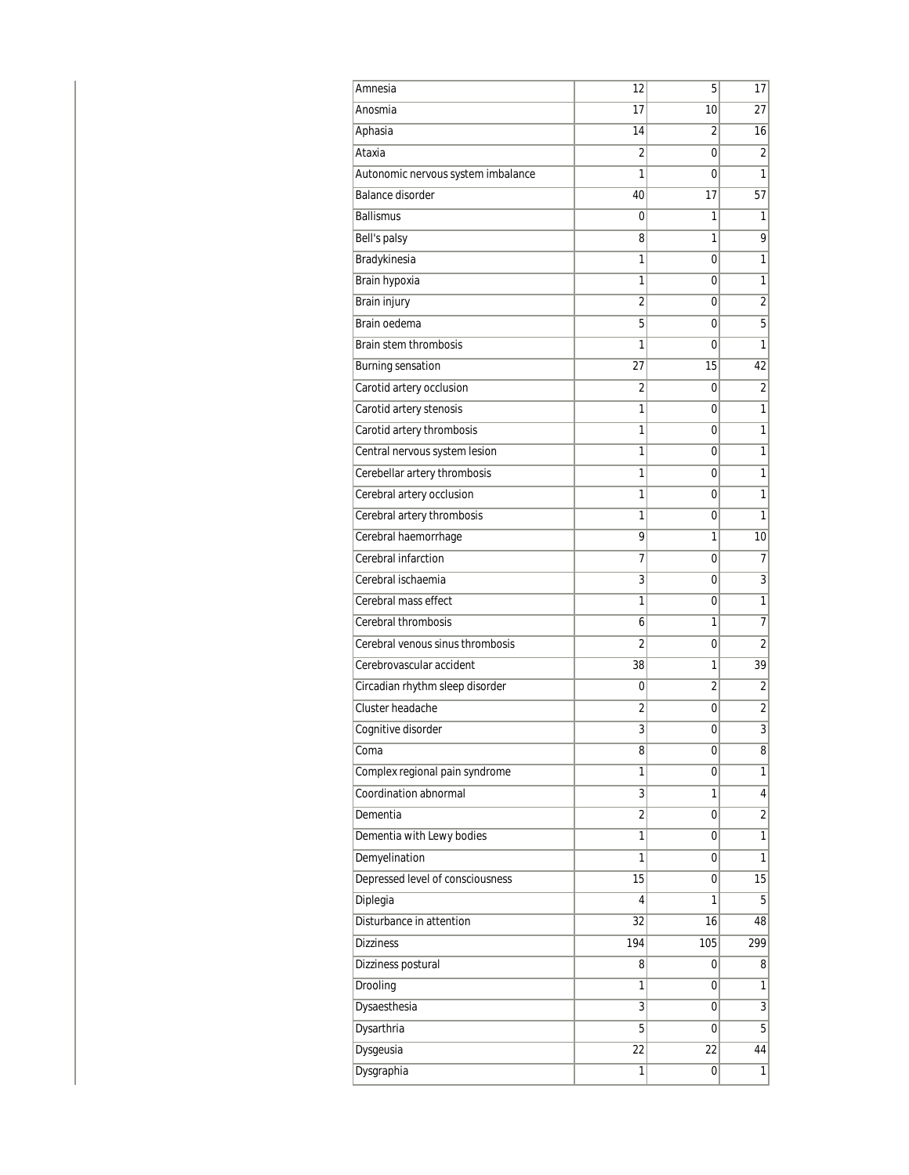| Amnesia                            | 12             | 5              | 17                      |
|------------------------------------|----------------|----------------|-------------------------|
| Anosmia                            | 17             | 10             | 27                      |
| Aphasia                            | 14             | 2              | 16                      |
| Ataxia                             | 2              | 0              | $\overline{2}$          |
| Autonomic nervous system imbalance | 1              | 0              | 1                       |
| <b>Balance disorder</b>            | 40             | 17             | 57                      |
| <b>Ballismus</b>                   | 0              | 1              | 1                       |
| Bell's palsy                       | 8              | 1              | $\overline{9}$          |
| Bradykinesia                       | 1              | 0              | 1                       |
| Brain hypoxia                      | 1              | 0              | 1                       |
| <b>Brain injury</b>                | 2              | 0              | $\overline{2}$          |
| Brain oedema                       | 5              | 0              | 5                       |
| Brain stem thrombosis              | 1              | 0              | 1                       |
| Burning sensation                  | 27             | 15             | 42                      |
| Carotid artery occlusion           | 2              | 0              | $\overline{\mathbf{c}}$ |
| Carotid artery stenosis            | 1              | 0              | 1                       |
| Carotid artery thrombosis          | 1              | 0              | 1                       |
| Central nervous system lesion      | 1              | 0              | 1                       |
| Cerebellar artery thrombosis       | 1              | 0              | 1                       |
| Cerebral artery occlusion          | 1              | 0              | 1                       |
| Cerebral artery thrombosis         | 1              | 0              | 1                       |
| Cerebral haemorrhage               | 9              | 1              | 10                      |
| Cerebral infarction                | 7              | 0              | 7                       |
| Cerebral ischaemia                 | 3              | 0              | $\overline{3}$          |
| Cerebral mass effect               | 1              | 0              | 1                       |
| Cerebral thrombosis                | 6              | 1              | $\overline{7}$          |
| Cerebral venous sinus thrombosis   | 2              | 0              | 2                       |
| Cerebrovascular accident           | 38             | 1              | 39                      |
| Circadian rhythm sleep disorder    | 0              | $\overline{2}$ | $\overline{2}$          |
| Cluster headache                   | 2              | 0              | $\overline{\mathbf{c}}$ |
| Cognitive disorder                 | 3              | 0              | $\overline{3}$          |
| Coma                               | 8              | 0              | 8                       |
| Complex regional pain syndrome     | 1              | 0              | 1                       |
| Coordination abnormal              | 3              | 1              | 4                       |
| Dementia                           | $\overline{2}$ | 0              | $\overline{\mathbf{c}}$ |
| Dementia with Lewy bodies          | 1              | 0              | 1                       |
| Demyelination                      | 1              | 0              | 1                       |
| Depressed level of consciousness   | 15             | 0              | 15                      |
| Diplegia                           | 4              | 1              | 5                       |
| Disturbance in attention           | 32             | 16             | 48                      |
| <b>Dizziness</b>                   | 194            | 105            | 299                     |
| Dizziness postural                 | 8              | 0              | 8                       |
| Drooling                           | 1              | 0              | 1                       |
| Dysaesthesia                       | 3              | 0              | $\overline{3}$          |
| Dysarthria                         | 5              | 0              | 5                       |
| Dysgeusia                          | 22             | 22             | 44                      |
| Dysgraphia                         | 1              | 0              | 1                       |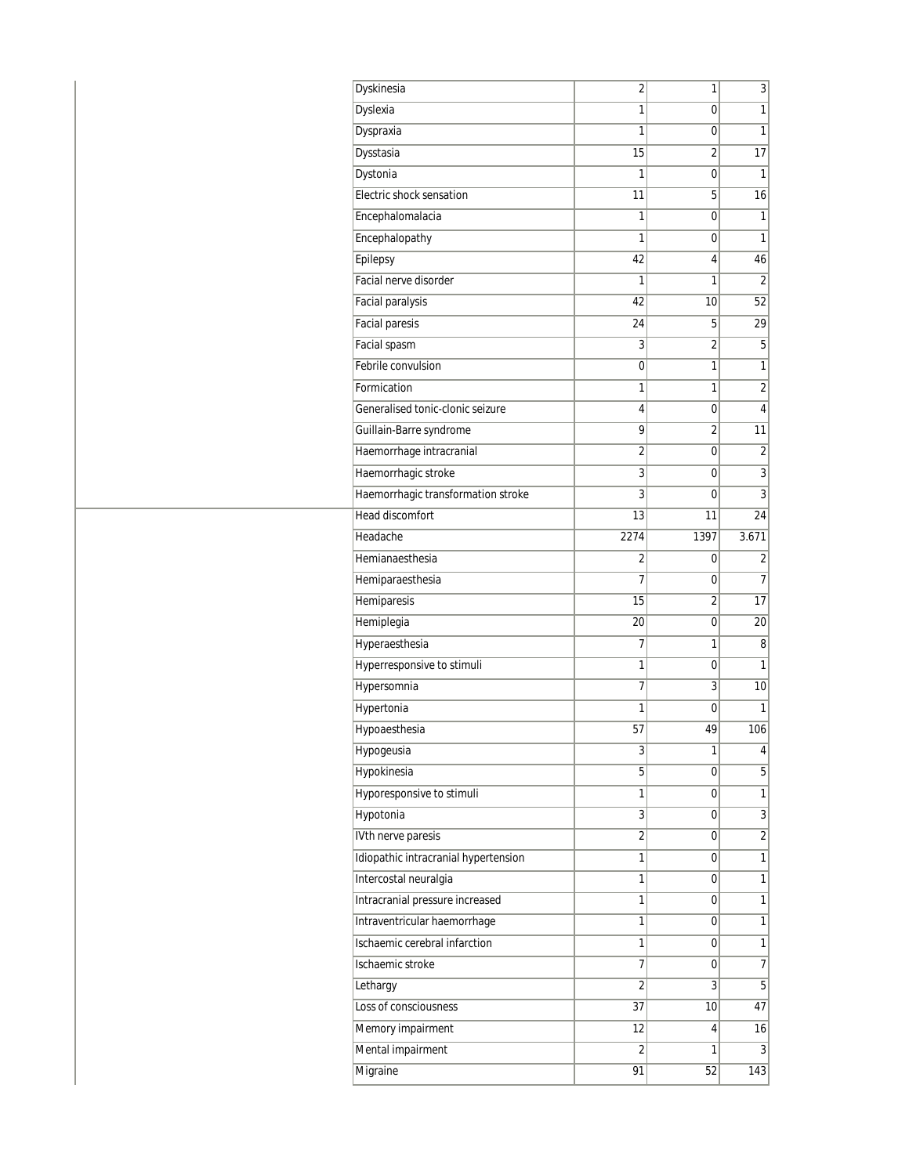| Dyskinesia                           | $\overline{2}$ | 1              | 3                       |
|--------------------------------------|----------------|----------------|-------------------------|
| Dyslexia                             | 1              | 0              | 1                       |
| Dyspraxia                            | 1              | 0              | 1                       |
| Dysstasia                            | 15             | $\overline{2}$ | 17                      |
| Dystonia                             | 1              | 0              | 1                       |
| Electric shock sensation             | 11             | 5              | 16                      |
| Encephalomalacia                     | 1              | 0              | 1                       |
| Encephalopathy                       | 1              | 0              | 1                       |
| Epilepsy                             | 42             | 4              | 46                      |
| Facial nerve disorder                | 1              | 1              | $\overline{2}$          |
| Facial paralysis                     | 42             | 10             | 52                      |
| <b>Facial paresis</b>                | 24             | 5              | 29                      |
| <b>Facial spasm</b>                  | 3              | 2              | 5                       |
| Febrile convulsion                   | 0              | 1              | 1                       |
| Formication                          | 1              | 1              | $\overline{2}$          |
| Generalised tonic-clonic seizure     | 4              | 0              | 4                       |
| Guillain-Barre syndrome              | 9              | 2              | 11                      |
| Haemorrhage intracranial             | 2              | 0              | $\overline{2}$          |
| Haemorrhagic stroke                  | 3              | 0              | 3                       |
| Haemorrhagic transformation stroke   | 3              | 0              | 3                       |
| Head discomfort                      | 13             | 11             | 24                      |
| Headache                             | 2274           | 1397           | 3.671                   |
| Hemianaesthesia                      | 2              | 0              | $\overline{\mathbf{c}}$ |
| Hemiparaesthesia                     | $\overline{7}$ | 0              | $\overline{7}$          |
| Hemiparesis                          | 15             | 2              | 17                      |
| Hemiplegia                           | 20             | 0              | 20                      |
| Hyperaesthesia                       | 7              | 1              | 8                       |
| Hyperresponsive to stimuli           | 1              | 0              | 1                       |
| Hypersomnia                          | 7              | 3              | 10                      |
| Hypertonia                           | 1              | 0              | 1                       |
| Hypoaesthesia                        | 57             | 49             | 106                     |
| Hypogeusia                           | 3              | 1              | 4                       |
| <b>Hypokinesia</b>                   | 5              | 0              | $\overline{5}$          |
| Hyporesponsive to stimuli            | 1              | 0              | 1                       |
| Hypotonia                            | 3              | 0              | $\overline{3}$          |
| IVth nerve paresis                   | 2              | 0              | $\overline{2}$          |
| Idiopathic intracranial hypertension | 1              | 0              | $\mathbf{1}$            |
| Intercostal neuralgia                | 1              | 0              | 1                       |
| Intracranial pressure increased      | 1              | 0              | 1                       |
| Intraventricular haemorrhage         | 1              | 0              | 1                       |
| Ischaemic cerebral infarction        | 1              | 0              | 1                       |
| Ischaemic stroke                     | 7              | 0              | $\overline{7}$          |
| Lethargy                             | $\overline{2}$ | 3              | $\overline{5}$          |
| Loss of consciousness                | 37             | 10             | 47                      |
| Memory impairment                    | 12             | 4              | 16                      |
| Mental impairment                    | 2              | 1              | 3                       |
| Migraine                             | 91             | 52             | 143                     |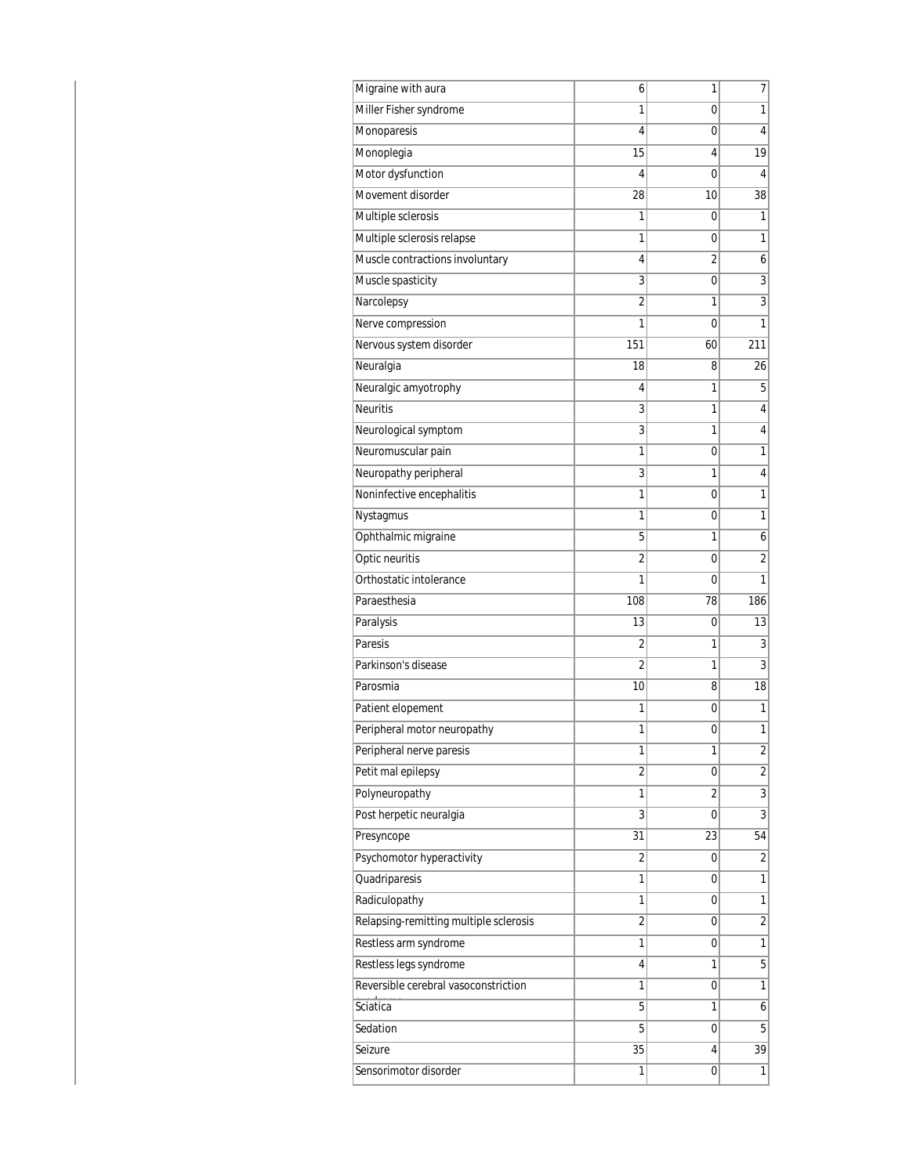| Migraine with aura                     | 6              | 1              | 7                |
|----------------------------------------|----------------|----------------|------------------|
| Miller Fisher syndrome                 | 1              | 0              | 1                |
| Monoparesis                            | 4              | 0              | 4                |
| Monoplegia                             | 15             | 4              | 19               |
| Motor dysfunction                      | 4              | 0              | 4                |
| Movement disorder                      | 28             | 10             | 38               |
| Multiple sclerosis                     | 1              | 0              | 1                |
| Multiple sclerosis relapse             | 1              | 0              | 1                |
| Muscle contractions involuntary        | 4              | $\overline{2}$ | 6                |
| Muscle spasticity                      | 3              | 0              | 3                |
| Narcolepsy                             | $\overline{2}$ | 1              | 3                |
| Nerve compression                      | 1              | 0              | 1                |
| Nervous system disorder                | 151            | 60             | 211              |
| Neuralgia                              | 18             | 8              | 26               |
| Neuralgic amyotrophy                   | 4              | 1              | 5                |
| <b>Neuritis</b>                        | 3              | 1              | 4                |
| Neurological symptom                   | 3              | 1              | 4                |
| Neuromuscular pain                     | 1              | 0              | 1                |
| Neuropathy peripheral                  | 3              | 1              | 4                |
| Noninfective encephalitis              | 1              | 0              | 1                |
| Nystagmus                              | 1              | 0              | 1                |
| Ophthalmic migraine                    | 5              | 1              | 6                |
| Optic neuritis                         | $\overline{2}$ | 0              | $\overline{c}$   |
| Orthostatic intolerance                | 1              | 0              | 1                |
| Paraesthesia                           | 108            | 78             | 186              |
| Paralysis                              | 13             | 0              | 13               |
| Paresis                                | 2              | 1              | 3                |
| Parkinson's disease                    | $\overline{2}$ | 1              | 3                |
| Parosmia                               | 10             | 8              | 18               |
| Patient elopement                      | 1              | 0              | 1                |
| Peripheral motor neuropathy            | 1              | 0              | 1                |
| Peripheral nerve paresis               | T              | T              | $\left  \right $ |
| Petit mal epilepsy                     | $\overline{c}$ | 0              | $\overline{2}$   |
| Polyneuropathy                         | 1              | $\overline{2}$ | $\overline{3}$   |
| Post herpetic neuralgia                | 3              | 0              | $\overline{3}$   |
| Presyncope                             | 31             | 23             | 54               |
| Psychomotor hyperactivity              | 2              | 0              | $\overline{2}$   |
| Quadriparesis                          | 1              | 0              | $\overline{1}$   |
| Radiculopathy                          | 1              | 0              | 1                |
| Relapsing-remitting multiple sclerosis | $\overline{2}$ | 0              | $\overline{2}$   |
| Restless arm syndrome                  | 1              | 0              | 1                |
| Restless legs syndrome                 | 4              | 1              | 5                |
| Reversible cerebral vasoconstriction   | 1              | 0              | $\overline{1}$   |
| Sciatica                               | 5              | 1              | 6                |
| Sedation                               | 5              | 0              | 5                |
| Seizure                                | 35             | 4              | 39               |
| Sensorimotor disorder                  | 1              | 0              | 1                |
|                                        |                |                |                  |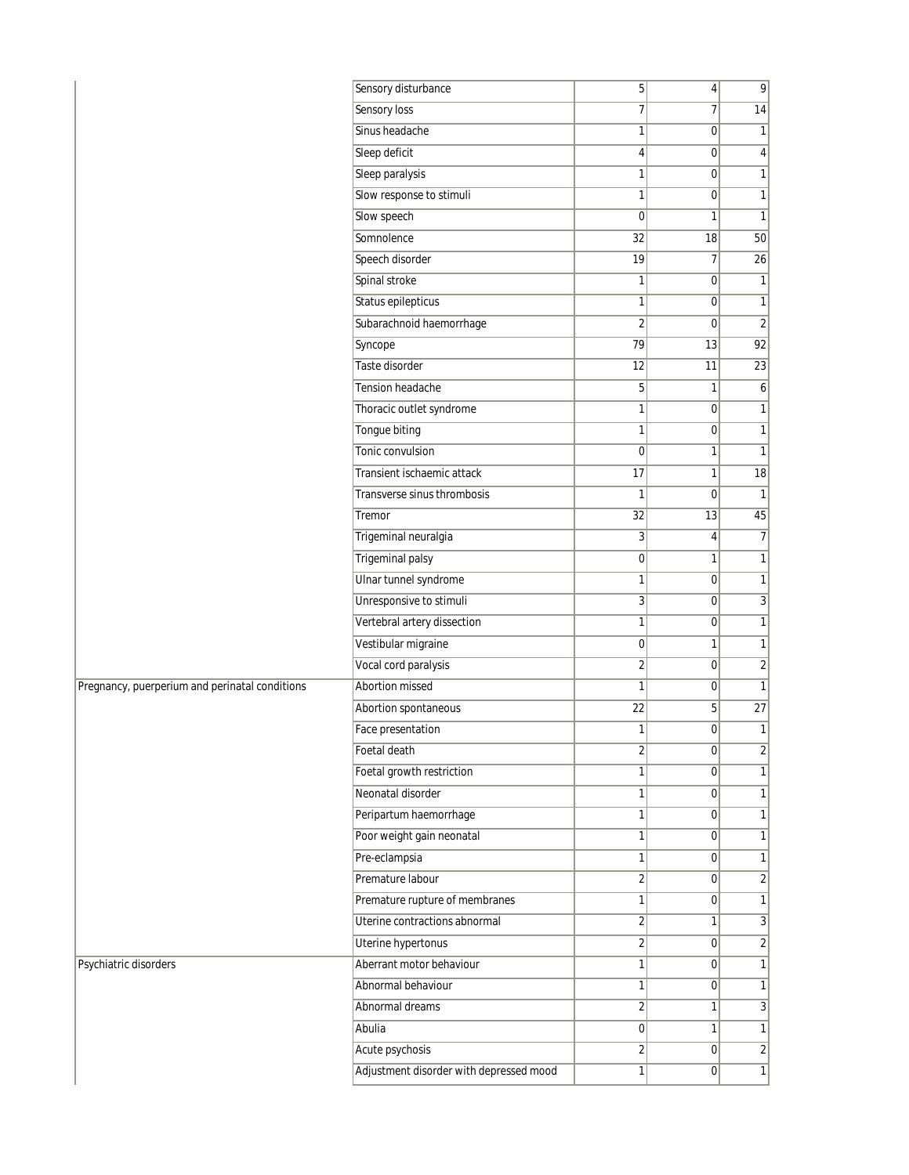|                                                | Sensory disturbance                     | 5               | $\vert 4 \vert$ | $\overline{9}$  |
|------------------------------------------------|-----------------------------------------|-----------------|-----------------|-----------------|
|                                                | Sensory loss                            | $\overline{7}$  | 7               | 14              |
|                                                | Sinus headache                          | 1               | $\overline{0}$  | $\mathbf{1}$    |
|                                                | Sleep deficit                           | $\vert 4 \vert$ | $\overline{0}$  | $\vert 4 \vert$ |
|                                                | Sleep paralysis                         | $\mathbf{1}$    | $\mathbf 0$     | $\overline{1}$  |
|                                                | Slow response to stimuli                | 1               | $\overline{0}$  | 1               |
|                                                | Slow speech                             | 0               | 1               | $\mathbf{1}$    |
|                                                | Somnolence                              | $\overline{32}$ | 18              | 50              |
|                                                | Speech disorder                         | 19              | 7               | 26              |
|                                                | Spinal stroke                           | 1               | $\mathbf 0$     | 1               |
|                                                | Status epilepticus                      | $\mathbf{1}$    | $\overline{0}$  | $\mathbf{1}$    |
|                                                | Subarachnoid haemorrhage                | $\overline{2}$  | $\mathbf 0$     | $\overline{2}$  |
|                                                | Syncope                                 | 79              | 13              | 92              |
|                                                | Taste disorder                          | 12              | 11              | 23              |
|                                                | Tension headache                        | 5               | 1               | $\mathfrak{b}$  |
|                                                | Thoracic outlet syndrome                | 1               | $\overline{0}$  | $\mathbf{1}$    |
|                                                | Tongue biting                           | 1               | $\mathbf 0$     | $\mathbf{1}$    |
|                                                | Tonic convulsion                        | $\overline{0}$  | 1               | 1               |
|                                                | Transient ischaemic attack              | 17              | 1               | 18              |
|                                                | Transverse sinus thrombosis             | 1               | $\mathbf 0$     | $\mathbf{1}$    |
|                                                | Tremor                                  | 32              | 13              | 45              |
|                                                | Trigeminal neuralgia                    | 3 <sup>1</sup>  | 4               | 7               |
|                                                | <b>Trigeminal palsy</b>                 | $\overline{0}$  | 1               | $\mathbf{1}$    |
|                                                | Ulnar tunnel syndrome                   | 1               | $\overline{0}$  | $\mathbf{1}$    |
|                                                | Unresponsive to stimuli                 | $\overline{3}$  | $\mathbf 0$     | $\overline{3}$  |
|                                                | Vertebral artery dissection             | $\mathbf{1}$    | $\overline{0}$  | $\mathbf{1}$    |
|                                                | Vestibular migraine                     | 0               | 1               | 1               |
|                                                | Vocal cord paralysis                    | $\overline{2}$  | $\overline{0}$  | $\overline{2}$  |
| Pregnancy, puerperium and perinatal conditions | Abortion missed                         | 1               | $\overline{0}$  | $\mathbf{1}$    |
|                                                | Abortion spontaneous                    | $\overline{22}$ | 5               | 27              |
|                                                | Face presentation                       | 1               | $\overline{0}$  | $\mathbf{1}$    |
|                                                | Foetal death                            | 2               | 0               | $\mathbf{2}$    |
|                                                | Foetal growth restriction               | $\mathbf{1}$    | $\Omega$        | 1               |
|                                                | Neonatal disorder                       | 1               | $\overline{0}$  | 1               |
|                                                | Peripartum haemorrhage                  | 1               | $\mathbf 0$     | 1               |
|                                                | Poor weight gain neonatal               | 1               | $\overline{0}$  | 1               |
|                                                | Pre-eclampsia                           | $\mathbf{1}$    | $\mathbf 0$     | $\mathbf{1}$    |
|                                                | Premature labour                        | $\overline{2}$  | 0               | $\overline{2}$  |
|                                                | Premature rupture of membranes          | $\mathbf{1}$    | 0               | $\mathbf{1}$    |
|                                                | Uterine contractions abnormal           | $\overline{2}$  | 1               | $\overline{3}$  |
|                                                | Uterine hypertonus                      | $\overline{2}$  | $\overline{0}$  | $\overline{2}$  |
| Psychiatric disorders                          | Aberrant motor behaviour                | $\mathbf{1}$    | $\mathbf 0$     | 1               |
|                                                | Abnormal behaviour                      | $\mathbf{1}$    | 0               | 1               |
|                                                | Abnormal dreams                         | 2               | 1               | $\overline{3}$  |
|                                                | Abulia                                  | $\overline{0}$  | 1               | 1               |
|                                                | Acute psychosis                         | $\overline{2}$  | $\overline{0}$  | $\overline{2}$  |
|                                                | Adjustment disorder with depressed mood | $\mathbf{1}$    | 0               | $\mathbf{1}$    |
|                                                |                                         |                 |                 |                 |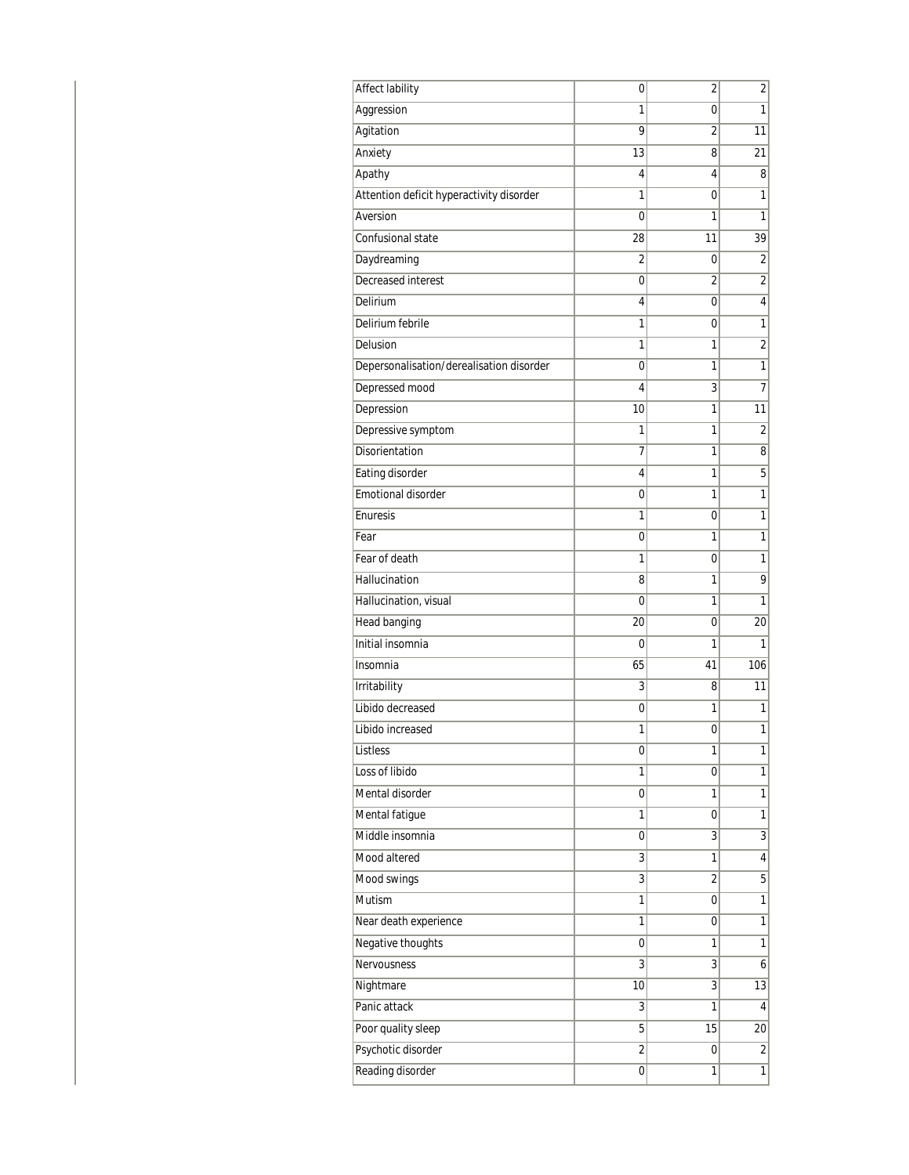| <b>Affect lability</b>                   | 0              | $\overline{2}$ | $\overline{\mathbf{c}}$ |
|------------------------------------------|----------------|----------------|-------------------------|
| Aggression                               | 1              | 0              | 1                       |
| Agitation                                | 9              | 2              | 11                      |
| Anxiety                                  | 13             | 8              | 21                      |
| Apathy                                   | 4              | 4              | 8                       |
| Attention deficit hyperactivity disorder | 1              | 0              | 1                       |
| Aversion                                 | 0              | 1              | 1                       |
| Confusional state                        | 28             | 11             | 39                      |
| Daydreaming                              | $\overline{2}$ | 0              | $\overline{2}$          |
| Decreased interest                       | 0              | 2              | 2                       |
| Delirium                                 | 4              | 0              | 4                       |
| Delirium febrile                         | 1              | 0              | 1                       |
| Delusion                                 | 1              | 1              | $\overline{2}$          |
| Depersonalisation/derealisation disorder | 0              | 1              | 1                       |
| Depressed mood                           | 4              | 3              | 7                       |
| Depression                               | 10             | 1              | 11                      |
| Depressive symptom                       | 1              | 1              | 2                       |
| Disorientation                           | 7              | 1              | 8                       |
| Eating disorder                          | 4              | 1              | 5                       |
| Emotional disorder                       | 0              | 1              | 1                       |
| Enuresis                                 | 1              | 0              | 1                       |
| Fear                                     | 0              | 1              | 1                       |
| Fear of death                            | 1              | 0              | 1                       |
| Hallucination                            | 8              | 1              | 9                       |
| Hallucination, visual                    | 0              | 1              | 1                       |
| <b>Head banging</b>                      | 20             | 0              | 20                      |
| Initial insomnia                         | 0              | 1              | 1                       |
| Insomnia                                 | 65             | 41             | 106                     |
| Irritability                             | 3              | 8              | 11                      |
| Libido decreased                         | 0              | 1              | 1                       |
| Libido increased                         | 1              | 0              | 1                       |
| Listless                                 | 0              | 1              | 1                       |
| Loss of libido                           | 1              | 0              | 1                       |
| Mental disorder                          | 0              | 1              | 1                       |
| Mental fatigue                           | 1              | 0              | 1                       |
| Middle insomnia                          | 0              | 3              | $\overline{3}$          |
| Mood altered                             | 3              | 1              | 4                       |
| Mood swings                              | 3              | $\overline{2}$ | 5                       |
| Mutism                                   | 1              | 0              | 1                       |
| Near death experience                    | 1              | 0              | 1                       |
| Negative thoughts                        | 0              | 1              | 1                       |
| Nervousness                              | 3              | 3              | 6                       |
| Nightmare                                | 10             | 3              | 13                      |
| Panic attack                             | 3              | 1              | 4                       |
| Poor quality sleep                       | 5              | 15             | 20                      |
| Psychotic disorder                       | $\overline{2}$ | 0              | $\overline{\mathbf{c}}$ |
| Reading disorder                         | 0              | 1              | 1                       |
|                                          |                |                |                         |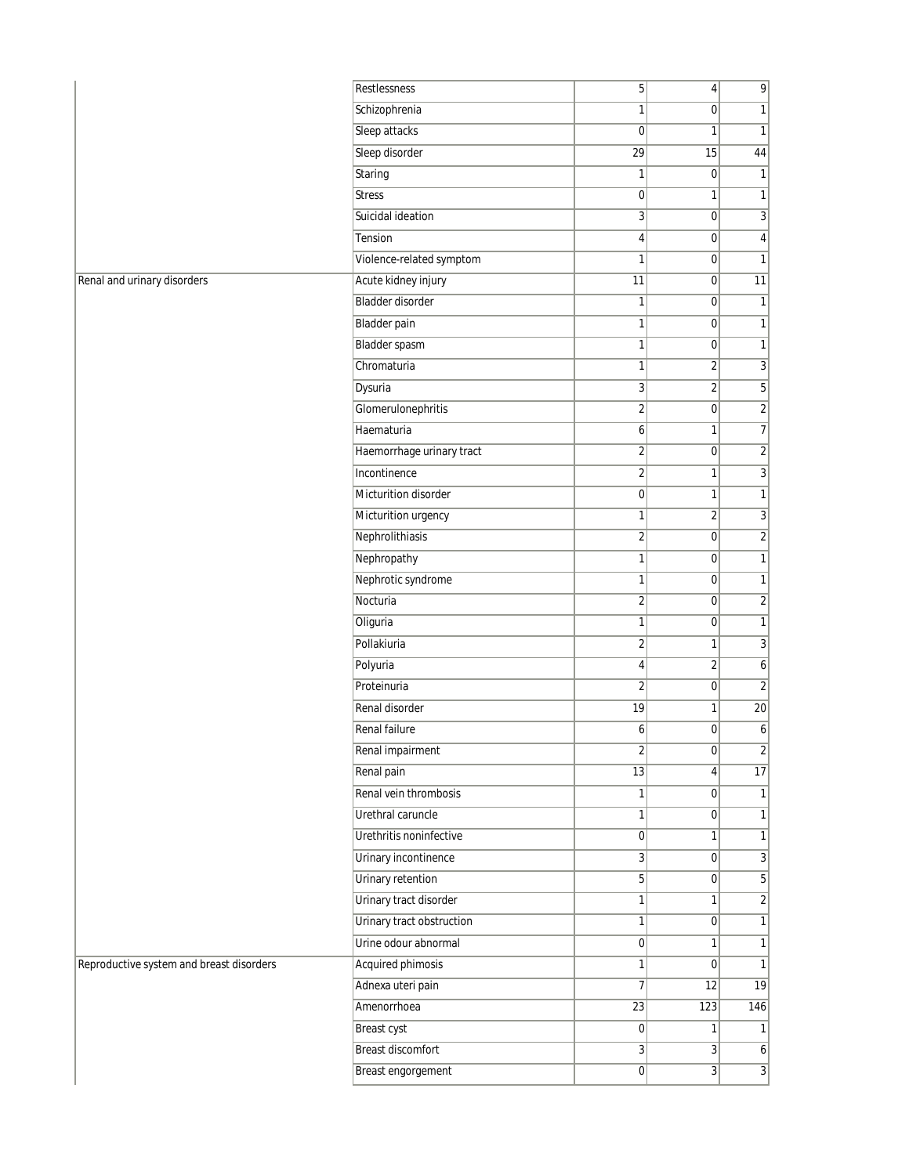| Schizophrenia<br>1<br>0<br>1<br>Sleep attacks<br>$\mathbf 0$<br>$\mathbf{1}$<br>1<br>Sleep disorder<br>29<br>15<br>44<br>Staring<br>$\mathbf{1}$<br> 0 <br>$\mathbf{1}$<br>$\mathbf{1}$<br><b>Stress</b><br>$\pmb{0}$<br>1<br>Suicidal ideation<br>3<br>3<br>$\mathbf 0$<br>Tension<br>4<br>4<br> 0 <br>Violence-related symptom<br>$\mathbf{1}$<br>$\mathbf{1}$<br>$\overline{0}$<br>Acute kidney injury<br>$\overline{11}$<br>$\overline{11}$<br> 0 <br><b>Bladder disorder</b><br>$\mathbf{1}$<br> 0 <br>1<br><b>Bladder pain</b><br>$\mathbf{1}$<br>$\overline{0}$<br>1<br><b>Bladder spasm</b><br>1<br>1<br> 0 <br>Chromaturia<br>$\mathbf{1}$<br>$\overline{2}$<br>3<br>Dysuria<br>3<br>5<br>$\overline{2}$<br>Glomerulonephritis<br>$\overline{2}$<br>$\overline{2}$<br> 0 <br>$\overline{\mathfrak{I}}$<br>Haematuria<br>6<br>1<br>$\overline{2}$<br>Haemorrhage urinary tract<br>$\overline{2}$<br> 0 <br>Incontinence<br>$\overline{2}$<br>3<br>$\mathbf{1}$<br>Micturition disorder<br>$\mathbf{1}$<br>$\pmb{0}$<br>1<br>3<br>Micturition urgency<br>1<br>$\overline{2}$<br>Nephrolithiasis<br>$\overline{2}$<br>$\overline{c}$<br>$\overline{0}$<br>Nephropathy<br>1<br>1<br> 0 <br>Nephrotic syndrome<br>$\mathbf{1}$<br>$\overline{0}$<br>$\mathbf{1}$<br>$\sqrt{2}$<br>$\overline{c}$<br>Nocturia<br>$\overline{0}$<br>$\mathbf{1}$<br>Oliguria<br>1<br> 0 <br>Pollakiuria<br>$\overline{2}$<br>3<br>1<br>Polyuria<br>$\overline{2}$<br>6<br>4<br>Proteinuria<br>$\overline{2}$<br>$\overline{0}$<br>$\overline{2}$<br>Renal disorder<br>19<br>1<br>$20\,$<br>$\overline{6}$<br>Renal failure<br>6<br>$\overline{0}$<br>Renal impairment<br>$\sqrt{2}$<br> 0 <br>$\overline{\mathbf{c}}$<br>Renal pain<br>$\overline{13}$<br>$\overline{17}$<br>4 <sup>1</sup><br>Renal vein thrombosis<br>$\mathbf{1}$<br> 0 <br>$\mathbf{1}$<br>Urethral caruncle<br>$\mathbf{1}$<br> 0 <br>1<br>Urethritis noninfective<br>$\pmb{0}$<br>$\mathbf{1}$<br>1<br>Urinary incontinence<br>$\sqrt{3}$<br>3<br>$\overline{0}$<br><b>Urinary retention</b><br>$\overline{5}$<br>5<br> 0 <br>Urinary tract disorder<br>$\mathbf{1}$<br>$\overline{c}$<br>$\mathbf{1}$<br>Urinary tract obstruction<br>$\mathbf{1}$<br>$\mathbf{1}$<br> 0 <br>Urine odour abnormal<br>$\pmb{0}$<br>$\mathbf{1}$<br>1<br><b>Acquired phimosis</b><br>$\mathbf{1}$<br>$\overline{0}$<br>$\mathbf{1}$<br>Adnexa uteri pain<br>$\overline{7}$<br> 12 <br>$\overline{19}$<br>Amenorrhoea<br>123<br>146<br>23<br>Breast cyst<br>$\overline{0}$<br>$\mathbf{1}$<br>1<br><b>Breast discomfort</b><br>3<br>3 <sup>1</sup><br>$\boldsymbol{6}$<br>3<br>Breast engorgement<br>$\overline{0}$<br>3 |                                          | Restlessness | 5 | 4 <sup>1</sup> | 9 |
|----------------------------------------------------------------------------------------------------------------------------------------------------------------------------------------------------------------------------------------------------------------------------------------------------------------------------------------------------------------------------------------------------------------------------------------------------------------------------------------------------------------------------------------------------------------------------------------------------------------------------------------------------------------------------------------------------------------------------------------------------------------------------------------------------------------------------------------------------------------------------------------------------------------------------------------------------------------------------------------------------------------------------------------------------------------------------------------------------------------------------------------------------------------------------------------------------------------------------------------------------------------------------------------------------------------------------------------------------------------------------------------------------------------------------------------------------------------------------------------------------------------------------------------------------------------------------------------------------------------------------------------------------------------------------------------------------------------------------------------------------------------------------------------------------------------------------------------------------------------------------------------------------------------------------------------------------------------------------------------------------------------------------------------------------------------------------------------------------------------------------------------------------------------------------------------------------------------------------------------------------------------------------------------------------------------------------------------------------------------------------------------------------------------------------------------------------------------------------------------------------------------------------------------------------------------------------------------------------------------------------------------------------------------|------------------------------------------|--------------|---|----------------|---|
|                                                                                                                                                                                                                                                                                                                                                                                                                                                                                                                                                                                                                                                                                                                                                                                                                                                                                                                                                                                                                                                                                                                                                                                                                                                                                                                                                                                                                                                                                                                                                                                                                                                                                                                                                                                                                                                                                                                                                                                                                                                                                                                                                                                                                                                                                                                                                                                                                                                                                                                                                                                                                                                                |                                          |              |   |                |   |
|                                                                                                                                                                                                                                                                                                                                                                                                                                                                                                                                                                                                                                                                                                                                                                                                                                                                                                                                                                                                                                                                                                                                                                                                                                                                                                                                                                                                                                                                                                                                                                                                                                                                                                                                                                                                                                                                                                                                                                                                                                                                                                                                                                                                                                                                                                                                                                                                                                                                                                                                                                                                                                                                |                                          |              |   |                |   |
|                                                                                                                                                                                                                                                                                                                                                                                                                                                                                                                                                                                                                                                                                                                                                                                                                                                                                                                                                                                                                                                                                                                                                                                                                                                                                                                                                                                                                                                                                                                                                                                                                                                                                                                                                                                                                                                                                                                                                                                                                                                                                                                                                                                                                                                                                                                                                                                                                                                                                                                                                                                                                                                                |                                          |              |   |                |   |
|                                                                                                                                                                                                                                                                                                                                                                                                                                                                                                                                                                                                                                                                                                                                                                                                                                                                                                                                                                                                                                                                                                                                                                                                                                                                                                                                                                                                                                                                                                                                                                                                                                                                                                                                                                                                                                                                                                                                                                                                                                                                                                                                                                                                                                                                                                                                                                                                                                                                                                                                                                                                                                                                |                                          |              |   |                |   |
|                                                                                                                                                                                                                                                                                                                                                                                                                                                                                                                                                                                                                                                                                                                                                                                                                                                                                                                                                                                                                                                                                                                                                                                                                                                                                                                                                                                                                                                                                                                                                                                                                                                                                                                                                                                                                                                                                                                                                                                                                                                                                                                                                                                                                                                                                                                                                                                                                                                                                                                                                                                                                                                                |                                          |              |   |                |   |
|                                                                                                                                                                                                                                                                                                                                                                                                                                                                                                                                                                                                                                                                                                                                                                                                                                                                                                                                                                                                                                                                                                                                                                                                                                                                                                                                                                                                                                                                                                                                                                                                                                                                                                                                                                                                                                                                                                                                                                                                                                                                                                                                                                                                                                                                                                                                                                                                                                                                                                                                                                                                                                                                |                                          |              |   |                |   |
|                                                                                                                                                                                                                                                                                                                                                                                                                                                                                                                                                                                                                                                                                                                                                                                                                                                                                                                                                                                                                                                                                                                                                                                                                                                                                                                                                                                                                                                                                                                                                                                                                                                                                                                                                                                                                                                                                                                                                                                                                                                                                                                                                                                                                                                                                                                                                                                                                                                                                                                                                                                                                                                                |                                          |              |   |                |   |
|                                                                                                                                                                                                                                                                                                                                                                                                                                                                                                                                                                                                                                                                                                                                                                                                                                                                                                                                                                                                                                                                                                                                                                                                                                                                                                                                                                                                                                                                                                                                                                                                                                                                                                                                                                                                                                                                                                                                                                                                                                                                                                                                                                                                                                                                                                                                                                                                                                                                                                                                                                                                                                                                |                                          |              |   |                |   |
|                                                                                                                                                                                                                                                                                                                                                                                                                                                                                                                                                                                                                                                                                                                                                                                                                                                                                                                                                                                                                                                                                                                                                                                                                                                                                                                                                                                                                                                                                                                                                                                                                                                                                                                                                                                                                                                                                                                                                                                                                                                                                                                                                                                                                                                                                                                                                                                                                                                                                                                                                                                                                                                                | Renal and urinary disorders              |              |   |                |   |
|                                                                                                                                                                                                                                                                                                                                                                                                                                                                                                                                                                                                                                                                                                                                                                                                                                                                                                                                                                                                                                                                                                                                                                                                                                                                                                                                                                                                                                                                                                                                                                                                                                                                                                                                                                                                                                                                                                                                                                                                                                                                                                                                                                                                                                                                                                                                                                                                                                                                                                                                                                                                                                                                |                                          |              |   |                |   |
|                                                                                                                                                                                                                                                                                                                                                                                                                                                                                                                                                                                                                                                                                                                                                                                                                                                                                                                                                                                                                                                                                                                                                                                                                                                                                                                                                                                                                                                                                                                                                                                                                                                                                                                                                                                                                                                                                                                                                                                                                                                                                                                                                                                                                                                                                                                                                                                                                                                                                                                                                                                                                                                                |                                          |              |   |                |   |
|                                                                                                                                                                                                                                                                                                                                                                                                                                                                                                                                                                                                                                                                                                                                                                                                                                                                                                                                                                                                                                                                                                                                                                                                                                                                                                                                                                                                                                                                                                                                                                                                                                                                                                                                                                                                                                                                                                                                                                                                                                                                                                                                                                                                                                                                                                                                                                                                                                                                                                                                                                                                                                                                |                                          |              |   |                |   |
|                                                                                                                                                                                                                                                                                                                                                                                                                                                                                                                                                                                                                                                                                                                                                                                                                                                                                                                                                                                                                                                                                                                                                                                                                                                                                                                                                                                                                                                                                                                                                                                                                                                                                                                                                                                                                                                                                                                                                                                                                                                                                                                                                                                                                                                                                                                                                                                                                                                                                                                                                                                                                                                                |                                          |              |   |                |   |
|                                                                                                                                                                                                                                                                                                                                                                                                                                                                                                                                                                                                                                                                                                                                                                                                                                                                                                                                                                                                                                                                                                                                                                                                                                                                                                                                                                                                                                                                                                                                                                                                                                                                                                                                                                                                                                                                                                                                                                                                                                                                                                                                                                                                                                                                                                                                                                                                                                                                                                                                                                                                                                                                |                                          |              |   |                |   |
|                                                                                                                                                                                                                                                                                                                                                                                                                                                                                                                                                                                                                                                                                                                                                                                                                                                                                                                                                                                                                                                                                                                                                                                                                                                                                                                                                                                                                                                                                                                                                                                                                                                                                                                                                                                                                                                                                                                                                                                                                                                                                                                                                                                                                                                                                                                                                                                                                                                                                                                                                                                                                                                                |                                          |              |   |                |   |
|                                                                                                                                                                                                                                                                                                                                                                                                                                                                                                                                                                                                                                                                                                                                                                                                                                                                                                                                                                                                                                                                                                                                                                                                                                                                                                                                                                                                                                                                                                                                                                                                                                                                                                                                                                                                                                                                                                                                                                                                                                                                                                                                                                                                                                                                                                                                                                                                                                                                                                                                                                                                                                                                |                                          |              |   |                |   |
|                                                                                                                                                                                                                                                                                                                                                                                                                                                                                                                                                                                                                                                                                                                                                                                                                                                                                                                                                                                                                                                                                                                                                                                                                                                                                                                                                                                                                                                                                                                                                                                                                                                                                                                                                                                                                                                                                                                                                                                                                                                                                                                                                                                                                                                                                                                                                                                                                                                                                                                                                                                                                                                                |                                          |              |   |                |   |
|                                                                                                                                                                                                                                                                                                                                                                                                                                                                                                                                                                                                                                                                                                                                                                                                                                                                                                                                                                                                                                                                                                                                                                                                                                                                                                                                                                                                                                                                                                                                                                                                                                                                                                                                                                                                                                                                                                                                                                                                                                                                                                                                                                                                                                                                                                                                                                                                                                                                                                                                                                                                                                                                |                                          |              |   |                |   |
|                                                                                                                                                                                                                                                                                                                                                                                                                                                                                                                                                                                                                                                                                                                                                                                                                                                                                                                                                                                                                                                                                                                                                                                                                                                                                                                                                                                                                                                                                                                                                                                                                                                                                                                                                                                                                                                                                                                                                                                                                                                                                                                                                                                                                                                                                                                                                                                                                                                                                                                                                                                                                                                                |                                          |              |   |                |   |
|                                                                                                                                                                                                                                                                                                                                                                                                                                                                                                                                                                                                                                                                                                                                                                                                                                                                                                                                                                                                                                                                                                                                                                                                                                                                                                                                                                                                                                                                                                                                                                                                                                                                                                                                                                                                                                                                                                                                                                                                                                                                                                                                                                                                                                                                                                                                                                                                                                                                                                                                                                                                                                                                |                                          |              |   |                |   |
|                                                                                                                                                                                                                                                                                                                                                                                                                                                                                                                                                                                                                                                                                                                                                                                                                                                                                                                                                                                                                                                                                                                                                                                                                                                                                                                                                                                                                                                                                                                                                                                                                                                                                                                                                                                                                                                                                                                                                                                                                                                                                                                                                                                                                                                                                                                                                                                                                                                                                                                                                                                                                                                                |                                          |              |   |                |   |
|                                                                                                                                                                                                                                                                                                                                                                                                                                                                                                                                                                                                                                                                                                                                                                                                                                                                                                                                                                                                                                                                                                                                                                                                                                                                                                                                                                                                                                                                                                                                                                                                                                                                                                                                                                                                                                                                                                                                                                                                                                                                                                                                                                                                                                                                                                                                                                                                                                                                                                                                                                                                                                                                |                                          |              |   |                |   |
|                                                                                                                                                                                                                                                                                                                                                                                                                                                                                                                                                                                                                                                                                                                                                                                                                                                                                                                                                                                                                                                                                                                                                                                                                                                                                                                                                                                                                                                                                                                                                                                                                                                                                                                                                                                                                                                                                                                                                                                                                                                                                                                                                                                                                                                                                                                                                                                                                                                                                                                                                                                                                                                                |                                          |              |   |                |   |
|                                                                                                                                                                                                                                                                                                                                                                                                                                                                                                                                                                                                                                                                                                                                                                                                                                                                                                                                                                                                                                                                                                                                                                                                                                                                                                                                                                                                                                                                                                                                                                                                                                                                                                                                                                                                                                                                                                                                                                                                                                                                                                                                                                                                                                                                                                                                                                                                                                                                                                                                                                                                                                                                |                                          |              |   |                |   |
|                                                                                                                                                                                                                                                                                                                                                                                                                                                                                                                                                                                                                                                                                                                                                                                                                                                                                                                                                                                                                                                                                                                                                                                                                                                                                                                                                                                                                                                                                                                                                                                                                                                                                                                                                                                                                                                                                                                                                                                                                                                                                                                                                                                                                                                                                                                                                                                                                                                                                                                                                                                                                                                                |                                          |              |   |                |   |
|                                                                                                                                                                                                                                                                                                                                                                                                                                                                                                                                                                                                                                                                                                                                                                                                                                                                                                                                                                                                                                                                                                                                                                                                                                                                                                                                                                                                                                                                                                                                                                                                                                                                                                                                                                                                                                                                                                                                                                                                                                                                                                                                                                                                                                                                                                                                                                                                                                                                                                                                                                                                                                                                |                                          |              |   |                |   |
|                                                                                                                                                                                                                                                                                                                                                                                                                                                                                                                                                                                                                                                                                                                                                                                                                                                                                                                                                                                                                                                                                                                                                                                                                                                                                                                                                                                                                                                                                                                                                                                                                                                                                                                                                                                                                                                                                                                                                                                                                                                                                                                                                                                                                                                                                                                                                                                                                                                                                                                                                                                                                                                                |                                          |              |   |                |   |
|                                                                                                                                                                                                                                                                                                                                                                                                                                                                                                                                                                                                                                                                                                                                                                                                                                                                                                                                                                                                                                                                                                                                                                                                                                                                                                                                                                                                                                                                                                                                                                                                                                                                                                                                                                                                                                                                                                                                                                                                                                                                                                                                                                                                                                                                                                                                                                                                                                                                                                                                                                                                                                                                |                                          |              |   |                |   |
|                                                                                                                                                                                                                                                                                                                                                                                                                                                                                                                                                                                                                                                                                                                                                                                                                                                                                                                                                                                                                                                                                                                                                                                                                                                                                                                                                                                                                                                                                                                                                                                                                                                                                                                                                                                                                                                                                                                                                                                                                                                                                                                                                                                                                                                                                                                                                                                                                                                                                                                                                                                                                                                                |                                          |              |   |                |   |
|                                                                                                                                                                                                                                                                                                                                                                                                                                                                                                                                                                                                                                                                                                                                                                                                                                                                                                                                                                                                                                                                                                                                                                                                                                                                                                                                                                                                                                                                                                                                                                                                                                                                                                                                                                                                                                                                                                                                                                                                                                                                                                                                                                                                                                                                                                                                                                                                                                                                                                                                                                                                                                                                |                                          |              |   |                |   |
|                                                                                                                                                                                                                                                                                                                                                                                                                                                                                                                                                                                                                                                                                                                                                                                                                                                                                                                                                                                                                                                                                                                                                                                                                                                                                                                                                                                                                                                                                                                                                                                                                                                                                                                                                                                                                                                                                                                                                                                                                                                                                                                                                                                                                                                                                                                                                                                                                                                                                                                                                                                                                                                                |                                          |              |   |                |   |
|                                                                                                                                                                                                                                                                                                                                                                                                                                                                                                                                                                                                                                                                                                                                                                                                                                                                                                                                                                                                                                                                                                                                                                                                                                                                                                                                                                                                                                                                                                                                                                                                                                                                                                                                                                                                                                                                                                                                                                                                                                                                                                                                                                                                                                                                                                                                                                                                                                                                                                                                                                                                                                                                |                                          |              |   |                |   |
|                                                                                                                                                                                                                                                                                                                                                                                                                                                                                                                                                                                                                                                                                                                                                                                                                                                                                                                                                                                                                                                                                                                                                                                                                                                                                                                                                                                                                                                                                                                                                                                                                                                                                                                                                                                                                                                                                                                                                                                                                                                                                                                                                                                                                                                                                                                                                                                                                                                                                                                                                                                                                                                                |                                          |              |   |                |   |
|                                                                                                                                                                                                                                                                                                                                                                                                                                                                                                                                                                                                                                                                                                                                                                                                                                                                                                                                                                                                                                                                                                                                                                                                                                                                                                                                                                                                                                                                                                                                                                                                                                                                                                                                                                                                                                                                                                                                                                                                                                                                                                                                                                                                                                                                                                                                                                                                                                                                                                                                                                                                                                                                |                                          |              |   |                |   |
|                                                                                                                                                                                                                                                                                                                                                                                                                                                                                                                                                                                                                                                                                                                                                                                                                                                                                                                                                                                                                                                                                                                                                                                                                                                                                                                                                                                                                                                                                                                                                                                                                                                                                                                                                                                                                                                                                                                                                                                                                                                                                                                                                                                                                                                                                                                                                                                                                                                                                                                                                                                                                                                                |                                          |              |   |                |   |
|                                                                                                                                                                                                                                                                                                                                                                                                                                                                                                                                                                                                                                                                                                                                                                                                                                                                                                                                                                                                                                                                                                                                                                                                                                                                                                                                                                                                                                                                                                                                                                                                                                                                                                                                                                                                                                                                                                                                                                                                                                                                                                                                                                                                                                                                                                                                                                                                                                                                                                                                                                                                                                                                |                                          |              |   |                |   |
|                                                                                                                                                                                                                                                                                                                                                                                                                                                                                                                                                                                                                                                                                                                                                                                                                                                                                                                                                                                                                                                                                                                                                                                                                                                                                                                                                                                                                                                                                                                                                                                                                                                                                                                                                                                                                                                                                                                                                                                                                                                                                                                                                                                                                                                                                                                                                                                                                                                                                                                                                                                                                                                                |                                          |              |   |                |   |
|                                                                                                                                                                                                                                                                                                                                                                                                                                                                                                                                                                                                                                                                                                                                                                                                                                                                                                                                                                                                                                                                                                                                                                                                                                                                                                                                                                                                                                                                                                                                                                                                                                                                                                                                                                                                                                                                                                                                                                                                                                                                                                                                                                                                                                                                                                                                                                                                                                                                                                                                                                                                                                                                |                                          |              |   |                |   |
|                                                                                                                                                                                                                                                                                                                                                                                                                                                                                                                                                                                                                                                                                                                                                                                                                                                                                                                                                                                                                                                                                                                                                                                                                                                                                                                                                                                                                                                                                                                                                                                                                                                                                                                                                                                                                                                                                                                                                                                                                                                                                                                                                                                                                                                                                                                                                                                                                                                                                                                                                                                                                                                                |                                          |              |   |                |   |
|                                                                                                                                                                                                                                                                                                                                                                                                                                                                                                                                                                                                                                                                                                                                                                                                                                                                                                                                                                                                                                                                                                                                                                                                                                                                                                                                                                                                                                                                                                                                                                                                                                                                                                                                                                                                                                                                                                                                                                                                                                                                                                                                                                                                                                                                                                                                                                                                                                                                                                                                                                                                                                                                |                                          |              |   |                |   |
|                                                                                                                                                                                                                                                                                                                                                                                                                                                                                                                                                                                                                                                                                                                                                                                                                                                                                                                                                                                                                                                                                                                                                                                                                                                                                                                                                                                                                                                                                                                                                                                                                                                                                                                                                                                                                                                                                                                                                                                                                                                                                                                                                                                                                                                                                                                                                                                                                                                                                                                                                                                                                                                                | Reproductive system and breast disorders |              |   |                |   |
|                                                                                                                                                                                                                                                                                                                                                                                                                                                                                                                                                                                                                                                                                                                                                                                                                                                                                                                                                                                                                                                                                                                                                                                                                                                                                                                                                                                                                                                                                                                                                                                                                                                                                                                                                                                                                                                                                                                                                                                                                                                                                                                                                                                                                                                                                                                                                                                                                                                                                                                                                                                                                                                                |                                          |              |   |                |   |
|                                                                                                                                                                                                                                                                                                                                                                                                                                                                                                                                                                                                                                                                                                                                                                                                                                                                                                                                                                                                                                                                                                                                                                                                                                                                                                                                                                                                                                                                                                                                                                                                                                                                                                                                                                                                                                                                                                                                                                                                                                                                                                                                                                                                                                                                                                                                                                                                                                                                                                                                                                                                                                                                |                                          |              |   |                |   |
|                                                                                                                                                                                                                                                                                                                                                                                                                                                                                                                                                                                                                                                                                                                                                                                                                                                                                                                                                                                                                                                                                                                                                                                                                                                                                                                                                                                                                                                                                                                                                                                                                                                                                                                                                                                                                                                                                                                                                                                                                                                                                                                                                                                                                                                                                                                                                                                                                                                                                                                                                                                                                                                                |                                          |              |   |                |   |
|                                                                                                                                                                                                                                                                                                                                                                                                                                                                                                                                                                                                                                                                                                                                                                                                                                                                                                                                                                                                                                                                                                                                                                                                                                                                                                                                                                                                                                                                                                                                                                                                                                                                                                                                                                                                                                                                                                                                                                                                                                                                                                                                                                                                                                                                                                                                                                                                                                                                                                                                                                                                                                                                |                                          |              |   |                |   |
|                                                                                                                                                                                                                                                                                                                                                                                                                                                                                                                                                                                                                                                                                                                                                                                                                                                                                                                                                                                                                                                                                                                                                                                                                                                                                                                                                                                                                                                                                                                                                                                                                                                                                                                                                                                                                                                                                                                                                                                                                                                                                                                                                                                                                                                                                                                                                                                                                                                                                                                                                                                                                                                                |                                          |              |   |                |   |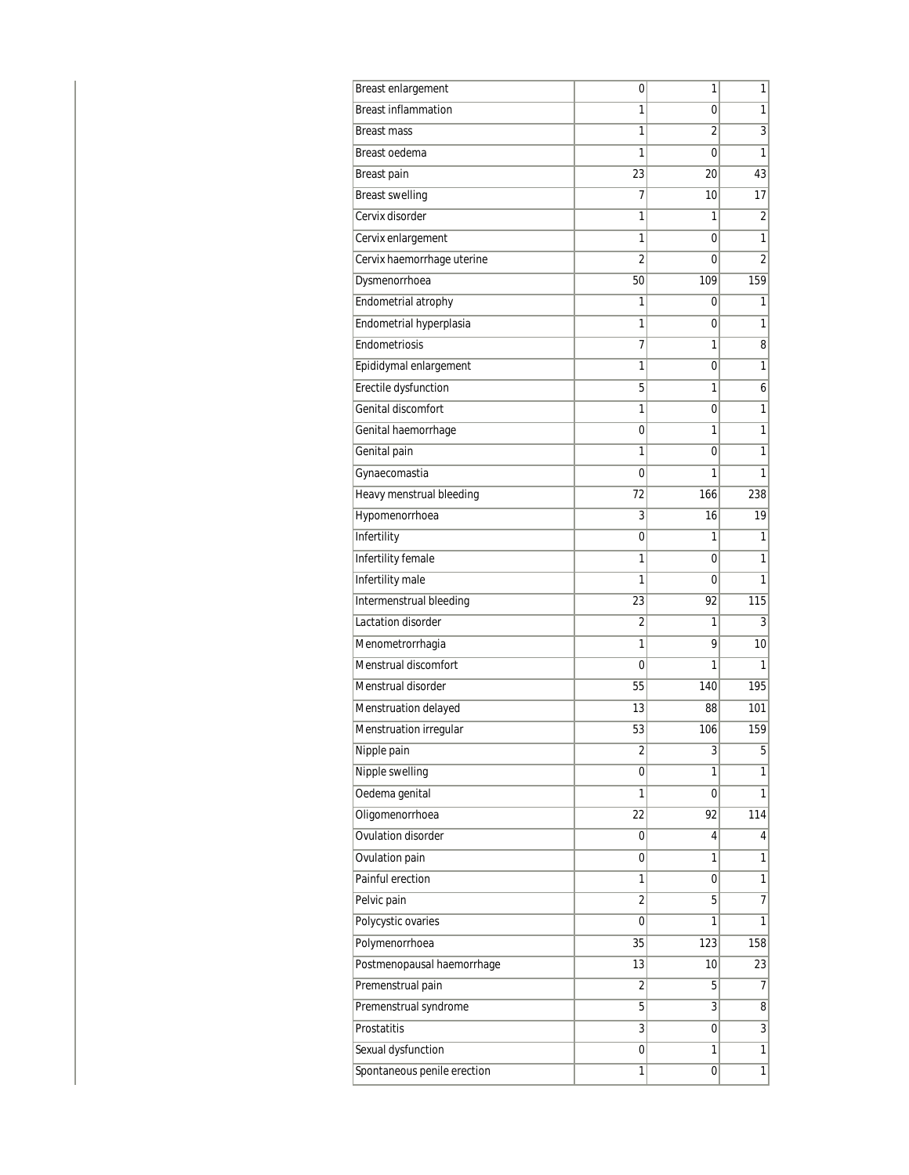| <b>Breast enlargement</b>   | 0              | 1   | 1              |
|-----------------------------|----------------|-----|----------------|
| <b>Breast inflammation</b>  | 1              | 0   | 1              |
| <b>Breast mass</b>          | 1              | 2   | 3              |
| Breast oedema               | 1              | 0   | 1              |
| Breast pain                 | 23             | 20  | 43             |
| <b>Breast swelling</b>      | 7              | 10  | 17             |
| Cervix disorder             | 1              | 1   | 2              |
| Cervix enlargement          | 1              | 0   | 1              |
| Cervix haemorrhage uterine  | $\overline{2}$ | 0   | $\overline{2}$ |
| Dysmenorrhoea               | 50             | 109 | 159            |
| Endometrial atrophy         | 1              | 0   | 1              |
| Endometrial hyperplasia     | 1              | 0   | 1              |
| Endometriosis               | 7              | 1   | 8              |
| Epididymal enlargement      | 1              | 0   | 1              |
| Erectile dysfunction        | 5              | 1   | 6              |
| Genital discomfort          | 1              | 0   | 1              |
| Genital haemorrhage         | 0              | 1   | 1              |
| Genital pain                | 1              | 0   | 1              |
| Gynaecomastia               | 0              | 1   | 1              |
| Heavy menstrual bleeding    | 72             | 166 | 238            |
| Hypomenorrhoea              | 3              | 16  | 19             |
| Infertility                 | 0              | 1   | 1              |
| Infertility female          | 1              | 0   | 1              |
| Infertility male            | 1              | 0   | 1              |
| Intermenstrual bleeding     | 23             | 92  | 115            |
| Lactation disorder          | $\overline{2}$ | 1   | 3              |
| Menometrorrhagia            | 1              | 9   | 10             |
| Menstrual discomfort        | 0              | 1   | 1              |
| Menstrual disorder          | 55             | 140 | 195            |
| Menstruation delayed        | 13             | 88  | 101            |
| Menstruation irregular      | 53             | 106 | 159            |
| Nipple pain                 | 2              | 3   | 5              |
| Nipple swelling             | 0              | 1   | 1              |
| Oedema genital              | 1              | 0   | 1              |
| Oligomenorrhoea             | 22             | 92  | 114            |
| Ovulation disorder          | 0              | 4   | 4              |
| Ovulation pain              | 0              | 1   | 1              |
| Painful erection            | 1              | 0   | 1              |
| Pelvic pain                 | $\overline{2}$ | 5   | 7              |
| Polycystic ovaries          | 0              | 1   | 1              |
| Polymenorrhoea              | 35             | 123 | 158            |
| Postmenopausal haemorrhage  | 13             | 10  | 23             |
| Premenstrual pain           | $\overline{2}$ | 5   | 7              |
| Premenstrual syndrome       | 5              | 3   | 8              |
| Prostatitis                 | 3              | 0   | 3              |
| Sexual dysfunction          | 0              | 1   | $\overline{1}$ |
| Spontaneous penile erection | 1              | 0   | 1              |
|                             |                |     |                |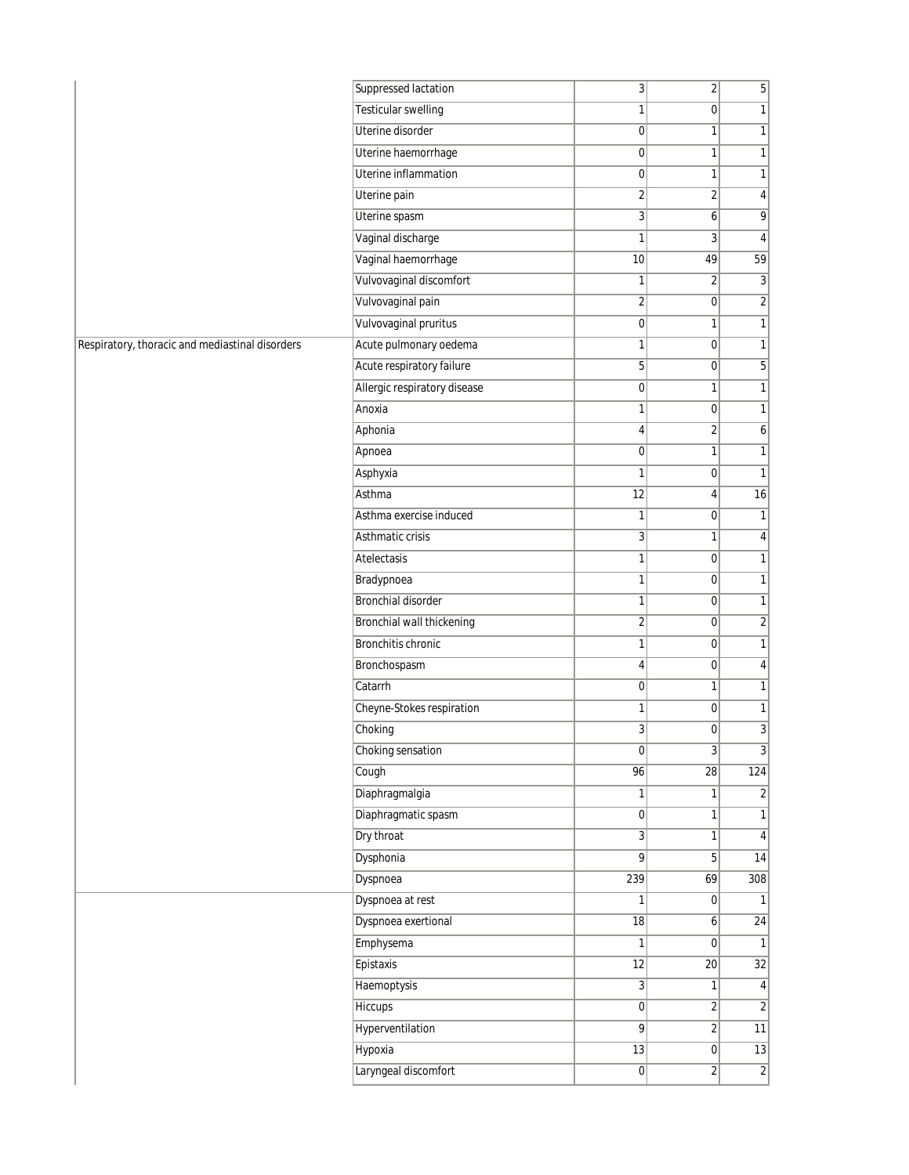| <b>Testicular swelling</b><br>1<br>1<br>$\overline{0}$<br>Uterine disorder<br>0<br>1<br>$\mathbf{1}$<br>Uterine haemorrhage<br>$\pmb{0}$<br>$\mathbf{1}$<br>1<br>Uterine inflammation<br>0<br>1<br>1<br>$\overline{\mathbf{c}}$<br>$\overline{2}$<br>Uterine pain<br>4<br>Uterine spasm<br>9<br>3<br>6<br>Vaginal discharge<br>1<br>$\overline{3}$<br>4<br>59<br>Vaginal haemorrhage<br>10<br>49<br>Vulvovaginal discomfort<br>1<br>$\overline{2}$<br>3<br>Vulvovaginal pain<br>$\overline{\mathbf{c}}$<br>$\overline{\mathbf{c}}$<br>$\overline{0}$<br>Vulvovaginal pruritus<br>$\mathbf 0$<br>1<br>1<br>Acute pulmonary oedema<br>1<br>1<br>$\overline{0}$<br>Acute respiratory failure<br>5<br>5<br>$\overline{0}$<br>Allergic respiratory disease<br>0<br>1<br>1<br>Anoxia<br>1<br> 0 <br>1<br>Aphonia<br>$\overline{2}$<br>6<br>4<br>Apnoea<br>0<br>$\mathbf{1}$<br>1<br>Asphyxia<br>1<br>$\overline{0}$<br>$\mathbf{1}$<br>Asthma<br>12<br>16<br>$\vert 4 \vert$<br>Asthma exercise induced<br>1<br>$\overline{0}$<br>1<br>Asthmatic crisis<br>3<br>4<br>1<br>Atelectasis<br>1<br>$\overline{0}$<br>1<br>Bradypnoea<br>1<br>$\overline{0}$<br>1<br>Bronchial disorder<br>1<br>$\overline{0}$<br>1<br>Bronchial wall thickening<br>$\overline{\mathbf{c}}$<br>$\overline{\mathbf{c}}$<br>$\overline{0}$<br><b>Bronchitis chronic</b><br>1<br>1<br>$\overline{0}$<br>Bronchospasm<br>$\overline{0}$<br>4<br>4<br>Catarrh<br>$\pmb{0}$<br>$\mathbf{1}$<br>1<br>Cheyne-Stokes respiration<br>$\overline{0}$<br>1<br>1<br>Choking<br>3<br>3<br>$\overline{0}$<br>Choking sensation<br>0<br>$\frac{3}{2}$<br>3<br>96<br>$\overline{28}$<br>124<br>Cough<br>Diaphragmalgia<br>1<br>$\mathbf{1}$<br>2<br>Diaphragmatic spasm<br>$\pmb{0}$<br>1<br>1<br>Dry throat<br>3<br>1<br>$\overline{4}$<br>Dysphonia<br>14<br>9<br>5 <sup>1</sup><br>Dyspnoea<br>239<br>69<br>308<br>Dyspnoea at rest<br>1<br>$\overline{0}$<br>$\mathbf{1}$<br>Dyspnoea exertional<br>24<br>$18\,$<br>$\boldsymbol{6}$<br>Emphysema<br>1<br> 0 <br>1<br>Epistaxis<br>32<br>12<br>20<br><b>Haemoptysis</b><br>$\overline{3}$<br>1<br>4<br>$\sqrt{2}$<br>Hiccups<br>$\boldsymbol{0}$<br>$\overline{2}$<br>Hyperventilation<br>9<br>11<br>$\overline{2}$<br>Hypoxia<br>$\overline{13}$<br>13<br> 0 <br>Laryngeal discomfort<br>$\overline{2}$<br>$\boldsymbol{0}$<br>$\overline{2}$ |                                                 | Suppressed lactation | 3 | $\overline{2}$ | 5 |
|-------------------------------------------------------------------------------------------------------------------------------------------------------------------------------------------------------------------------------------------------------------------------------------------------------------------------------------------------------------------------------------------------------------------------------------------------------------------------------------------------------------------------------------------------------------------------------------------------------------------------------------------------------------------------------------------------------------------------------------------------------------------------------------------------------------------------------------------------------------------------------------------------------------------------------------------------------------------------------------------------------------------------------------------------------------------------------------------------------------------------------------------------------------------------------------------------------------------------------------------------------------------------------------------------------------------------------------------------------------------------------------------------------------------------------------------------------------------------------------------------------------------------------------------------------------------------------------------------------------------------------------------------------------------------------------------------------------------------------------------------------------------------------------------------------------------------------------------------------------------------------------------------------------------------------------------------------------------------------------------------------------------------------------------------------------------------------------------------------------------------------------------------------------------------------------------------------------------------------------------------------------------------------------------------------------------------------------------------------|-------------------------------------------------|----------------------|---|----------------|---|
|                                                                                                                                                                                                                                                                                                                                                                                                                                                                                                                                                                                                                                                                                                                                                                                                                                                                                                                                                                                                                                                                                                                                                                                                                                                                                                                                                                                                                                                                                                                                                                                                                                                                                                                                                                                                                                                                                                                                                                                                                                                                                                                                                                                                                                                                                                                                                       |                                                 |                      |   |                |   |
|                                                                                                                                                                                                                                                                                                                                                                                                                                                                                                                                                                                                                                                                                                                                                                                                                                                                                                                                                                                                                                                                                                                                                                                                                                                                                                                                                                                                                                                                                                                                                                                                                                                                                                                                                                                                                                                                                                                                                                                                                                                                                                                                                                                                                                                                                                                                                       |                                                 |                      |   |                |   |
|                                                                                                                                                                                                                                                                                                                                                                                                                                                                                                                                                                                                                                                                                                                                                                                                                                                                                                                                                                                                                                                                                                                                                                                                                                                                                                                                                                                                                                                                                                                                                                                                                                                                                                                                                                                                                                                                                                                                                                                                                                                                                                                                                                                                                                                                                                                                                       |                                                 |                      |   |                |   |
|                                                                                                                                                                                                                                                                                                                                                                                                                                                                                                                                                                                                                                                                                                                                                                                                                                                                                                                                                                                                                                                                                                                                                                                                                                                                                                                                                                                                                                                                                                                                                                                                                                                                                                                                                                                                                                                                                                                                                                                                                                                                                                                                                                                                                                                                                                                                                       |                                                 |                      |   |                |   |
|                                                                                                                                                                                                                                                                                                                                                                                                                                                                                                                                                                                                                                                                                                                                                                                                                                                                                                                                                                                                                                                                                                                                                                                                                                                                                                                                                                                                                                                                                                                                                                                                                                                                                                                                                                                                                                                                                                                                                                                                                                                                                                                                                                                                                                                                                                                                                       |                                                 |                      |   |                |   |
|                                                                                                                                                                                                                                                                                                                                                                                                                                                                                                                                                                                                                                                                                                                                                                                                                                                                                                                                                                                                                                                                                                                                                                                                                                                                                                                                                                                                                                                                                                                                                                                                                                                                                                                                                                                                                                                                                                                                                                                                                                                                                                                                                                                                                                                                                                                                                       |                                                 |                      |   |                |   |
|                                                                                                                                                                                                                                                                                                                                                                                                                                                                                                                                                                                                                                                                                                                                                                                                                                                                                                                                                                                                                                                                                                                                                                                                                                                                                                                                                                                                                                                                                                                                                                                                                                                                                                                                                                                                                                                                                                                                                                                                                                                                                                                                                                                                                                                                                                                                                       |                                                 |                      |   |                |   |
|                                                                                                                                                                                                                                                                                                                                                                                                                                                                                                                                                                                                                                                                                                                                                                                                                                                                                                                                                                                                                                                                                                                                                                                                                                                                                                                                                                                                                                                                                                                                                                                                                                                                                                                                                                                                                                                                                                                                                                                                                                                                                                                                                                                                                                                                                                                                                       |                                                 |                      |   |                |   |
|                                                                                                                                                                                                                                                                                                                                                                                                                                                                                                                                                                                                                                                                                                                                                                                                                                                                                                                                                                                                                                                                                                                                                                                                                                                                                                                                                                                                                                                                                                                                                                                                                                                                                                                                                                                                                                                                                                                                                                                                                                                                                                                                                                                                                                                                                                                                                       |                                                 |                      |   |                |   |
|                                                                                                                                                                                                                                                                                                                                                                                                                                                                                                                                                                                                                                                                                                                                                                                                                                                                                                                                                                                                                                                                                                                                                                                                                                                                                                                                                                                                                                                                                                                                                                                                                                                                                                                                                                                                                                                                                                                                                                                                                                                                                                                                                                                                                                                                                                                                                       |                                                 |                      |   |                |   |
|                                                                                                                                                                                                                                                                                                                                                                                                                                                                                                                                                                                                                                                                                                                                                                                                                                                                                                                                                                                                                                                                                                                                                                                                                                                                                                                                                                                                                                                                                                                                                                                                                                                                                                                                                                                                                                                                                                                                                                                                                                                                                                                                                                                                                                                                                                                                                       |                                                 |                      |   |                |   |
|                                                                                                                                                                                                                                                                                                                                                                                                                                                                                                                                                                                                                                                                                                                                                                                                                                                                                                                                                                                                                                                                                                                                                                                                                                                                                                                                                                                                                                                                                                                                                                                                                                                                                                                                                                                                                                                                                                                                                                                                                                                                                                                                                                                                                                                                                                                                                       | Respiratory, thoracic and mediastinal disorders |                      |   |                |   |
|                                                                                                                                                                                                                                                                                                                                                                                                                                                                                                                                                                                                                                                                                                                                                                                                                                                                                                                                                                                                                                                                                                                                                                                                                                                                                                                                                                                                                                                                                                                                                                                                                                                                                                                                                                                                                                                                                                                                                                                                                                                                                                                                                                                                                                                                                                                                                       |                                                 |                      |   |                |   |
|                                                                                                                                                                                                                                                                                                                                                                                                                                                                                                                                                                                                                                                                                                                                                                                                                                                                                                                                                                                                                                                                                                                                                                                                                                                                                                                                                                                                                                                                                                                                                                                                                                                                                                                                                                                                                                                                                                                                                                                                                                                                                                                                                                                                                                                                                                                                                       |                                                 |                      |   |                |   |
|                                                                                                                                                                                                                                                                                                                                                                                                                                                                                                                                                                                                                                                                                                                                                                                                                                                                                                                                                                                                                                                                                                                                                                                                                                                                                                                                                                                                                                                                                                                                                                                                                                                                                                                                                                                                                                                                                                                                                                                                                                                                                                                                                                                                                                                                                                                                                       |                                                 |                      |   |                |   |
|                                                                                                                                                                                                                                                                                                                                                                                                                                                                                                                                                                                                                                                                                                                                                                                                                                                                                                                                                                                                                                                                                                                                                                                                                                                                                                                                                                                                                                                                                                                                                                                                                                                                                                                                                                                                                                                                                                                                                                                                                                                                                                                                                                                                                                                                                                                                                       |                                                 |                      |   |                |   |
|                                                                                                                                                                                                                                                                                                                                                                                                                                                                                                                                                                                                                                                                                                                                                                                                                                                                                                                                                                                                                                                                                                                                                                                                                                                                                                                                                                                                                                                                                                                                                                                                                                                                                                                                                                                                                                                                                                                                                                                                                                                                                                                                                                                                                                                                                                                                                       |                                                 |                      |   |                |   |
|                                                                                                                                                                                                                                                                                                                                                                                                                                                                                                                                                                                                                                                                                                                                                                                                                                                                                                                                                                                                                                                                                                                                                                                                                                                                                                                                                                                                                                                                                                                                                                                                                                                                                                                                                                                                                                                                                                                                                                                                                                                                                                                                                                                                                                                                                                                                                       |                                                 |                      |   |                |   |
|                                                                                                                                                                                                                                                                                                                                                                                                                                                                                                                                                                                                                                                                                                                                                                                                                                                                                                                                                                                                                                                                                                                                                                                                                                                                                                                                                                                                                                                                                                                                                                                                                                                                                                                                                                                                                                                                                                                                                                                                                                                                                                                                                                                                                                                                                                                                                       |                                                 |                      |   |                |   |
|                                                                                                                                                                                                                                                                                                                                                                                                                                                                                                                                                                                                                                                                                                                                                                                                                                                                                                                                                                                                                                                                                                                                                                                                                                                                                                                                                                                                                                                                                                                                                                                                                                                                                                                                                                                                                                                                                                                                                                                                                                                                                                                                                                                                                                                                                                                                                       |                                                 |                      |   |                |   |
|                                                                                                                                                                                                                                                                                                                                                                                                                                                                                                                                                                                                                                                                                                                                                                                                                                                                                                                                                                                                                                                                                                                                                                                                                                                                                                                                                                                                                                                                                                                                                                                                                                                                                                                                                                                                                                                                                                                                                                                                                                                                                                                                                                                                                                                                                                                                                       |                                                 |                      |   |                |   |
|                                                                                                                                                                                                                                                                                                                                                                                                                                                                                                                                                                                                                                                                                                                                                                                                                                                                                                                                                                                                                                                                                                                                                                                                                                                                                                                                                                                                                                                                                                                                                                                                                                                                                                                                                                                                                                                                                                                                                                                                                                                                                                                                                                                                                                                                                                                                                       |                                                 |                      |   |                |   |
|                                                                                                                                                                                                                                                                                                                                                                                                                                                                                                                                                                                                                                                                                                                                                                                                                                                                                                                                                                                                                                                                                                                                                                                                                                                                                                                                                                                                                                                                                                                                                                                                                                                                                                                                                                                                                                                                                                                                                                                                                                                                                                                                                                                                                                                                                                                                                       |                                                 |                      |   |                |   |
|                                                                                                                                                                                                                                                                                                                                                                                                                                                                                                                                                                                                                                                                                                                                                                                                                                                                                                                                                                                                                                                                                                                                                                                                                                                                                                                                                                                                                                                                                                                                                                                                                                                                                                                                                                                                                                                                                                                                                                                                                                                                                                                                                                                                                                                                                                                                                       |                                                 |                      |   |                |   |
|                                                                                                                                                                                                                                                                                                                                                                                                                                                                                                                                                                                                                                                                                                                                                                                                                                                                                                                                                                                                                                                                                                                                                                                                                                                                                                                                                                                                                                                                                                                                                                                                                                                                                                                                                                                                                                                                                                                                                                                                                                                                                                                                                                                                                                                                                                                                                       |                                                 |                      |   |                |   |
|                                                                                                                                                                                                                                                                                                                                                                                                                                                                                                                                                                                                                                                                                                                                                                                                                                                                                                                                                                                                                                                                                                                                                                                                                                                                                                                                                                                                                                                                                                                                                                                                                                                                                                                                                                                                                                                                                                                                                                                                                                                                                                                                                                                                                                                                                                                                                       |                                                 |                      |   |                |   |
|                                                                                                                                                                                                                                                                                                                                                                                                                                                                                                                                                                                                                                                                                                                                                                                                                                                                                                                                                                                                                                                                                                                                                                                                                                                                                                                                                                                                                                                                                                                                                                                                                                                                                                                                                                                                                                                                                                                                                                                                                                                                                                                                                                                                                                                                                                                                                       |                                                 |                      |   |                |   |
|                                                                                                                                                                                                                                                                                                                                                                                                                                                                                                                                                                                                                                                                                                                                                                                                                                                                                                                                                                                                                                                                                                                                                                                                                                                                                                                                                                                                                                                                                                                                                                                                                                                                                                                                                                                                                                                                                                                                                                                                                                                                                                                                                                                                                                                                                                                                                       |                                                 |                      |   |                |   |
|                                                                                                                                                                                                                                                                                                                                                                                                                                                                                                                                                                                                                                                                                                                                                                                                                                                                                                                                                                                                                                                                                                                                                                                                                                                                                                                                                                                                                                                                                                                                                                                                                                                                                                                                                                                                                                                                                                                                                                                                                                                                                                                                                                                                                                                                                                                                                       |                                                 |                      |   |                |   |
|                                                                                                                                                                                                                                                                                                                                                                                                                                                                                                                                                                                                                                                                                                                                                                                                                                                                                                                                                                                                                                                                                                                                                                                                                                                                                                                                                                                                                                                                                                                                                                                                                                                                                                                                                                                                                                                                                                                                                                                                                                                                                                                                                                                                                                                                                                                                                       |                                                 |                      |   |                |   |
|                                                                                                                                                                                                                                                                                                                                                                                                                                                                                                                                                                                                                                                                                                                                                                                                                                                                                                                                                                                                                                                                                                                                                                                                                                                                                                                                                                                                                                                                                                                                                                                                                                                                                                                                                                                                                                                                                                                                                                                                                                                                                                                                                                                                                                                                                                                                                       |                                                 |                      |   |                |   |
|                                                                                                                                                                                                                                                                                                                                                                                                                                                                                                                                                                                                                                                                                                                                                                                                                                                                                                                                                                                                                                                                                                                                                                                                                                                                                                                                                                                                                                                                                                                                                                                                                                                                                                                                                                                                                                                                                                                                                                                                                                                                                                                                                                                                                                                                                                                                                       |                                                 |                      |   |                |   |
|                                                                                                                                                                                                                                                                                                                                                                                                                                                                                                                                                                                                                                                                                                                                                                                                                                                                                                                                                                                                                                                                                                                                                                                                                                                                                                                                                                                                                                                                                                                                                                                                                                                                                                                                                                                                                                                                                                                                                                                                                                                                                                                                                                                                                                                                                                                                                       |                                                 |                      |   |                |   |
|                                                                                                                                                                                                                                                                                                                                                                                                                                                                                                                                                                                                                                                                                                                                                                                                                                                                                                                                                                                                                                                                                                                                                                                                                                                                                                                                                                                                                                                                                                                                                                                                                                                                                                                                                                                                                                                                                                                                                                                                                                                                                                                                                                                                                                                                                                                                                       |                                                 |                      |   |                |   |
|                                                                                                                                                                                                                                                                                                                                                                                                                                                                                                                                                                                                                                                                                                                                                                                                                                                                                                                                                                                                                                                                                                                                                                                                                                                                                                                                                                                                                                                                                                                                                                                                                                                                                                                                                                                                                                                                                                                                                                                                                                                                                                                                                                                                                                                                                                                                                       |                                                 |                      |   |                |   |
|                                                                                                                                                                                                                                                                                                                                                                                                                                                                                                                                                                                                                                                                                                                                                                                                                                                                                                                                                                                                                                                                                                                                                                                                                                                                                                                                                                                                                                                                                                                                                                                                                                                                                                                                                                                                                                                                                                                                                                                                                                                                                                                                                                                                                                                                                                                                                       |                                                 |                      |   |                |   |
|                                                                                                                                                                                                                                                                                                                                                                                                                                                                                                                                                                                                                                                                                                                                                                                                                                                                                                                                                                                                                                                                                                                                                                                                                                                                                                                                                                                                                                                                                                                                                                                                                                                                                                                                                                                                                                                                                                                                                                                                                                                                                                                                                                                                                                                                                                                                                       |                                                 |                      |   |                |   |
|                                                                                                                                                                                                                                                                                                                                                                                                                                                                                                                                                                                                                                                                                                                                                                                                                                                                                                                                                                                                                                                                                                                                                                                                                                                                                                                                                                                                                                                                                                                                                                                                                                                                                                                                                                                                                                                                                                                                                                                                                                                                                                                                                                                                                                                                                                                                                       |                                                 |                      |   |                |   |
|                                                                                                                                                                                                                                                                                                                                                                                                                                                                                                                                                                                                                                                                                                                                                                                                                                                                                                                                                                                                                                                                                                                                                                                                                                                                                                                                                                                                                                                                                                                                                                                                                                                                                                                                                                                                                                                                                                                                                                                                                                                                                                                                                                                                                                                                                                                                                       |                                                 |                      |   |                |   |
|                                                                                                                                                                                                                                                                                                                                                                                                                                                                                                                                                                                                                                                                                                                                                                                                                                                                                                                                                                                                                                                                                                                                                                                                                                                                                                                                                                                                                                                                                                                                                                                                                                                                                                                                                                                                                                                                                                                                                                                                                                                                                                                                                                                                                                                                                                                                                       |                                                 |                      |   |                |   |
|                                                                                                                                                                                                                                                                                                                                                                                                                                                                                                                                                                                                                                                                                                                                                                                                                                                                                                                                                                                                                                                                                                                                                                                                                                                                                                                                                                                                                                                                                                                                                                                                                                                                                                                                                                                                                                                                                                                                                                                                                                                                                                                                                                                                                                                                                                                                                       |                                                 |                      |   |                |   |
|                                                                                                                                                                                                                                                                                                                                                                                                                                                                                                                                                                                                                                                                                                                                                                                                                                                                                                                                                                                                                                                                                                                                                                                                                                                                                                                                                                                                                                                                                                                                                                                                                                                                                                                                                                                                                                                                                                                                                                                                                                                                                                                                                                                                                                                                                                                                                       |                                                 |                      |   |                |   |
|                                                                                                                                                                                                                                                                                                                                                                                                                                                                                                                                                                                                                                                                                                                                                                                                                                                                                                                                                                                                                                                                                                                                                                                                                                                                                                                                                                                                                                                                                                                                                                                                                                                                                                                                                                                                                                                                                                                                                                                                                                                                                                                                                                                                                                                                                                                                                       |                                                 |                      |   |                |   |
|                                                                                                                                                                                                                                                                                                                                                                                                                                                                                                                                                                                                                                                                                                                                                                                                                                                                                                                                                                                                                                                                                                                                                                                                                                                                                                                                                                                                                                                                                                                                                                                                                                                                                                                                                                                                                                                                                                                                                                                                                                                                                                                                                                                                                                                                                                                                                       |                                                 |                      |   |                |   |
|                                                                                                                                                                                                                                                                                                                                                                                                                                                                                                                                                                                                                                                                                                                                                                                                                                                                                                                                                                                                                                                                                                                                                                                                                                                                                                                                                                                                                                                                                                                                                                                                                                                                                                                                                                                                                                                                                                                                                                                                                                                                                                                                                                                                                                                                                                                                                       |                                                 |                      |   |                |   |
|                                                                                                                                                                                                                                                                                                                                                                                                                                                                                                                                                                                                                                                                                                                                                                                                                                                                                                                                                                                                                                                                                                                                                                                                                                                                                                                                                                                                                                                                                                                                                                                                                                                                                                                                                                                                                                                                                                                                                                                                                                                                                                                                                                                                                                                                                                                                                       |                                                 |                      |   |                |   |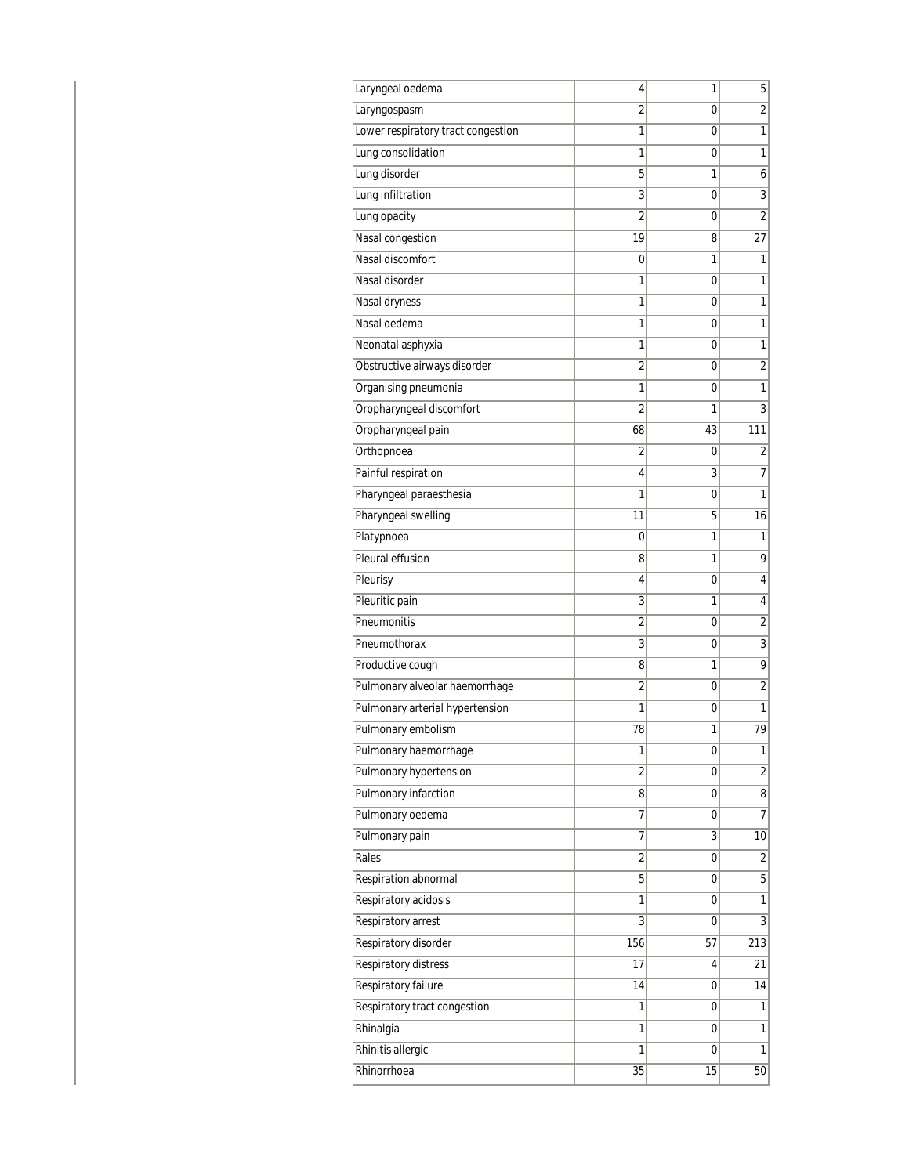| Laryngeal oedema                   | 4              | 1  | 5              |
|------------------------------------|----------------|----|----------------|
| Laryngospasm                       | 2              | 0  | 2              |
| Lower respiratory tract congestion | 1              | 0  | 1              |
| Lung consolidation                 | 1              | 0  | 1              |
| Lung disorder                      | 5              | 1  | 6              |
| Lung infiltration                  | 3              | 0  | 3              |
| Lung opacity                       | 2              | 0  | 2              |
| Nasal congestion                   | 19             | 8  | 27             |
| Nasal discomfort                   | 0              | 1  | 1              |
| Nasal disorder                     | 1              | 0  | 1              |
| Nasal dryness                      | 1              | 0  | 1              |
| Nasal oedema                       | 1              | 0  | 1              |
| Neonatal asphyxia                  | 1              | 0  | 1              |
| Obstructive airways disorder       | $\overline{2}$ | 0  | $\overline{2}$ |
| Organising pneumonia               | 1              | 0  | $\mathbf{1}$   |
| Oropharyngeal discomfort           | 2              | 1  | 3              |
| Oropharyngeal pain                 | 68             | 43 | 111            |
| Orthopnoea                         | $\overline{2}$ | 0  | 2              |
| Painful respiration                | 4              | 3  | 7              |
| Pharyngeal paraesthesia            | 1              | 0  | 1              |
| Pharyngeal swelling                | 11             | 5  | 16             |
| Platypnoea                         | 0              | 1  | 1              |
| Pleural effusion                   | 8              | 1  | 9              |
| Pleurisy                           | 4              | 0  | 4              |
| Pleuritic pain                     | 3              | 1  | 4              |
| Pneumonitis                        | 2              | 0  | $\overline{2}$ |
| Pneumothorax                       | 3              | 0  | 3              |
| Productive cough                   | 8              | 1  | 9              |
| Pulmonary alveolar haemorrhage     | $\overline{2}$ | 0  | $\overline{2}$ |
| Pulmonary arterial hypertension    | 1              | 0  | 1              |
| Pulmonary embolism                 | 78             | 1  | 79             |
| Pulmonary haemorrhage              | T              | 0  | 1              |
| Pulmonary hypertension             | $\overline{2}$ | 0  | $\overline{2}$ |
| Pulmonary infarction               | 8              | 0  | 8              |
| Pulmonary oedema                   | 7              | 0  | $\overline{7}$ |
| Pulmonary pain                     | 7              | 3  | 10             |
| Rales                              | 2              | 0  | $\overline{2}$ |
| Respiration abnormal               | 5              | 0  | 5              |
| Respiratory acidosis               | 1              | 0  | 1              |
| Respiratory arrest                 | 3              | 0  | 3              |
| Respiratory disorder               | 156            | 57 | 213            |
| Respiratory distress               | 17             | 4  | 21             |
| Respiratory failure                | 14             | 0  | 14             |
| Respiratory tract congestion       | 1              | 0  | 1              |
| Rhinalgia                          | 1              | 0  | 1              |
| Rhinitis allergic                  | 1              | 0  | 1              |
| Rhinorrhoea                        | 35             | 15 | 50             |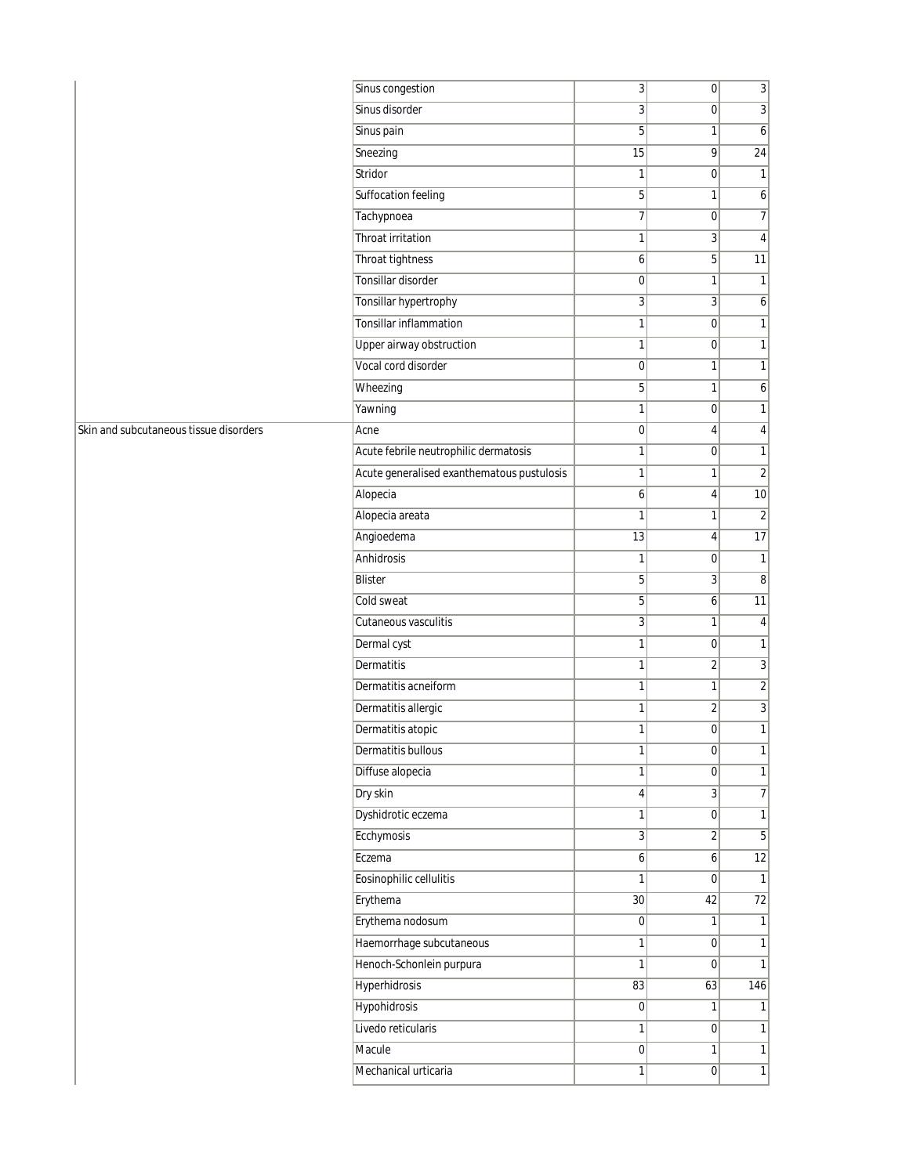|                                        | Sinus congestion                           | 3                | 0                       | $\overline{3}$   |
|----------------------------------------|--------------------------------------------|------------------|-------------------------|------------------|
|                                        | Sinus disorder                             | 3                | 0                       | $\overline{3}$   |
|                                        | Sinus pain                                 | 5                | 1                       | $6\vert$         |
|                                        | Sneezing                                   | 15               | 9                       | 24               |
|                                        | Stridor                                    | $\mathbf{1}$     | 0                       | 1                |
|                                        | Suffocation feeling                        | 5                | 1                       | $\boldsymbol{6}$ |
|                                        | Tachypnoea                                 | $\overline{7}$   | 0                       | $\overline{7}$   |
|                                        | Throat irritation                          | $\mathbf{1}$     | 3                       | 4 <sup>1</sup>   |
|                                        | Throat tightness                           | 6                | $5\vert$                | 11               |
|                                        | Tonsillar disorder                         | $\mathbf 0$      | 1                       | 1                |
|                                        | Tonsillar hypertrophy                      | $\sqrt{3}$       | 3                       | $\boldsymbol{6}$ |
|                                        | Tonsillar inflammation                     | $\mathbf{1}$     | 0                       | 1                |
|                                        | Upper airway obstruction                   | $\mathbf{1}$     | 0                       | 1                |
|                                        | Vocal cord disorder                        | $\boldsymbol{0}$ | $\mathbf{1}$            | 1                |
|                                        | Wheezing                                   | 5                | 1                       | 6                |
|                                        | Yawning                                    | $\mathbf{1}$     | 0                       | $\mathbf{1}$     |
| Skin and subcutaneous tissue disorders | Acne                                       | $\mathbf 0$      | 4                       | 4                |
|                                        | Acute febrile neutrophilic dermatosis      | $\mathbf{1}$     | 0                       | $\mathbf{1}$     |
|                                        | Acute generalised exanthematous pustulosis | $\mathbf{1}$     | $\mathbf{1}$            | $\overline{2}$   |
|                                        | Alopecia                                   | 6                | 4                       | 10               |
|                                        | Alopecia areata                            | $\mathbf{1}$     | $\mathbf{1}$            | $\overline{2}$   |
|                                        | Angioedema                                 | 13               | 4                       | 17               |
|                                        | Anhidrosis                                 | $\mathbf{1}$     | 0                       | 1                |
|                                        | Blister                                    | 5                | 3                       | $\overline{8}$   |
|                                        | Cold sweat                                 | 5                | 6                       | 11               |
|                                        | Cutaneous vasculitis                       | $\sqrt{3}$       | $\mathbf{1}$            | 4                |
|                                        | Dermal cyst                                | $\mathbf{1}$     | 0                       | $\overline{1}$   |
|                                        | Dermatitis                                 | $\mathbf{1}$     | $\overline{\mathbf{c}}$ | $\overline{3}$   |
|                                        | Dermatitis acneiform                       | $\mathbf{1}$     | $\mathbf{1}$            | $\overline{2}$   |
|                                        | Dermatitis allergic                        | $\mathbf{1}$     | $\overline{2}$          | $\overline{3}$   |
|                                        | Dermatitis atopic                          | 1                | 0                       | 1                |
|                                        | Dermatitis bullous                         | 1                | 0                       | 1                |
|                                        | Diffuse alopecia                           | 1                | 0                       | 1                |
|                                        | Dry skin                                   | $\overline{4}$   | 3                       | $\overline{7}$   |
|                                        | Dyshidrotic eczema                         | $\mathbf{1}$     | 0                       | 1                |
|                                        | Ecchymosis                                 | $\sqrt{3}$       | $\overline{\mathbf{c}}$ | $\overline{5}$   |
|                                        | Eczema                                     | 6                | $6\vert$                | $\overline{12}$  |
|                                        | Eosinophilic cellulitis                    | $\mathbf{1}$     | 0                       | $\mathbf{1}$     |
|                                        | Erythema                                   | 30               | 42                      | $\overline{72}$  |
|                                        | Erythema nodosum                           | $\pmb{0}$        | 1                       | 1 <sup>1</sup>   |
|                                        | Haemorrhage subcutaneous                   | $\mathbf{1}$     | 0                       | 1                |
|                                        | Henoch-Schonlein purpura                   | $\mathbf{1}$     | 0                       | 1                |
|                                        | <b>Hyperhidrosis</b>                       | 83               | 63                      | 146              |
|                                        | <b>Hypohidrosis</b>                        | $\pmb{0}$        | 1                       | $\mathbf{1}$     |
|                                        | Livedo reticularis                         | $\mathbf{1}$     | 0                       | 1 <sup>1</sup>   |
|                                        | Macule                                     | $\pmb{0}$        | 1                       | 1                |
|                                        | Mechanical urticaria                       | $\mathbf{1}$     | 0                       | $\overline{1}$   |
|                                        |                                            |                  |                         |                  |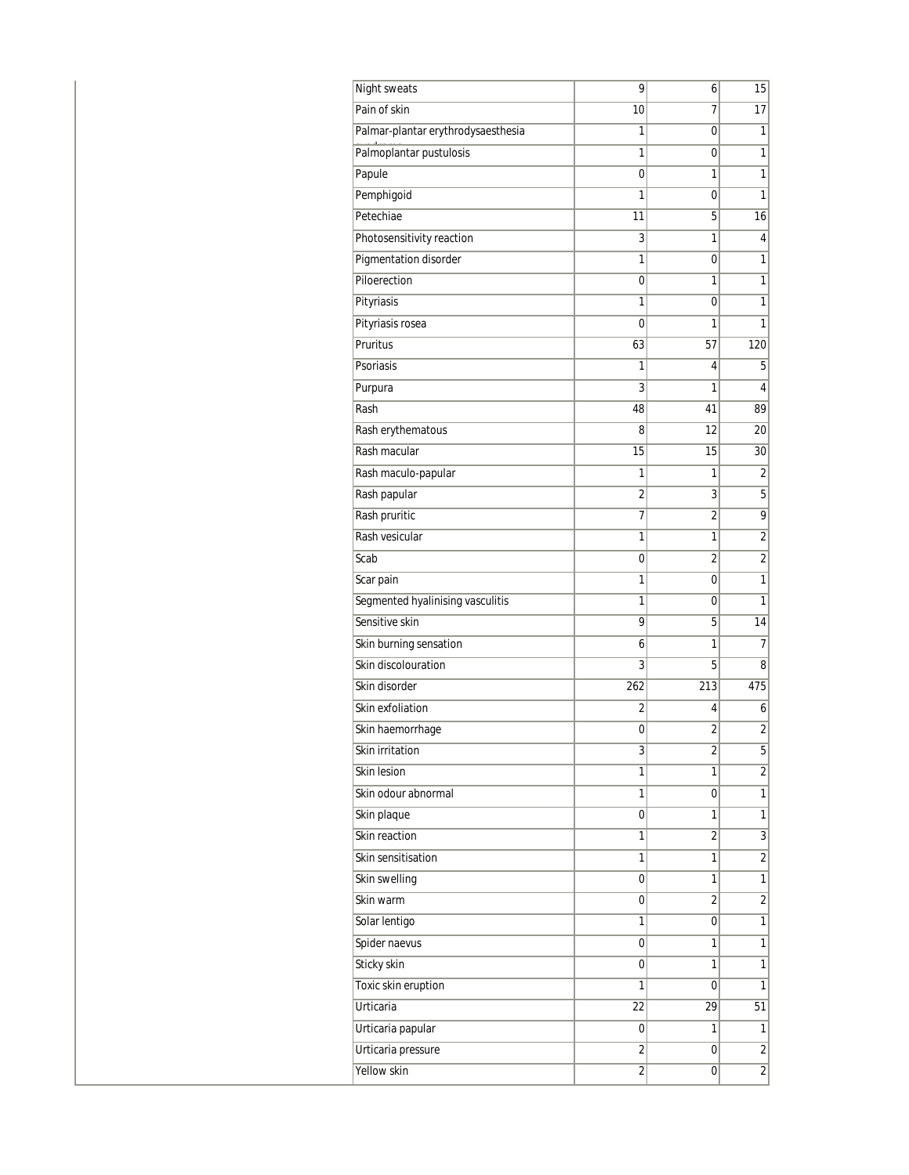| Night sweats                       | 9              | 6              | 15             |
|------------------------------------|----------------|----------------|----------------|
| Pain of skin                       | 10             | 7              | 17             |
| Palmar-plantar erythrodysaesthesia | 1              | 0              | 1              |
| Palmoplantar pustulosis            | 1              | 0              | 1              |
| Papule                             | 0              | 1              | 1              |
| Pemphigoid                         | 1              | $\mathbf 0$    | 1              |
| Petechiae                          | 11             | 5              | 16             |
| Photosensitivity reaction          | 3              | 1              | 4              |
| Pigmentation disorder              | 1              | 0              | 1              |
| Piloerection                       | 0              | 1              | 1              |
| Pityriasis                         | 1              | $\mathbf 0$    | 1              |
| Pityriasis rosea                   | 0              | 1              | 1              |
| Pruritus                           | 63             | 57             | 120            |
| Psoriasis                          | 1              | 4              | 5              |
| Purpura                            | 3              | 1              | 4              |
| Rash                               | 48             | 41             | 89             |
| Rash erythematous                  | 8              | 12             | 20             |
| Rash macular                       | 15             | 15             | 30             |
| Rash maculo-papular                | 1              | 1              | $\overline{2}$ |
| Rash papular                       | $\overline{2}$ | 3              | 5              |
| Rash pruritic                      | 7              | $\overline{2}$ | $\overline{9}$ |
| Rash vesicular                     | 1              | 1              | 2              |
| Scab                               | 0              | $\overline{2}$ | $\overline{2}$ |
| Scar pain                          | 1              | 0              | 1              |
| Segmented hyalinising vasculitis   | 1              | 0              | $\mathbf{1}$   |
| Sensitive skin                     | 9              | 5              | 14             |
| Skin burning sensation             | 6              | 1              | 7              |
| Skin discolouration                | 3              | 5              | 8              |
| Skin disorder                      | 262            | 213            | 475            |
| Skin exfoliation                   | $\overline{2}$ | 4              | 6              |
| Skin haemorrhage                   | 0              | $\overline{2}$ | $\overline{2}$ |
| Skin irritation                    | 3              | 2              | 5              |
| Skin lesion                        | 1              | 1              | $\overline{2}$ |
| Skin odour abnormal                | 1              | 0              | $\mathbf{1}$   |
| Skin plaque                        | 0              | 1              | 1              |
| Skin reaction                      | 1              | $\overline{2}$ | $\overline{3}$ |
| Skin sensitisation                 | 1              | 1              | $\overline{2}$ |
| Skin swelling                      | 0              | 1              | $\overline{1}$ |
| Skin warm                          | 0              | $\overline{2}$ | $\overline{2}$ |
| Solar lentigo                      | 1              | 0              | $\overline{1}$ |
| Spider naevus                      | 0              | 1              | $\overline{1}$ |
| Sticky skin                        | 0              | 1              | 1              |
| Toxic skin eruption                | 1              | 0              | $\overline{1}$ |
| Urticaria                          | 22             | 29             | 51             |
| Urticaria papular                  | 0              | 1              | 1              |
| Urticaria pressure                 | $\overline{2}$ | 0              | $\overline{2}$ |
| Yellow skin                        | 2              | 0              | $\overline{2}$ |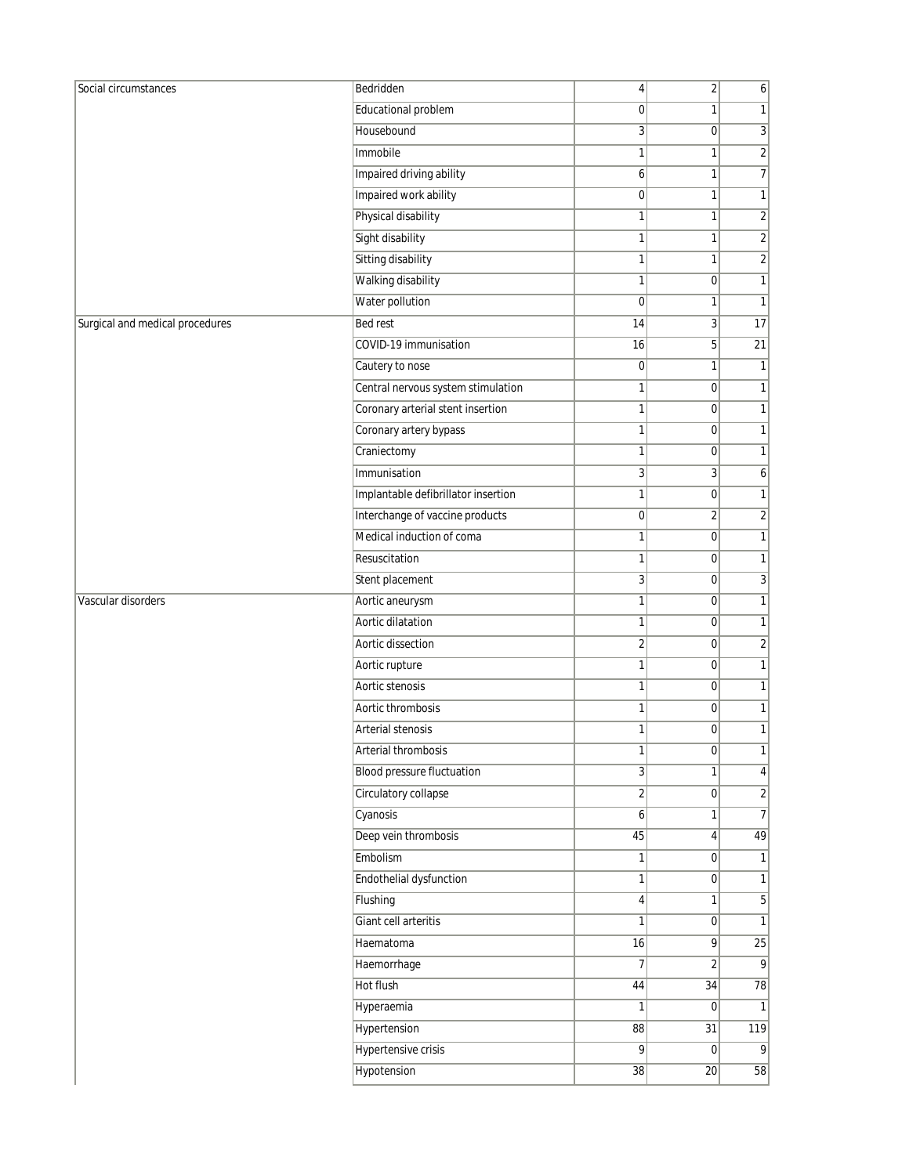| Social circumstances            | Bedridden                           | 4              | $\overline{2}$   | 6               |
|---------------------------------|-------------------------------------|----------------|------------------|-----------------|
|                                 | Educational problem                 | $\mathbf 0$    | 1                | 1               |
|                                 | Housebound                          | 3              | $\overline{0}$   | $\overline{3}$  |
|                                 | Immobile                            | 1              | 1                | $\sqrt{2}$      |
|                                 | Impaired driving ability            | 6              | $\mathbf{1}$     | 7               |
|                                 | Impaired work ability               | 0              | 1                | 1               |
|                                 | Physical disability                 | 1              | $\mathbf{1}$     | $\sqrt{2}$      |
|                                 | Sight disability                    | 1              | $\mathbf{1}$     | $\overline{2}$  |
|                                 | Sitting disability                  | 1              | $\mathbf{1}$     | $\sqrt{2}$      |
|                                 | Walking disability                  | 1              | $\boldsymbol{0}$ | $\mathbf{1}$    |
|                                 | Water pollution                     | $\mathbf 0$    | 1                | $\mathbf{1}$    |
| Surgical and medical procedures | <b>Bed rest</b>                     | 14             | 3                | 17              |
|                                 | COVID-19 immunisation               | 16             | 5                | $\overline{21}$ |
|                                 | Cautery to nose                     | $\pmb{0}$      | $\mathbf{1}$     | 1               |
|                                 | Central nervous system stimulation  | 1              | $\mathbf 0$      | $\mathbf{1}$    |
|                                 | Coronary arterial stent insertion   | 1              | $\overline{0}$   | 1               |
|                                 | Coronary artery bypass              | 1              | 0                | 1               |
|                                 | Craniectomy                         | 1              | $\overline{0}$   | 1               |
|                                 | Immunisation                        | 3              | $\overline{3}$   | 6               |
|                                 | Implantable defibrillator insertion | 1              | $\mathbf 0$      | $\mathbf{1}$    |
|                                 | Interchange of vaccine products     | 0              | $\overline{2}$   | 2               |
|                                 | Medical induction of coma           | 1              | $\mathbf 0$      | $\mathbf{1}$    |
|                                 | Resuscitation                       | 1              | $\overline{0}$   | 1               |
|                                 | Stent placement                     | 3              | $\overline{0}$   | 3               |
| Vascular disorders              | Aortic aneurysm                     | 1              | $\mathbf 0$      | $\mathbf{1}$    |
|                                 | Aortic dilatation                   | 1              | $\overline{0}$   | 1               |
|                                 | Aortic dissection                   | 2              | 0                | $\overline{2}$  |
|                                 | Aortic rupture                      | 1              | $\overline{0}$   | 1               |
|                                 | Aortic stenosis                     | 1              | 0                | $\mathbf{1}$    |
|                                 | Aortic thrombosis                   | 1              | $\mathbf 0$      | $\mathbf{1}$    |
|                                 | Arterial stenosis                   | 1              | $\overline{0}$   | 1               |
|                                 | Arterial thrombosis                 | 1              | 0                | 11              |
|                                 | <b>Blood pressure fluctuation</b>   | $\overline{3}$ | 1                | 4               |
|                                 | Circulatory collapse                | $\overline{2}$ | 0                | $\sqrt{2}$      |
|                                 | Cyanosis                            | 6              | 1                | $\overline{7}$  |
|                                 | Deep vein thrombosis                | 45             | $\vert 4 \vert$  | 49              |
|                                 | Embolism                            | 1              | $\overline{0}$   | 1               |
|                                 | Endothelial dysfunction             | 1              | 0                | $\mathbf{1}$    |
|                                 | Flushing                            | 4              | 1                | $\mathbf 5$     |
|                                 | Giant cell arteritis                | 1              | $\overline{0}$   | $\mathbf{1}$    |
|                                 | Haematoma                           | 16             | 9                | $\overline{25}$ |
|                                 | Haemorrhage                         | $\overline{7}$ | $\overline{2}$   | 9               |
|                                 | Hot flush                           | 44             | 34               | 78              |
|                                 | Hyperaemia                          | 1              | 0                | $\mathbf{1}$    |
|                                 | Hypertension                        | 88             | 31               | 119             |
|                                 | <b>Hypertensive crisis</b>          | 9              | $\overline{0}$   | 9               |
|                                 | Hypotension                         | 38             | 20               | 58              |
|                                 |                                     |                |                  |                 |